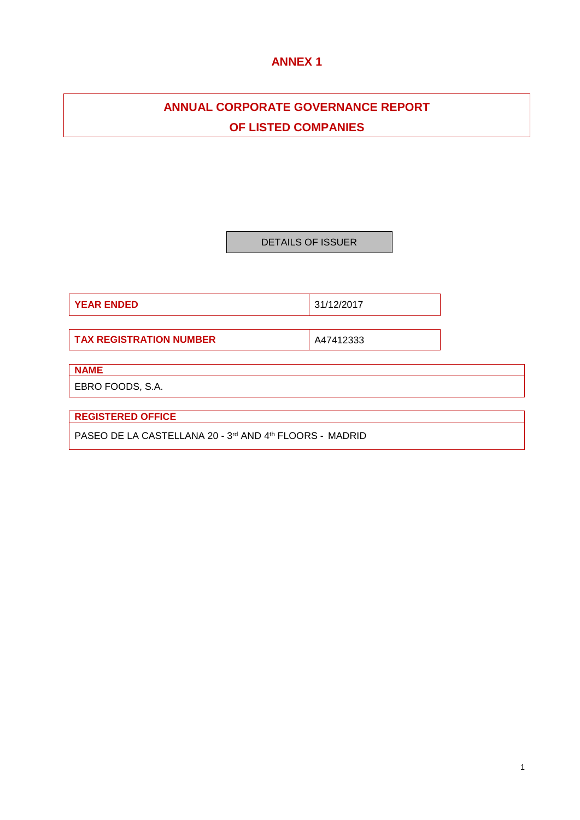# **ANNEX 1**

# **ANNUAL CORPORATE GOVERNANCE REPORT OF LISTED COMPANIES**

DETAILS OF ISSUER

**YEAR ENDED** 31/12/2017

**TAX REGISTRATION NUMBER** A47412333

# **NAME**

EBRO FOODS, S.A.

**REGISTERED OFFICE**

PASEO DE LA CASTELLANA 20 - 3rd AND 4th FLOORS - MADRID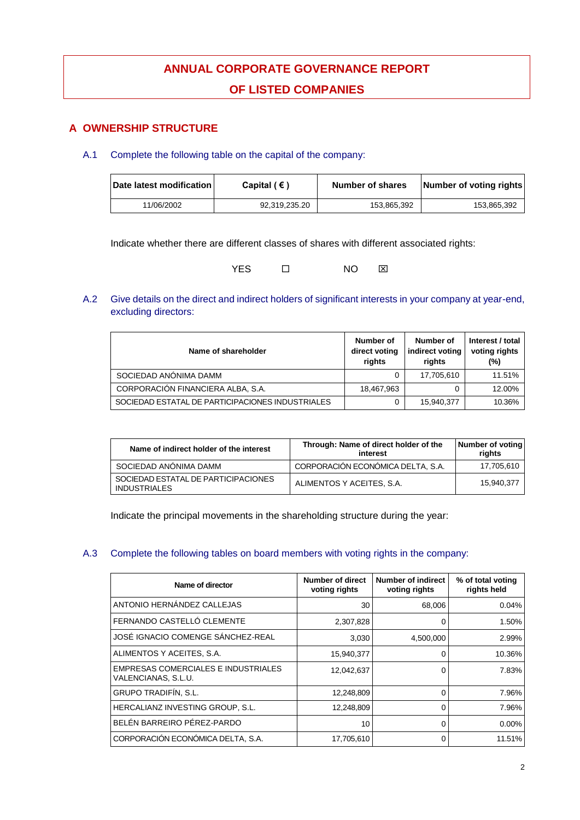# **ANNUAL CORPORATE GOVERNANCE REPORT OF LISTED COMPANIES**

# **A OWNERSHIP STRUCTURE**

# A.1 Complete the following table on the capital of the company:

| Date latest modification | Capital ( $\epsilon$ ) | Number of shares | Number of voting rights |
|--------------------------|------------------------|------------------|-------------------------|
| 11/06/2002               | 92,319,235.20          | 153.865.392      | 153.865.392             |

Indicate whether there are different classes of shares with different associated rights:

| <b>YES</b> | NO | ⊠ |
|------------|----|---|
|            |    |   |

# A.2 Give details on the direct and indirect holders of significant interests in your company at year-end, excluding directors:

| Name of shareholder                              | Number of<br>direct voting<br>rights | Number of<br>indirect voting<br>rights | Interest / total<br>voting rights<br>(%) |
|--------------------------------------------------|--------------------------------------|----------------------------------------|------------------------------------------|
| SOCIEDAD ANÓNIMA DAMM                            |                                      | 17,705,610                             | 11.51%                                   |
| CORPORACIÓN FINANCIERA ALBA, S.A.                | 18,467,963                           |                                        | 12.00%                                   |
| SOCIEDAD ESTATAL DE PARTICIPACIONES INDUSTRIALES |                                      | 15,940,377                             | 10.36%                                   |

| Name of indirect holder of the interest                    | Through: Name of direct holder of the<br>interest | Number of voting<br>riahts |
|------------------------------------------------------------|---------------------------------------------------|----------------------------|
| SOCIEDAD ANÓNIMA DAMM                                      | CORPORACIÓN ECONÓMICA DELTA. S.A.                 | 17,705,610                 |
| SOCIEDAD ESTATAL DE PARTICIPACIONES<br><b>INDUSTRIALES</b> | ALIMENTOS Y ACEITES, S.A.                         | 15.940.377                 |

Indicate the principal movements in the shareholding structure during the year:

## A.3 Complete the following tables on board members with voting rights in the company:

| Name of director                                                  | Number of direct<br>voting rights | Number of indirect<br>voting rights | % of total voting<br>rights held |
|-------------------------------------------------------------------|-----------------------------------|-------------------------------------|----------------------------------|
| ANTONIO HERNÁNDEZ CALLEJAS                                        | 30                                | 68,006                              | $0.04\%$                         |
| FERNANDO CASTELLÓ CLEMENTE                                        | 2,307,828                         | 0                                   | 1.50%                            |
| JOSÉ IGNACIO COMENGE SÁNCHEZ-REAL                                 | 3,030                             | 4,500,000                           | 2.99%                            |
| ALIMENTOS Y ACEITES, S.A.                                         | 15,940,377                        | 0                                   | 10.36%                           |
| <b>EMPRESAS COMERCIALES E INDUSTRIALES</b><br>VALENCIANAS, S.L.U. | 12,042,637                        | 0                                   | 7.83%                            |
| <b>GRUPO TRADIFÍN. S.L.</b>                                       | 12,248,809                        | 0                                   | 7.96%                            |
| HERCALIANZ INVESTING GROUP, S.L.                                  | 12,248,809                        | 0                                   | 7.96%                            |
| BELÉN BARREIRO PÉREZ-PARDO                                        | 10                                | 0                                   | 0.00%                            |
| CORPORACIÓN ECONÓMICA DELTA, S.A.                                 | 17,705,610                        | 0                                   | 11.51%                           |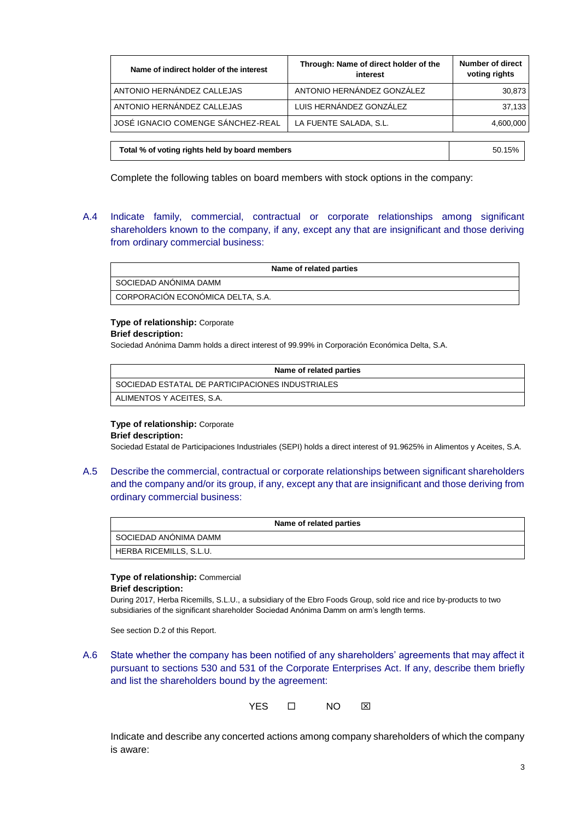| Name of indirect holder of the interest        | Through: Name of direct holder of the<br>interest | <b>Number of direct</b><br>voting rights |
|------------------------------------------------|---------------------------------------------------|------------------------------------------|
| ANTONIO HERNÁNDEZ CALLEJAS                     | ANTONIO HERNÁNDEZ GONZÁLEZ                        | 30,873                                   |
| ANTONIO HERNÁNDEZ CALLEJAS                     | LUIS HERNÁNDEZ GONZÁLEZ                           | 37.133                                   |
| JOSÉ IGNACIO COMENGE SÁNCHEZ-REAL              | LA FUENTE SALADA, S.L.                            | 4,600,000                                |
|                                                |                                                   |                                          |
| Total % of voting rights held by board members |                                                   | 50.15%                                   |

Complete the following tables on board members with stock options in the company:

A.4 Indicate family, commercial, contractual or corporate relationships among significant shareholders known to the company, if any, except any that are insignificant and those deriving from ordinary commercial business:

| Name of related parties           |
|-----------------------------------|
| SOCIEDAD ANÓNIMA DAMM             |
| CORPORACIÓN ECONÓMICA DELTA, S.A. |

# **Type of relationship:** Corporate

### **Brief description:**

Sociedad Anónima Damm holds a direct interest of 99.99% in Corporación Económica Delta, S.A.

| Name of related parties                          |
|--------------------------------------------------|
| SOCIEDAD ESTATAL DE PARTICIPACIONES INDUSTRIALES |
| ALIMENTOS Y ACEITES, S.A.                        |

### **Type of relationship:** Corporate

#### **Brief description:**

Sociedad Estatal de Participaciones Industriales (SEPI) holds a direct interest of 91.9625% in Alimentos y Aceites, S.A.

A.5 Describe the commercial, contractual or corporate relationships between significant shareholders and the company and/or its group, if any, except any that are insignificant and those deriving from ordinary commercial business:

| Name of related parties |  |  |
|-------------------------|--|--|
| I SOCIEDAD ANÓNIMA DAMM |  |  |
| HERBA RICEMILLS, S.L.U. |  |  |

# **Type of relationship:** Commercial

### **Brief description:**

During 2017, Herba Ricemills, S.L.U., a subsidiary of the Ebro Foods Group, sold rice and rice by-products to two subsidiaries of the significant shareholder Sociedad Anónima Damm on arm's length terms.

See section D.2 of this Report.

A.6 State whether the company has been notified of any shareholders' agreements that may affect it pursuant to sections 530 and 531 of the Corporate Enterprises Act. If any, describe them briefly and list the shareholders bound by the agreement:

YES O NO **XX** 

Indicate and describe any concerted actions among company shareholders of which the company is aware: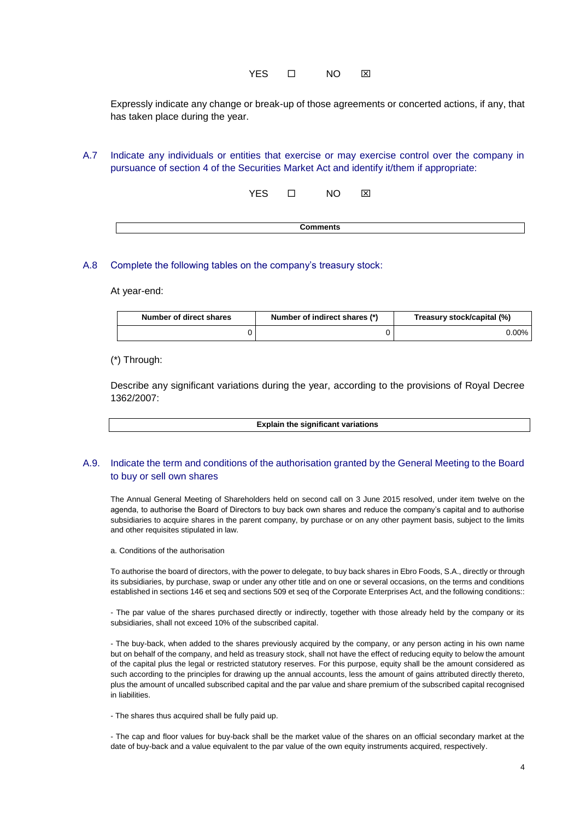Expressly indicate any change or break-up of those agreements or concerted actions, if any, that has taken place during the year.

A.7 Indicate any individuals or entities that exercise or may exercise control over the company in pursuance of section 4 of the Securities Market Act and identify it/them if appropriate:

YES O NO **X** 

| _______ |  |
|---------|--|
|         |  |

### A.8 Complete the following tables on the company's treasury stock:

At year-end:

| Number of direct shares | Number of indirect shares (*) | Treasury stock/capital (%) |
|-------------------------|-------------------------------|----------------------------|
|                         |                               | $0.00\%$                   |

(\*) Through:

Describe any significant variations during the year, according to the provisions of Royal Decree 1362/2007:

**Explain the significant variations**

### A.9. Indicate the term and conditions of the authorisation granted by the General Meeting to the Board to buy or sell own shares

The Annual General Meeting of Shareholders held on second call on 3 June 2015 resolved, under item twelve on the agenda, to authorise the Board of Directors to buy back own shares and reduce the company's capital and to authorise subsidiaries to acquire shares in the parent company, by purchase or on any other payment basis, subject to the limits and other requisites stipulated in law.

a. Conditions of the authorisation

To authorise the board of directors, with the power to delegate, to buy back shares in Ebro Foods, S.A., directly or through its subsidiaries, by purchase, swap or under any other title and on one or several occasions, on the terms and conditions established in sections 146 et seq and sections 509 et seq of the Corporate Enterprises Act, and the following conditions::

- The par value of the shares purchased directly or indirectly, together with those already held by the company or its subsidiaries, shall not exceed 10% of the subscribed capital.

- The buy-back, when added to the shares previously acquired by the company, or any person acting in his own name but on behalf of the company, and held as treasury stock, shall not have the effect of reducing equity to below the amount of the capital plus the legal or restricted statutory reserves. For this purpose, equity shall be the amount considered as such according to the principles for drawing up the annual accounts, less the amount of gains attributed directly thereto, plus the amount of uncalled subscribed capital and the par value and share premium of the subscribed capital recognised in liabilities.

- The shares thus acquired shall be fully paid up.

- The cap and floor values for buy-back shall be the market value of the shares on an official secondary market at the date of buy-back and a value equivalent to the par value of the own equity instruments acquired, respectively.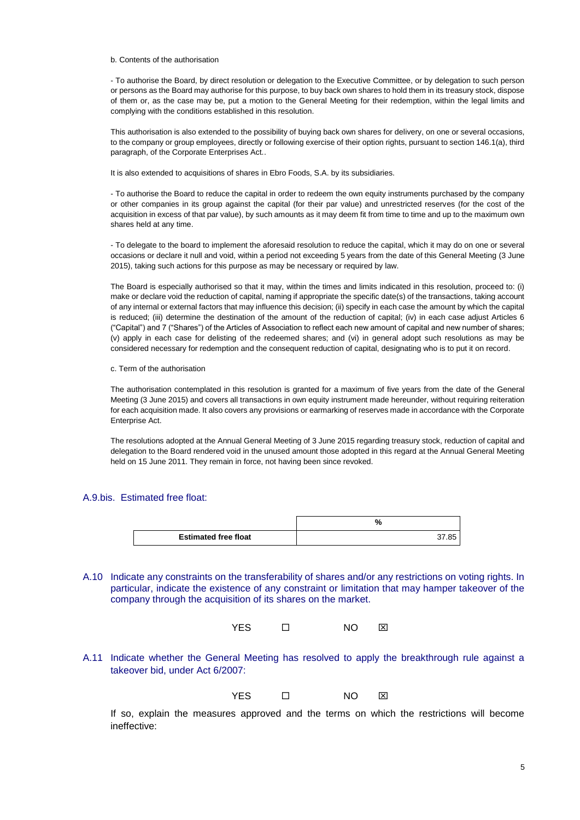#### b. Contents of the authorisation

- To authorise the Board, by direct resolution or delegation to the Executive Committee, or by delegation to such person or persons as the Board may authorise for this purpose, to buy back own shares to hold them in its treasury stock, dispose of them or, as the case may be, put a motion to the General Meeting for their redemption, within the legal limits and complying with the conditions established in this resolution.

This authorisation is also extended to the possibility of buying back own shares for delivery, on one or several occasions, to the company or group employees, directly or following exercise of their option rights, pursuant to section 146.1(a), third paragraph, of the Corporate Enterprises Act..

It is also extended to acquisitions of shares in Ebro Foods, S.A. by its subsidiaries.

- To authorise the Board to reduce the capital in order to redeem the own equity instruments purchased by the company or other companies in its group against the capital (for their par value) and unrestricted reserves (for the cost of the acquisition in excess of that par value), by such amounts as it may deem fit from time to time and up to the maximum own shares held at any time.

- To delegate to the board to implement the aforesaid resolution to reduce the capital, which it may do on one or several occasions or declare it null and void, within a period not exceeding 5 years from the date of this General Meeting (3 June 2015), taking such actions for this purpose as may be necessary or required by law.

The Board is especially authorised so that it may, within the times and limits indicated in this resolution, proceed to: (i) make or declare void the reduction of capital, naming if appropriate the specific date(s) of the transactions, taking account of any internal or external factors that may influence this decision; (ii) specify in each case the amount by which the capital is reduced; (iii) determine the destination of the amount of the reduction of capital; (iv) in each case adjust Articles 6 ("Capital") and 7 ("Shares") of the Articles of Association to reflect each new amount of capital and new number of shares; (v) apply in each case for delisting of the redeemed shares; and (vi) in general adopt such resolutions as may be considered necessary for redemption and the consequent reduction of capital, designating who is to put it on record.

c. Term of the authorisation

The authorisation contemplated in this resolution is granted for a maximum of five years from the date of the General Meeting (3 June 2015) and covers all transactions in own equity instrument made hereunder, without requiring reiteration for each acquisition made. It also covers any provisions or earmarking of reserves made in accordance with the Corporate Enterprise Act.

The resolutions adopted at the Annual General Meeting of 3 June 2015 regarding treasury stock, reduction of capital and delegation to the Board rendered void in the unused amount those adopted in this regard at the Annual General Meeting held on 15 June 2011. They remain in force, not having been since revoked.

#### A.9.bis. Estimated free float:

|                             | 7ο         |
|-----------------------------|------------|
| <b>Estimated free float</b> | .85<br>37. |

A.10 Indicate any constraints on the transferability of shares and/or any restrictions on voting rights. In particular, indicate the existence of any constraint or limitation that may hamper takeover of the company through the acquisition of its shares on the market.



A.11 Indicate whether the General Meeting has resolved to apply the breakthrough rule against a takeover bid, under Act 6/2007:

$$
\mathsf{YES} \qquad \qquad \Box \qquad \qquad \mathsf{NO} \qquad \boxtimes
$$

If so, explain the measures approved and the terms on which the restrictions will become ineffective: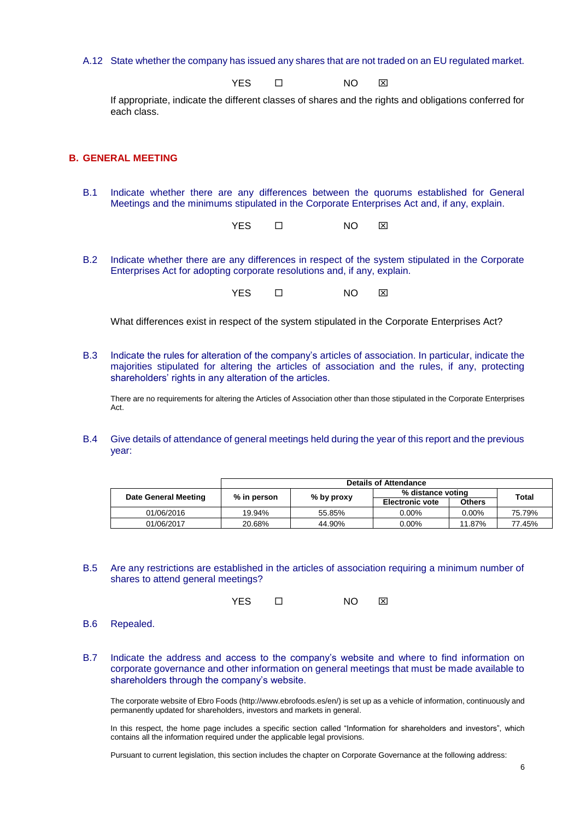A.12 State whether the company has issued any shares that are not traded on an EU regulated market.

YES **O** NO **X** 

If appropriate, indicate the different classes of shares and the rights and obligations conferred for each class.

### **B. GENERAL MEETING**

B.1 Indicate whether there are any differences between the quorums established for General Meetings and the minimums stipulated in the Corporate Enterprises Act and, if any, explain.

YES O NO **X** 

B.2 Indicate whether there are any differences in respect of the system stipulated in the Corporate Enterprises Act for adopting corporate resolutions and, if any, explain.

YES O NO **XI** 

What differences exist in respect of the system stipulated in the Corporate Enterprises Act?

B.3 Indicate the rules for alteration of the company's articles of association. In particular, indicate the majorities stipulated for altering the articles of association and the rules, if any, protecting shareholders' rights in any alteration of the articles.

There are no requirements for altering the Articles of Association other than those stipulated in the Corporate Enterprises Act.

B.4 Give details of attendance of general meetings held during the year of this report and the previous year:

|                      |               |              | <b>Details of Attendance</b> |               |        |
|----------------------|---------------|--------------|------------------------------|---------------|--------|
| Date General Meeting | $%$ in person | $%$ by proxy | % distance voting            |               | Total  |
|                      |               |              | <b>Electronic vote</b>       | <b>Others</b> |        |
| 01/06/2016           | 19.94%        | 55.85%       | 0.00%                        | $0.00\%$      | 75.79% |
| 01/06/2017           | 20.68%        | 44.90%       | 0.00%                        | 11.87%        | 77.45% |

B.5 Are any restrictions are established in the articles of association requiring a minimum number of shares to attend general meetings?

YES O NO **X** 

- B.6 Repealed.
- B.7 Indicate the address and access to the company's website and where to find information on corporate governance and other information on general meetings that must be made available to shareholders through the company's website.

The corporate website of Ebro Foods (http://www.ebrofoods.es/en/) is set up as a vehicle of information, continuously and permanently updated for shareholders, investors and markets in general.

In this respect, the home page includes a specific section called "Information for shareholders and investors", which contains all the information required under the applicable legal provisions.

Pursuant to current legislation, this section includes the chapter on Corporate Governance at the following address: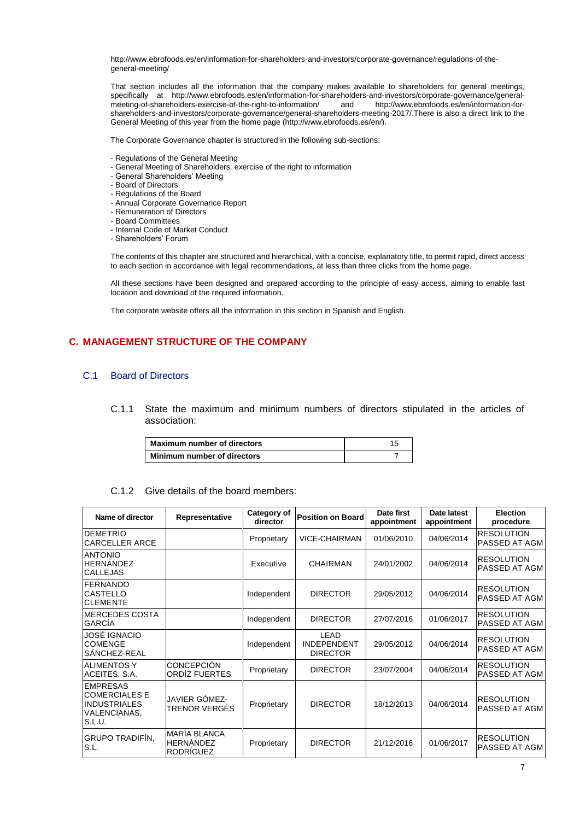http://www.ebrofoods.es/en/information-for-shareholders-and-investors/corporate-governance/regulations-of-thegeneral-meeting/

That section includes all the information that the company makes available to shareholders for general meetings, specifically at http://www.ebrofoods.es/en/information-for-shareholders-and-investors/corporate-governance/general-<br>meeting-of-shareholders-exercise-of-the-right-to-information/ and http://www.ebrofoods.es/en/information-f [meeting-of-shareholders-exercise-of-the-right-to-information/](http://www.ebrofoods.es/en/information-for-shareholders-and-investors/corporate-governance/general-meeting-of-shareholders-exercise-of-the-right-to-information/) [shareholders-and-investors/corporate-governance/general-shareholders-meeting-2017/.T](http://www.ebrofoods.es/en/information-for-shareholders-and-investors/corporate-governance/general-shareholders-meeting-2017/)here is also a direct link to the General Meeting of this year from the home page (http://www.ebrofoods.es/en/).

The Corporate Governance chapter is structured in the following sub-sections:

- Regulations of the General Meeting
- General Meeting of Shareholders: exercise of the right to information
- General Shareholders' Meeting
- Board of Directors
- Regulations of the Board
- Annual Corporate Governance Report
- Remuneration of Directors
- Board Committees
- Internal Code of Market Conduct
- Shareholders' Forum

The contents of this chapter are structured and hierarchical, with a concise, explanatory title, to permit rapid, direct access to each section in accordance with legal recommendations, at less than three clicks from the home page.

All these sections have been designed and prepared according to the principle of easy access, aiming to enable fast location and download of the required information.

The corporate website offers all the information in this section in Spanish and English.

### **C. MANAGEMENT STRUCTURE OF THE COMPANY**

### C.1 Board of Directors

C.1.1 State the maximum and minimum numbers of directors stipulated in the articles of association:

| Maximum number of directors |  |
|-----------------------------|--|
| Minimum number of directors |  |

### C.1.2 Give details of the board members:

| Name of director                                                                                | Representative                                              | Category of<br>director | <b>Position on Board</b>                      | Date first<br>appointment<br>appointment |            | <b>Election</b><br>procedure              |
|-------------------------------------------------------------------------------------------------|-------------------------------------------------------------|-------------------------|-----------------------------------------------|------------------------------------------|------------|-------------------------------------------|
| <b>IDEMETRIO</b><br><b>CARCELLER ARCE</b>                                                       |                                                             | Proprietary             | VICE-CHAIRMAN                                 | 01/06/2010                               | 04/06/2014 | <b>RESOLUTION</b><br>PASSED AT AGM        |
| <b>ANTONIO</b><br><b>HERNANDEZ</b><br><b>CALLEJAS</b>                                           |                                                             | Executive               | <b>CHAIRMAN</b>                               | 24/01/2002                               | 04/06/2014 | <b>RESOLUTION</b><br>PASSED AT AGM        |
| <b>IFERNANDO</b><br>ICASTELLÓ<br><b>CLEMENTE</b>                                                |                                                             | Independent             | <b>DIRECTOR</b>                               | 29/05/2012                               | 04/06/2014 | <b>RESOLUTION</b><br><b>PASSED AT AGM</b> |
| IMERCEDES COSTA<br><b>GARCÍA</b>                                                                |                                                             | Independent             | <b>DIRECTOR</b>                               | 27/07/2016                               | 01/06/2017 | <b>RESOLUTION</b><br>PASSED AT AGM        |
| JOSÉ IGNACIO<br><b>COMENGE</b><br>SANCHEZ-REAL                                                  |                                                             | Independent             | LEAD<br><b>INDEPENDENT</b><br><b>DIRECTOR</b> | 29/05/2012                               | 04/06/2014 | <b>RESOLUTION</b><br>PASSED AT AGM        |
| <b>ALIMENTOS Y</b><br>ACEITES, S.A.                                                             | <b>CONCEPCIÓN</b><br>ORDIZ FUERTES                          | Proprietary             | <b>DIRECTOR</b>                               | 23/07/2004                               | 04/06/2014 | <b>RESOLUTION</b><br>PASSED AT AGM        |
| <b>EMPRESAS</b><br><b>COMERCIALES E</b><br><b>INDUSTRIALES</b><br><b>VALENCIANAS,</b><br>S.L.U. | JAVIER GÓMEZ-<br>TRENOR VERGÉS                              | Proprietary             | <b>DIRECTOR</b>                               | 18/12/2013                               | 04/06/2014 | <b>RESOLUTION</b><br>PASSED AT AGM        |
| <b>GRUPO TRADIFÍN,</b><br>S.L.                                                                  | <b>MARÍA BLANCA</b><br><b>HERNÁNDEZ</b><br><b>RODRÍGUEZ</b> | Proprietary             | <b>DIRECTOR</b>                               | 21/12/2016                               | 01/06/2017 | <b>RESOLUTION</b><br><b>PASSED AT AGM</b> |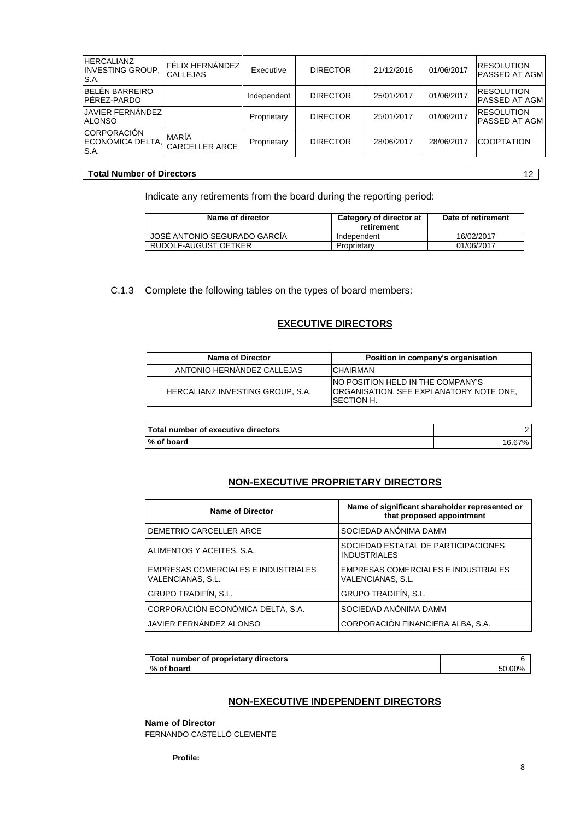| <b>HERCALIANZ</b><br>FÉLIX HERNÁNDEZ  <br><b>RESOLUTION</b><br>01/06/2017<br><b>DIRECTOR</b><br>21/12/2016<br><b>INVESTING GROUP.</b><br>Executive<br><b>CALLEJAS</b><br>S.A.<br>BELÉN BARREIRO<br><b>RESOLUTION</b><br>01/06/2017<br><b>DIRECTOR</b><br>25/01/2017<br>Independent<br><b>JAVIER FERNÁNDEZ</b><br><b>IRESOLUTION</b><br>01/06/2017<br><b>DIRECTOR</b><br>25/01/2017<br>Proprietary<br><b>ALONSO</b><br><b>MARÍA</b><br><b>COOPTATION</b><br><b>DIRECTOR</b><br>28/06/2017<br>28/06/2017<br>Proprietary |      |                       |  |  |               |
|-----------------------------------------------------------------------------------------------------------------------------------------------------------------------------------------------------------------------------------------------------------------------------------------------------------------------------------------------------------------------------------------------------------------------------------------------------------------------------------------------------------------------|------|-----------------------|--|--|---------------|
| PÉREZ-PARDO<br><b>CORPORACIÓN</b><br>IECONÓMICA DELTA.                                                                                                                                                                                                                                                                                                                                                                                                                                                                |      |                       |  |  | PASSED AT AGM |
|                                                                                                                                                                                                                                                                                                                                                                                                                                                                                                                       |      |                       |  |  | PASSED AT AGM |
|                                                                                                                                                                                                                                                                                                                                                                                                                                                                                                                       |      |                       |  |  | PASSED AT AGM |
|                                                                                                                                                                                                                                                                                                                                                                                                                                                                                                                       | S.A. | <b>CARCELLER ARCE</b> |  |  |               |

### **Total Number of Directors** 12

Indicate any retirements from the board during the reporting period:

| Name of director             | Category of director at<br>retirement | Date of retirement |
|------------------------------|---------------------------------------|--------------------|
| JOSE ANTONIO SEGURADO GARCIA | Independent                           | 16/02/2017         |
| RUDOLF-AUGUST OETKER         | Proprietary                           | 01/06/2017         |

C.1.3 Complete the following tables on the types of board members:

### **EXECUTIVE DIRECTORS**

| <b>Name of Director</b>          | Position in company's organisation                                                                         |
|----------------------------------|------------------------------------------------------------------------------------------------------------|
| ANTONIO HERNANDEZ CALLEJAS       | <b>CHAIRMAN</b>                                                                                            |
| HERCALIANZ INVESTING GROUP. S.A. | INO POSITION HELD IN THE COMPANY'S<br><b>ORGANISATION, SEE EXPLANATORY NOTE ONE.</b><br><b>ISECTION H.</b> |

| Total number of executive directors |        |
|-------------------------------------|--------|
| % of board                          | 16.67% |

# **NON-EXECUTIVE PROPRIETARY DIRECTORS**

| <b>Name of Director</b>                                  | Name of significant shareholder represented or<br>that proposed appointment |
|----------------------------------------------------------|-----------------------------------------------------------------------------|
| DEMETRIO CARCELLER ARCE                                  | SOCIEDAD ANÓNIMA DAMM                                                       |
| ALIMENTOS Y ACEITES, S.A.                                | SOCIEDAD ESTATAL DE PARTICIPACIONES<br><b>INDUSTRIALES</b>                  |
| EMPRESAS COMERCIALES E INDUSTRIALES<br>VALENCIANAS, S.L. | EMPRESAS COMERCIALES E INDUSTRIALES<br>VALENCIANAS, S.L.                    |
| GRUPO TRADIFÍN, S.L.                                     | <b>GRUPO TRADIFÍN, S.L.</b>                                                 |
| CORPORACIÓN ECONÓMICA DELTA, S.A.                        | SOCIEDAD ANÓNIMA DAMM                                                       |
| JAVIER FERNÁNDEZ ALONSO                                  | CORPORACIÓN FINANCIERA ALBA, S.A.                                           |

| ⊺otal<br>I number of proprietary directors |     |
|--------------------------------------------|-----|
| %<br>of board                              | ገበ% |

### **NON-EXECUTIVE INDEPENDENT DIRECTORS**

### **Name of Director**

FERNANDO CASTELLÓ CLEMENTE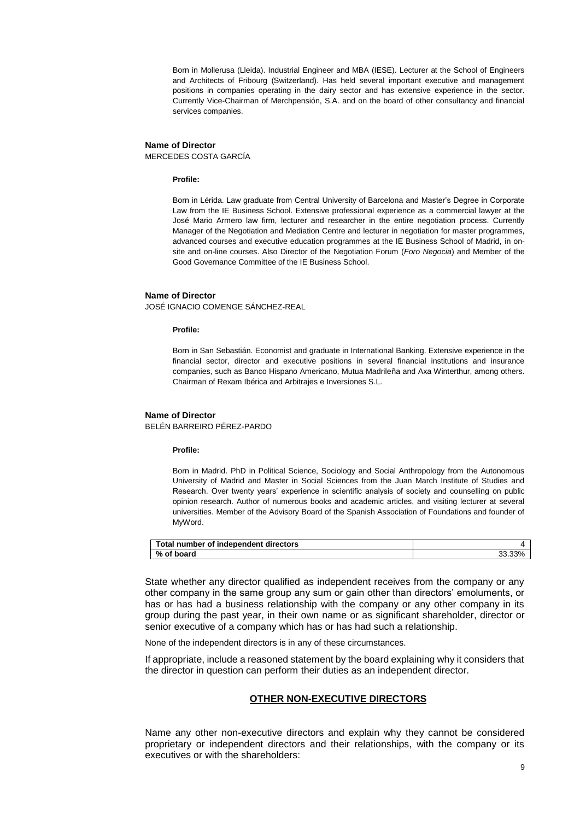Born in Mollerusa (Lleida). Industrial Engineer and MBA (IESE). Lecturer at the School of Engineers and Architects of Fribourg (Switzerland). Has held several important executive and management positions in companies operating in the dairy sector and has extensive experience in the sector. Currently Vice-Chairman of Merchpensión, S.A. and on the board of other consultancy and financial services companies.

### **Name of Director** MERCEDES COSTA GARCÍA

#### **Profile:**

Born in Lérida. Law graduate from Central University of Barcelona and Master's Degree in Corporate Law from the IE Business School. Extensive professional experience as a commercial lawyer at the José Mario Armero law firm, lecturer and researcher in the entire negotiation process. Currently Manager of the Negotiation and Mediation Centre and lecturer in negotiation for master programmes, advanced courses and executive education programmes at the IE Business School of Madrid, in onsite and on-line courses. Also Director of the Negotiation Forum (*Foro Negocia*) and Member of the Good Governance Committee of the IE Business School.

#### **Name of Director**

JOSÉ IGNACIO COMENGE SÁNCHEZ-REAL

#### **Profile:**

Born in San Sebastián. Economist and graduate in International Banking. Extensive experience in the financial sector, director and executive positions in several financial institutions and insurance companies, such as Banco Hispano Americano, Mutua Madrileña and Axa Winterthur, among others. Chairman of Rexam Ibérica and Arbitrajes e Inversiones S.L.

#### **Name of Director**

BELÉN BARREIRO PÉREZ-PARDO

#### **Profile:**

Born in Madrid. PhD in Political Science, Sociology and Social Anthropology from the Autonomous University of Madrid and Master in Social Sciences from the Juan March Institute of Studies and Research. Over twenty years' experience in scientific analysis of society and counselling on public opinion research. Author of numerous books and academic articles, and visiting lecturer at several universities. Member of the Advisory Board of the Spanish Association of Foundations and founder of MyWord.

| Total number of independent directors |            |
|---------------------------------------|------------|
| % of board                            | 33%<br>J., |

State whether any director qualified as independent receives from the company or any other company in the same group any sum or gain other than directors' emoluments, or has or has had a business relationship with the company or any other company in its group during the past year, in their own name or as significant shareholder, director or senior executive of a company which has or has had such a relationship.

None of the independent directors is in any of these circumstances.

If appropriate, include a reasoned statement by the board explaining why it considers that the director in question can perform their duties as an independent director.

### **OTHER NON-EXECUTIVE DIRECTORS**

Name any other non-executive directors and explain why they cannot be considered proprietary or independent directors and their relationships, with the company or its executives or with the shareholders: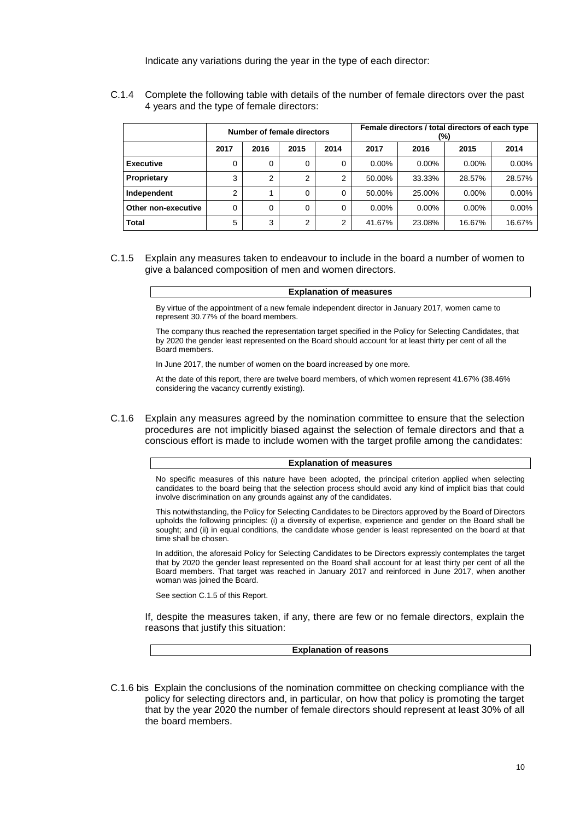Indicate any variations during the year in the type of each director:

|                     | Number of female directors |      |      |      | Female directors / total directors of each type<br>(%) |          |          |          |
|---------------------|----------------------------|------|------|------|--------------------------------------------------------|----------|----------|----------|
|                     | 2017                       | 2016 | 2015 | 2014 | 2017                                                   | 2016     | 2015     | 2014     |
| <b>Executive</b>    | 0                          | 0    | 0    | 0    | $0.00\%$                                               | $0.00\%$ | $0.00\%$ | $0.00\%$ |
| Proprietary         | 3                          | っ    | 2    | 2    | 50.00%                                                 | 33.33%   | 28.57%   | 28.57%   |
| Independent         | 2                          |      | 0    | 0    | 50.00%                                                 | 25.00%   | $0.00\%$ | $0.00\%$ |
| Other non-executive | 0                          | 0    | 0    | 0    | $0.00\%$                                               | $0.00\%$ | $0.00\%$ | $0.00\%$ |
| <b>Total</b>        | 5                          | 3    | 2    | 2    | 41.67%                                                 | 23.08%   | 16.67%   | 16.67%   |

C.1.4 Complete the following table with details of the number of female directors over the past 4 years and the type of female directors:

C.1.5 Explain any measures taken to endeavour to include in the board a number of women to give a balanced composition of men and women directors.

#### **Explanation of measures**

By virtue of the appointment of a new female independent director in January 2017, women came to represent 30.77% of the board members.

The company thus reached the representation target specified in the Policy for Selecting Candidates, that by 2020 the gender least represented on the Board should account for at least thirty per cent of all the Board members.

In June 2017, the number of women on the board increased by one more.

At the date of this report, there are twelve board members, of which women represent 41.67% (38.46% considering the vacancy currently existing).

C.1.6 Explain any measures agreed by the nomination committee to ensure that the selection procedures are not implicitly biased against the selection of female directors and that a conscious effort is made to include women with the target profile among the candidates:

### **Explanation of measures**

No specific measures of this nature have been adopted, the principal criterion applied when selecting candidates to the board being that the selection process should avoid any kind of implicit bias that could involve discrimination on any grounds against any of the candidates.

This notwithstanding, the Policy for Selecting Candidates to be Directors approved by the Board of Directors upholds the following principles: (i) a diversity of expertise, experience and gender on the Board shall be sought; and (ii) in equal conditions, the candidate whose gender is least represented on the board at that time shall be chosen.

In addition, the aforesaid Policy for Selecting Candidates to be Directors expressly contemplates the target that by 2020 the gender least represented on the Board shall account for at least thirty per cent of all the Board members. That target was reached in January 2017 and reinforced in June 2017, when another woman was joined the Board.

See section C.1.5 of this Report.

If, despite the measures taken, if any, there are few or no female directors, explain the reasons that justify this situation:

**Explanation of reasons**

C.1.6 bis Explain the conclusions of the nomination committee on checking compliance with the policy for selecting directors and, in particular, on how that policy is promoting the target that by the year 2020 the number of female directors should represent at least 30% of all the board members.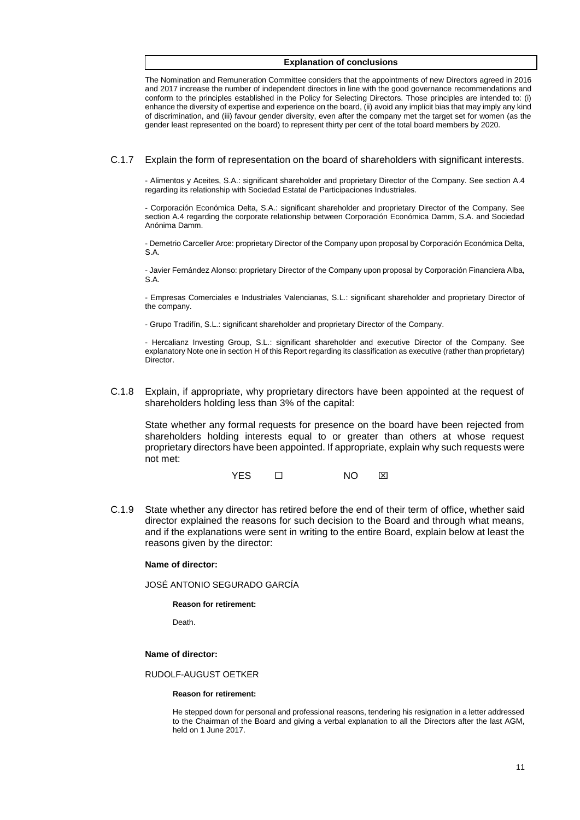#### **Explanation of conclusions**

The Nomination and Remuneration Committee considers that the appointments of new Directors agreed in 2016 and 2017 increase the number of independent directors in line with the good governance recommendations and conform to the principles established in the Policy for Selecting Directors. Those principles are intended to: (i) enhance the diversity of expertise and experience on the board, (ii) avoid any implicit bias that may imply any kind of discrimination, and (iii) favour gender diversity, even after the company met the target set for women (as the gender least represented on the board) to represent thirty per cent of the total board members by 2020.

C.1.7 Explain the form of representation on the board of shareholders with significant interests.

- Alimentos y Aceites, S.A.: significant shareholder and proprietary Director of the Company. See section A.4 regarding its relationship with Sociedad Estatal de Participaciones Industriales.

- Corporación Económica Delta, S.A.: significant shareholder and proprietary Director of the Company. See section A.4 regarding the corporate relationship between Corporación Económica Damm, S.A. and Sociedad Anónima Damm.

- Demetrio Carceller Arce: proprietary Director of the Company upon proposal by Corporación Económica Delta, S.A.

- Javier Fernández Alonso: proprietary Director of the Company upon proposal by Corporación Financiera Alba, S.A.

- Empresas Comerciales e Industriales Valencianas, S.L.: significant shareholder and proprietary Director of the company.

- Grupo Tradifín, S.L.: significant shareholder and proprietary Director of the Company.

- Hercalianz Investing Group, S.L.: significant shareholder and executive Director of the Company. See explanatory Note one in section H of this Report regarding its classification as executive (rather than proprietary) **Director** 

C.1.8 Explain, if appropriate, why proprietary directors have been appointed at the request of shareholders holding less than 3% of the capital:

State whether any formal requests for presence on the board have been rejected from shareholders holding interests equal to or greater than others at whose request proprietary directors have been appointed. If appropriate, explain why such requests were not met:

YES □ NO ⊠

C.1.9 State whether any director has retired before the end of their term of office, whether said director explained the reasons for such decision to the Board and through what means, and if the explanations were sent in writing to the entire Board, explain below at least the reasons given by the director:

#### **Name of director:**

JOSÉ ANTONIO SEGURADO GARCÍA

#### **Reason for retirement:**

Death.

### **Name of director:**

#### RUDOLF-AUGUST OETKER

#### **Reason for retirement:**

He stepped down for personal and professional reasons, tendering his resignation in a letter addressed to the Chairman of the Board and giving a verbal explanation to all the Directors after the last AGM, held on 1 June 2017.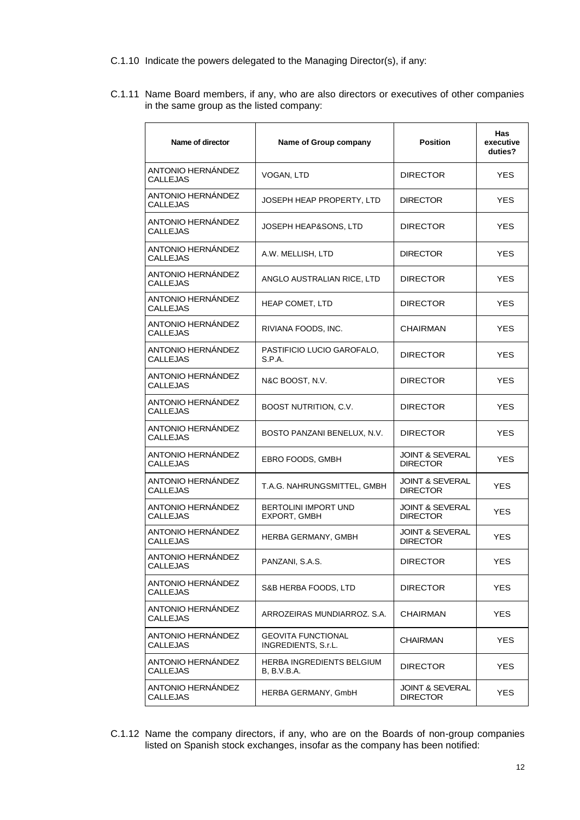- C.1.10 Indicate the powers delegated to the Managing Director(s), if any:
- C.1.11 Name Board members, if any, who are also directors or executives of other companies in the same group as the listed company:

| Name of director                            | Name of Group company                            | <b>Position</b>                               | Has<br>executive<br>duties? |
|---------------------------------------------|--------------------------------------------------|-----------------------------------------------|-----------------------------|
| ANTONIO HERNÁNDEZ<br><b>CALLEJAS</b>        | VOGAN, LTD                                       | <b>DIRECTOR</b>                               | <b>YES</b>                  |
| ANTONIO HERNANDEZ<br><b>CALLEJAS</b>        | JOSEPH HEAP PROPERTY, LTD                        | <b>DIRECTOR</b>                               | <b>YES</b>                  |
| ANTONIO HERNÁNDEZ<br><b>CALLEJAS</b>        | JOSEPH HEAP&SONS, LTD                            | <b>DIRECTOR</b>                               | <b>YES</b>                  |
| ANTONIO HERNÁNDEZ<br><b>CALLEJAS</b>        | A.W. MELLISH, LTD                                | <b>DIRECTOR</b>                               | <b>YES</b>                  |
| ANTONIO HERNANDEZ<br>CALLEJAS               | ANGLO AUSTRALIAN RICE, LTD                       | <b>DIRECTOR</b>                               | <b>YES</b>                  |
| ANTONIO HERNÁNDEZ<br><b>CALLEJAS</b>        | HEAP COMET, LTD                                  | <b>DIRECTOR</b>                               | <b>YES</b>                  |
| ANTONIO HERNANDEZ<br>CALLEJAS               | RIVIANA FOODS, INC.                              | <b>CHAIRMAN</b>                               | <b>YES</b>                  |
| ANTONIO HERNÁNDEZ<br><b>CALLEJAS</b>        | PASTIFICIO LUCIO GAROFALO,<br>S.P.A.             | <b>DIRECTOR</b>                               | <b>YES</b>                  |
| ANTONIO HERNÁNDEZ<br><b>CALLEJAS</b>        | N&C BOOST, N.V.                                  | <b>DIRECTOR</b>                               | <b>YES</b>                  |
| ANTONIO HERNÁNDEZ<br>CALLEJAS               | <b>BOOST NUTRITION, C.V.</b>                     | <b>DIRECTOR</b>                               | <b>YES</b>                  |
| ANTONIO HERNÁNDEZ<br>CALLEJAS               | BOSTO PANZANI BENELUX, N.V.                      | <b>DIRECTOR</b>                               | <b>YES</b>                  |
| ANTONIO HERNÁNDEZ<br><b>CALLEJAS</b>        | EBRO FOODS, GMBH                                 | <b>JOINT &amp; SEVERAL</b><br><b>DIRECTOR</b> | YES.                        |
| ANTONIO HERNÁNDEZ<br>CALLEJAS               | T.A.G. NAHRUNGSMITTEL, GMBH                      | <b>JOINT &amp; SEVERAL</b><br><b>DIRECTOR</b> | <b>YES</b>                  |
| ANTONIO HERNÁNDEZ<br>CALLEJAS               | <b>BERTOLINI IMPORT UND</b><br>EXPORT, GMBH      | <b>JOINT &amp; SEVERAL</b><br><b>DIRECTOR</b> | YES                         |
| ANTONIO HERNÁNDEZ<br><b>CALLEJAS</b>        | HERBA GERMANY, GMBH                              | <b>JOINT &amp; SEVERAL</b><br><b>DIRECTOR</b> | YES                         |
| <b>ANTONIO HERNANDEZ</b><br><b>CALLEJAS</b> | PANZANI, S.A.S.                                  | <b>DIRECTOR</b>                               | <b>YES</b>                  |
| ANTONIO HERNÁNDEZ<br><b>CALLEJAS</b>        | S&B HERBA FOODS, LTD                             | <b>DIRECTOR</b>                               | YES.                        |
| ANTONIO HERNÁNDEZ<br><b>CALLEJAS</b>        | ARROZEIRAS MUNDIARROZ. S.A.                      | <b>CHAIRMAN</b>                               | <b>YES</b>                  |
| ANTONIO HERNÁNDEZ<br><b>CALLEJAS</b>        | <b>GEOVITA FUNCTIONAL</b><br>INGREDIENTS, S.r.L. | CHAIRMAN                                      | YES.                        |
| ANTONIO HERNÁNDEZ<br>CALLEJAS               | HERBA INGREDIENTS BELGIUM<br>B. B.V.B.A.         | <b>DIRECTOR</b>                               | <b>YES</b>                  |
| ANTONIO HERNÁNDEZ<br>CALLEJAS               | HERBA GERMANY, GmbH                              | <b>JOINT &amp; SEVERAL</b><br><b>DIRECTOR</b> | <b>YES</b>                  |

C.1.12 Name the company directors, if any, who are on the Boards of non-group companies listed on Spanish stock exchanges, insofar as the company has been notified: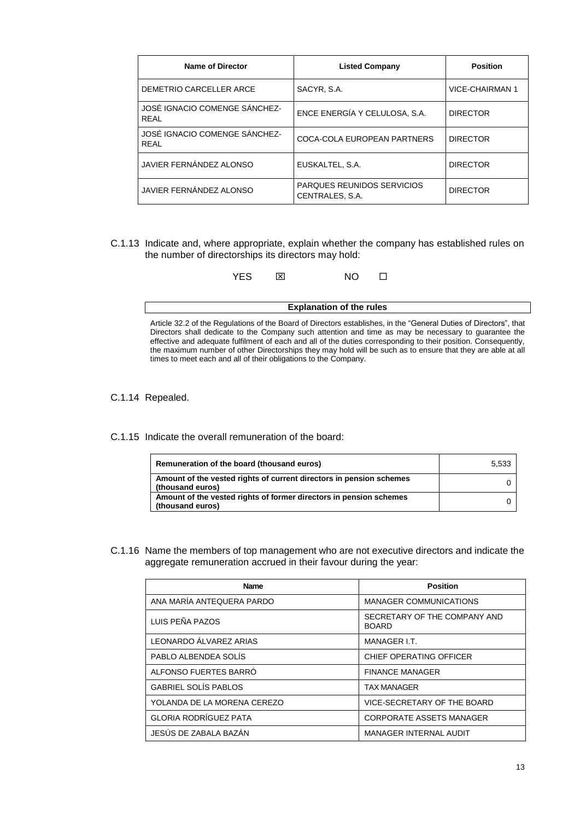| <b>Name of Director</b>                      | <b>Listed Company</b>                                | <b>Position</b> |
|----------------------------------------------|------------------------------------------------------|-----------------|
| DEMETRIO CARCELLER ARCE                      | SACYR, S.A.                                          | VICE-CHAIRMAN 1 |
| JOSÉ IGNACIO COMENGE SÁNCHEZ-<br><b>REAL</b> | ENCE ENERGÍA Y CELULOSA, S.A.                        | <b>DIRECTOR</b> |
| JOSÉ IGNACIO COMENGE SÁNCHEZ-<br>RFAI        | COCA-COLA EUROPEAN PARTNERS                          | <b>DIRECTOR</b> |
| JAVIER FERNÁNDEZ ALONSO                      | EUSKALTEL, S.A.                                      | <b>DIRECTOR</b> |
| JAVIER FERNÁNDEZ ALONSO                      | <b>PARQUES REUNIDOS SERVICIOS</b><br>CENTRALES, S.A. | <b>DIRECTOR</b> |

C.1.13 Indicate and, where appropriate, explain whether the company has established rules on the number of directorships its directors may hold:

|                                                                                                                                                                                                                            | YFS | I×I | NO. |  |  |  |
|----------------------------------------------------------------------------------------------------------------------------------------------------------------------------------------------------------------------------|-----|-----|-----|--|--|--|
| <b>Explanation of the rules</b>                                                                                                                                                                                            |     |     |     |  |  |  |
| Article 32.2 of the Regulations of the Board of Directors establishes, in the "General Duties of Directors", that<br>Directors shall dedicate to the Company such attention and time as may be percessary to quarantee the |     |     |     |  |  |  |

Directors shall dedicate to the Company such attention and time as may be necessary to guarantee the effective and adequate fulfilment of each and all of the duties corresponding to their position. Consequently, the maximum number of other Directorships they may hold will be such as to ensure that they are able at all the maximum names: or other Directorships they may need the times to meet each and all of their obligations to the Company.

C.1.14 Repealed.

C.1.15 Indicate the overall remuneration of the board:

| Remuneration of the board (thousand euros)                                              | 5.533 |
|-----------------------------------------------------------------------------------------|-------|
| Amount of the vested rights of current directors in pension schemes<br>(thousand euros) |       |
| Amount of the vested rights of former directors in pension schemes<br>(thousand euros)  |       |

C.1.16 Name the members of top management who are not executive directors and indicate the aggregate remuneration accrued in their favour during the year:

| <b>Name</b>                  | <b>Position</b>                              |
|------------------------------|----------------------------------------------|
| ANA MARÍA ANTEQUERA PARDO    | <b>MANAGER COMMUNICATIONS</b>                |
| LUIS PEÑA PAZOS              | SECRETARY OF THE COMPANY AND<br><b>BOARD</b> |
| LEONARDO ÁLVAREZ ARIAS       | MANAGER I.T.                                 |
| PABLO ALBENDEA SOLÍS         | CHIEF OPERATING OFFICER                      |
| ALFONSO FUERTES BARRÓ        | <b>FINANCE MANAGER</b>                       |
| <b>GABRIEL SOLÍS PABLOS</b>  | <b>TAX MANAGER</b>                           |
| YOLANDA DE LA MORENA CEREZO  | VICE-SECRETARY OF THE BOARD                  |
| <b>GLORIA RODRÍGUEZ PATA</b> | <b>CORPORATE ASSETS MANAGER</b>              |
| JESÚS DE ZABALA BAZÁN        | <b>MANAGER INTERNAL AUDIT</b>                |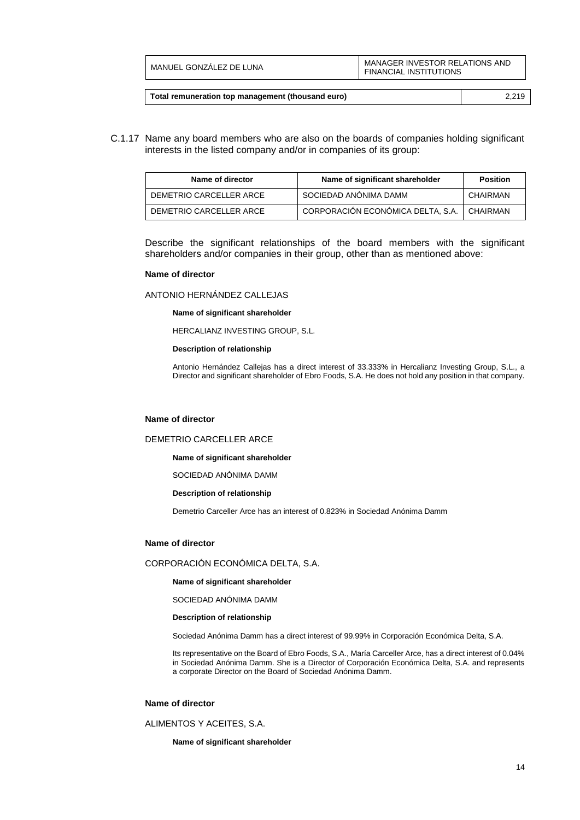| MANUEL GONZALEZ DE LUNA | MANAGER INVESTOR RELATIONS AND<br><b>FINANCIAL INSTITUTIONS</b> |
|-------------------------|-----------------------------------------------------------------|
|                         |                                                                 |

| Total remuneration top management (thousand euro) | 2.219 |
|---------------------------------------------------|-------|
|---------------------------------------------------|-------|

C.1.17 Name any board members who are also on the boards of companies holding significant interests in the listed company and/or in companies of its group:

| Name of director        | Name of significant shareholder   | <b>Position</b> |
|-------------------------|-----------------------------------|-----------------|
| DEMETRIO CARCELLER ARCE | SOCIEDAD ANÓNIMA DAMM             | CHAIRMAN        |
| DEMETRIO CARCELLER ARCE | CORPORACIÓN ECONÓMICA DELTA, S.A. | <b>CHAIRMAN</b> |

Describe the significant relationships of the board members with the significant shareholders and/or companies in their group, other than as mentioned above:

#### **Name of director**

### ANTONIO HERNÁNDEZ CALLEJAS

**Name of significant shareholder**

HERCALIANZ INVESTING GROUP, S.L.

#### **Description of relationship**

Antonio Hernández Callejas has a direct interest of 33.333% in Hercalianz Investing Group, S.L., a Director and significant shareholder of Ebro Foods, S.A. He does not hold any position in that company.

#### **Name of director**

#### DEMETRIO CARCELLER ARCE

**Name of significant shareholder**

SOCIEDAD ANÓNIMA DAMM

#### **Description of relationship**

Demetrio Carceller Arce has an interest of 0.823% in Sociedad Anónima Damm

#### **Name of director**

CORPORACIÓN ECONÓMICA DELTA, S.A.

**Name of significant shareholder**

SOCIEDAD ANÓNIMA DAMM

#### **Description of relationship**

Sociedad Anónima Damm has a direct interest of 99.99% in Corporación Económica Delta, S.A.

Its representative on the Board of Ebro Foods, S.A., María Carceller Arce, has a direct interest of 0.04% in Sociedad Anónima Damm. She is a Director of Corporación Económica Delta, S.A. and represents a corporate Director on the Board of Sociedad Anónima Damm.

#### **Name of director**

ALIMENTOS Y ACEITES, S.A.

**Name of significant shareholder**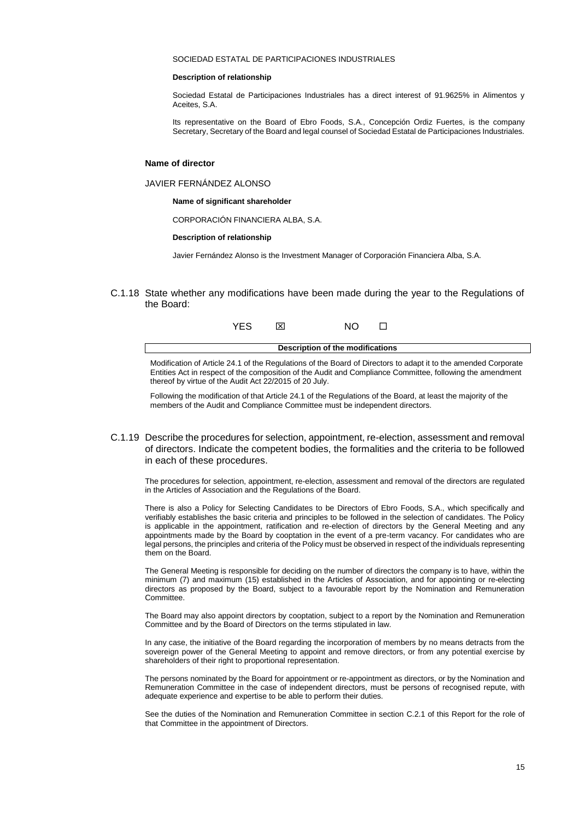#### SOCIEDAD ESTATAL DE PARTICIPACIONES INDUSTRIALES

#### **Description of relationship**

Sociedad Estatal de Participaciones Industriales has a direct interest of 91.9625% in Alimentos y Aceites, S.A.

Its representative on the Board of Ebro Foods, S.A., Concepción Ordiz Fuertes, is the company Secretary, Secretary of the Board and legal counsel of Sociedad Estatal de Participaciones Industriales.

#### **Name of director**

JAVIER FERNÁNDEZ ALONSO

**Name of significant shareholder**

CORPORACIÓN FINANCIERA ALBA, S.A.

**Description of relationship**

Javier Fernández Alonso is the Investment Manager of Corporación Financiera Alba, S.A.

C.1.18 State whether any modifications have been made during the year to the Regulations of the Board:



**Description of the modifications**

Modification of Article 24.1 of the Regulations of the Board of Directors to adapt it to the amended Corporate Entities Act in respect of the composition of the Audit and Compliance Committee, following the amendment thereof by virtue of the Audit Act 22/2015 of 20 July.

Following the modification of that Article 24.1 of the Regulations of the Board, at least the majority of the members of the Audit and Compliance Committee must be independent directors.

C.1.19 Describe the procedures for selection, appointment, re-election, assessment and removal of directors. Indicate the competent bodies, the formalities and the criteria to be followed in each of these procedures.

The procedures for selection, appointment, re-election, assessment and removal of the directors are regulated in the Articles of Association and the Regulations of the Board.

There is also a Policy for Selecting Candidates to be Directors of Ebro Foods, S.A., which specifically and verifiably establishes the basic criteria and principles to be followed in the selection of candidates. The Policy is applicable in the appointment, ratification and re-election of directors by the General Meeting and any appointments made by the Board by cooptation in the event of a pre-term vacancy. For candidates who are legal persons, the principles and criteria of the Policy must be observed in respect of the individuals representing them on the Board.

The General Meeting is responsible for deciding on the number of directors the company is to have, within the minimum (7) and maximum (15) established in the Articles of Association, and for appointing or re-electing directors as proposed by the Board, subject to a favourable report by the Nomination and Remuneration Committee.

The Board may also appoint directors by cooptation, subject to a report by the Nomination and Remuneration Committee and by the Board of Directors on the terms stipulated in law.

In any case, the initiative of the Board regarding the incorporation of members by no means detracts from the sovereign power of the General Meeting to appoint and remove directors, or from any potential exercise by shareholders of their right to proportional representation.

The persons nominated by the Board for appointment or re-appointment as directors, or by the Nomination and Remuneration Committee in the case of independent directors, must be persons of recognised repute, with adequate experience and expertise to be able to perform their duties.

See the duties of the Nomination and Remuneration Committee in section C.2.1 of this Report for the role of that Committee in the appointment of Directors.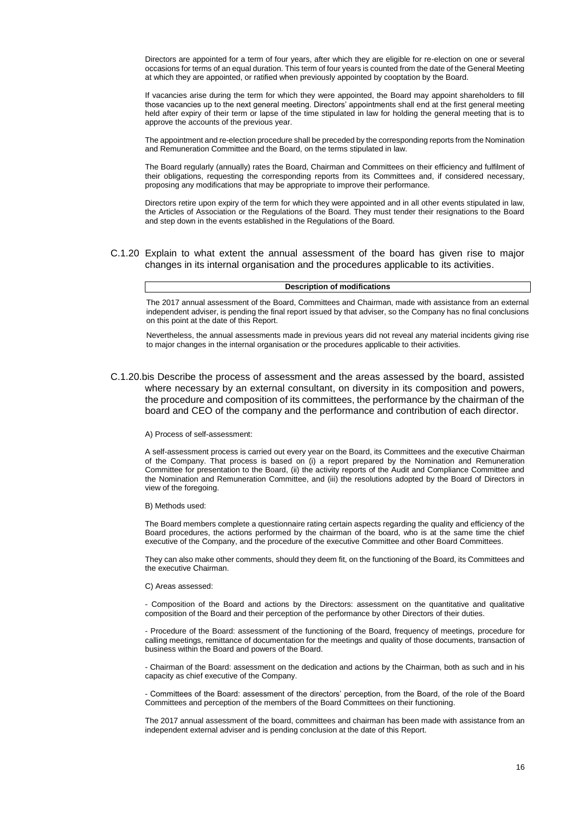Directors are appointed for a term of four years, after which they are eligible for re-election on one or several occasions for terms of an equal duration. This term of four years is counted from the date of the General Meeting at which they are appointed, or ratified when previously appointed by cooptation by the Board.

If vacancies arise during the term for which they were appointed, the Board may appoint shareholders to fill those vacancies up to the next general meeting. Directors' appointments shall end at the first general meeting held after expiry of their term or lapse of the time stipulated in law for holding the general meeting that is to approve the accounts of the previous year.

The appointment and re-election procedure shall be preceded by the corresponding reports from the Nomination and Remuneration Committee and the Board, on the terms stipulated in law.

The Board regularly (annually) rates the Board, Chairman and Committees on their efficiency and fulfilment of their obligations, requesting the corresponding reports from its Committees and, if considered necessary, proposing any modifications that may be appropriate to improve their performance.

Directors retire upon expiry of the term for which they were appointed and in all other events stipulated in law, the Articles of Association or the Regulations of the Board. They must tender their resignations to the Board and step down in the events established in the Regulations of the Board.

C.1.20 Explain to what extent the annual assessment of the board has given rise to major changes in its internal organisation and the procedures applicable to its activities.

#### **Description of modifications**

The 2017 annual assessment of the Board, Committees and Chairman, made with assistance from an external independent adviser, is pending the final report issued by that adviser, so the Company has no final conclusions on this point at the date of this Report.

Nevertheless, the annual assessments made in previous years did not reveal any material incidents giving rise to major changes in the internal organisation or the procedures applicable to their activities.

C.1.20.bis Describe the process of assessment and the areas assessed by the board, assisted where necessary by an external consultant, on diversity in its composition and powers, the procedure and composition of its committees, the performance by the chairman of the board and CEO of the company and the performance and contribution of each director.

#### A) Process of self-assessment:

A self-assessment process is carried out every year on the Board, its Committees and the executive Chairman of the Company. That process is based on (i) a report prepared by the Nomination and Remuneration Committee for presentation to the Board, (ii) the activity reports of the Audit and Compliance Committee and the Nomination and Remuneration Committee, and (iii) the resolutions adopted by the Board of Directors in view of the foregoing.

#### B) Methods used:

The Board members complete a questionnaire rating certain aspects regarding the quality and efficiency of the Board procedures, the actions performed by the chairman of the board, who is at the same time the chief executive of the Company, and the procedure of the executive Committee and other Board Committees.

They can also make other comments, should they deem fit, on the functioning of the Board, its Committees and the executive Chairman.

#### C) Areas assessed:

- Composition of the Board and actions by the Directors: assessment on the quantitative and qualitative composition of the Board and their perception of the performance by other Directors of their duties.

- Procedure of the Board: assessment of the functioning of the Board, frequency of meetings, procedure for calling meetings, remittance of documentation for the meetings and quality of those documents, transaction of business within the Board and powers of the Board.

- Chairman of the Board: assessment on the dedication and actions by the Chairman, both as such and in his capacity as chief executive of the Company.

- Committees of the Board: assessment of the directors' perception, from the Board, of the role of the Board Committees and perception of the members of the Board Committees on their functioning.

The 2017 annual assessment of the board, committees and chairman has been made with assistance from an independent external adviser and is pending conclusion at the date of this Report.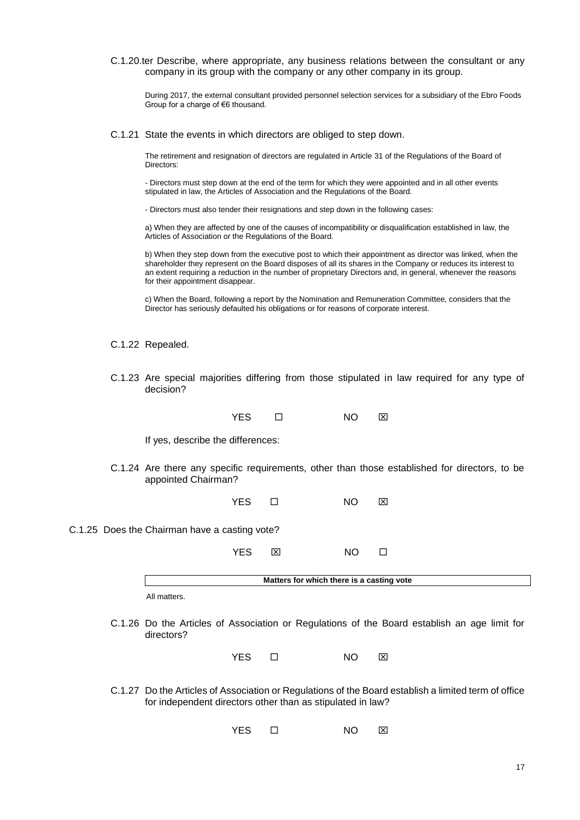C.1.20.ter Describe, where appropriate, any business relations between the consultant or any company in its group with the company or any other company in its group.

During 2017, the external consultant provided personnel selection services for a subsidiary of the Ebro Foods Group for a charge of €6 thousand.

C.1.21 State the events in which directors are obliged to step down.

The retirement and resignation of directors are regulated in Article 31 of the Regulations of the Board of Directors:

- Directors must step down at the end of the term for which they were appointed and in all other events stipulated in law, the Articles of Association and the Regulations of the Board.

- Directors must also tender their resignations and step down in the following cases:

a) When they are affected by one of the causes of incompatibility or disqualification established in law, the Articles of Association or the Regulations of the Board.

b) When they step down from the executive post to which their appointment as director was linked, when the shareholder they represent on the Board disposes of all its shares in the Company or reduces its interest to an extent requiring a reduction in the number of proprietary Directors and, in general, whenever the reasons for their appointment disappear.

c) When the Board, following a report by the Nomination and Remuneration Committee, considers that the Director has seriously defaulted his obligations or for reasons of corporate interest.

C.1.22 Repealed.

C.1.23 Are special majorities differing from those stipulated in law required for any type of decision?

| YES. | NO | Ι×Ι |
|------|----|-----|
|      |    |     |

If yes, describe the differences:

C.1.24 Are there any specific requirements, other than those established for directors, to be appointed Chairman?

YES **O** NO **X** 

C.1.25 Does the Chairman have a casting vote?

YES NO

**Matters for which there is a casting vote**

All matters.

C.1.26 Do the Articles of Association or Regulations of the Board establish an age limit for directors?

YES □ NO ⊠

C.1.27 Do the Articles of Association or Regulations of the Board establish a limited term of office for independent directors other than as stipulated in law?

YES **D** NO **X**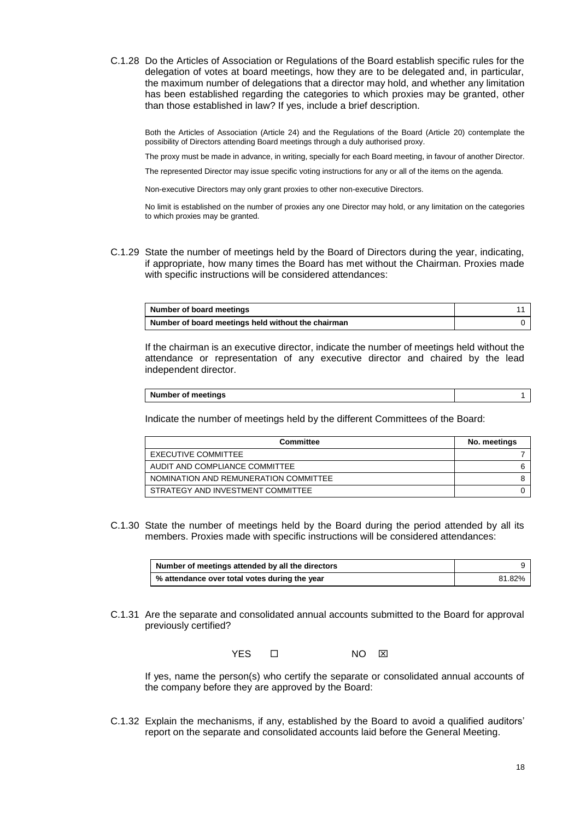C.1.28 Do the Articles of Association or Regulations of the Board establish specific rules for the delegation of votes at board meetings, how they are to be delegated and, in particular, the maximum number of delegations that a director may hold, and whether any limitation has been established regarding the categories to which proxies may be granted, other than those established in law? If yes, include a brief description.

Both the Articles of Association (Article 24) and the Regulations of the Board (Article 20) contemplate the possibility of Directors attending Board meetings through a duly authorised proxy.

The proxy must be made in advance, in writing, specially for each Board meeting, in favour of another Director.

The represented Director may issue specific voting instructions for any or all of the items on the agenda.

Non-executive Directors may only grant proxies to other non-executive Directors.

No limit is established on the number of proxies any one Director may hold, or any limitation on the categories to which proxies may be granted.

C.1.29 State the number of meetings held by the Board of Directors during the year, indicating, if appropriate, how many times the Board has met without the Chairman. Proxies made with specific instructions will be considered attendances:

| Number of board meetings                           |  |
|----------------------------------------------------|--|
| Number of board meetings held without the chairman |  |

If the chairman is an executive director, indicate the number of meetings held without the attendance or representation of any executive director and chaired by the lead independent director.

| Number of meetings |  |
|--------------------|--|

Indicate the number of meetings held by the different Committees of the Board:

| Committee                             | No. meetings |
|---------------------------------------|--------------|
| EXECUTIVE COMMITTEE                   |              |
| AUDIT AND COMPLIANCE COMMITTEE        |              |
| NOMINATION AND REMUNERATION COMMITTEE |              |
| STRATEGY AND INVESTMENT COMMITTEE     |              |

C.1.30 State the number of meetings held by the Board during the period attended by all its members. Proxies made with specific instructions will be considered attendances:

| Number of meetings attended by all the directors |        |
|--------------------------------------------------|--------|
| % attendance over total votes during the year    | 81.82% |

C.1.31 Are the separate and consolidated annual accounts submitted to the Board for approval previously certified?

YES  $\square$  NO  $\square$ 

If yes, name the person(s) who certify the separate or consolidated annual accounts of the company before they are approved by the Board:

C.1.32 Explain the mechanisms, if any, established by the Board to avoid a qualified auditors' report on the separate and consolidated accounts laid before the General Meeting.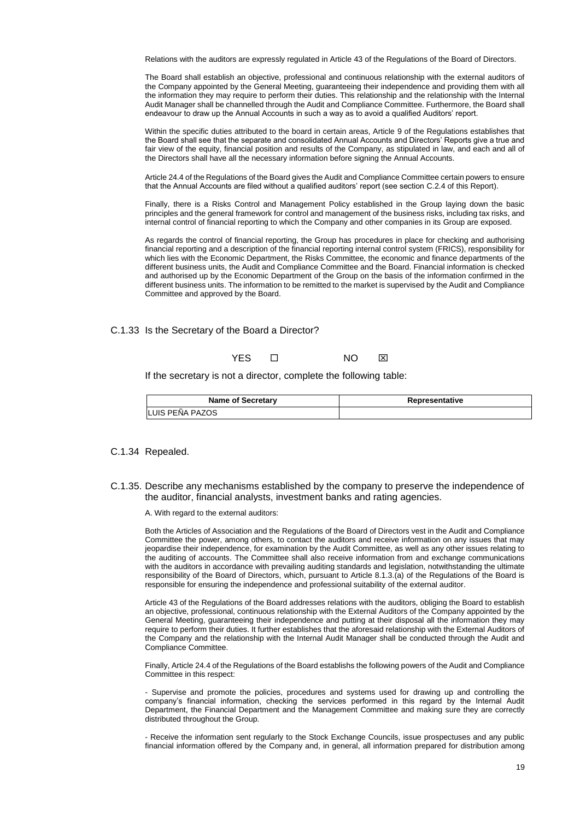Relations with the auditors are expressly regulated in Article 43 of the Regulations of the Board of Directors.

The Board shall establish an objective, professional and continuous relationship with the external auditors of the Company appointed by the General Meeting, guaranteeing their independence and providing them with all the information they may require to perform their duties. This relationship and the relationship with the Internal Audit Manager shall be channelled through the Audit and Compliance Committee. Furthermore, the Board shall endeavour to draw up the Annual Accounts in such a way as to avoid a qualified Auditors' report.

Within the specific duties attributed to the board in certain areas, Article 9 of the Regulations establishes that the Board shall see that the separate and consolidated Annual Accounts and Directors' Reports give a true and fair view of the equity, financial position and results of the Company, as stipulated in law, and each and all of the Directors shall have all the necessary information before signing the Annual Accounts.

Article 24.4 of the Regulations of the Board gives the Audit and Compliance Committee certain powers to ensure that the Annual Accounts are filed without a qualified auditors' report (see section C.2.4 of this Report).

Finally, there is a Risks Control and Management Policy established in the Group laying down the basic principles and the general framework for control and management of the business risks, including tax risks, and internal control of financial reporting to which the Company and other companies in its Group are exposed.

As regards the control of financial reporting, the Group has procedures in place for checking and authorising financial reporting and a description of the financial reporting internal control system (FRICS), responsibility for which lies with the Economic Department, the Risks Committee, the economic and finance departments of the different business units, the Audit and Compliance Committee and the Board. Financial information is checked and authorised up by the Economic Department of the Group on the basis of the information confirmed in the different business units. The information to be remitted to the market is supervised by the Audit and Compliance Committee and approved by the Board.

C.1.33 Is the Secretary of the Board a Director?

YES **O NO X** 

If the secretary is not a director, complete the following table:

| <b>Name of Secretary</b> | Representative |
|--------------------------|----------------|
| <b>ILUIS PENA PAZOS</b>  |                |

#### C.1.34 Repealed.

C.1.35. Describe any mechanisms established by the company to preserve the independence of the auditor, financial analysts, investment banks and rating agencies.

A. With regard to the external auditors:

Both the Articles of Association and the Regulations of the Board of Directors vest in the Audit and Compliance Committee the power, among others, to contact the auditors and receive information on any issues that may jeopardise their independence, for examination by the Audit Committee, as well as any other issues relating to the auditing of accounts. The Committee shall also receive information from and exchange communications with the auditors in accordance with prevailing auditing standards and legislation, notwithstanding the ultimate responsibility of the Board of Directors, which, pursuant to Article 8.1.3.(a) of the Regulations of the Board is responsible for ensuring the independence and professional suitability of the external auditor.

Article 43 of the Regulations of the Board addresses relations with the auditors, obliging the Board to establish an objective, professional, continuous relationship with the External Auditors of the Company appointed by the General Meeting, guaranteeing their independence and putting at their disposal all the information they may require to perform their duties. It further establishes that the aforesaid relationship with the External Auditors of the Company and the relationship with the Internal Audit Manager shall be conducted through the Audit and Compliance Committee.

Finally, Article 24.4 of the Regulations of the Board establishs the following powers of the Audit and Compliance Committee in this respect:

- Supervise and promote the policies, procedures and systems used for drawing up and controlling the company's financial information, checking the services performed in this regard by the Internal Audit Department, the Financial Department and the Management Committee and making sure they are correctly distributed throughout the Group.

- Receive the information sent regularly to the Stock Exchange Councils, issue prospectuses and any public financial information offered by the Company and, in general, all information prepared for distribution among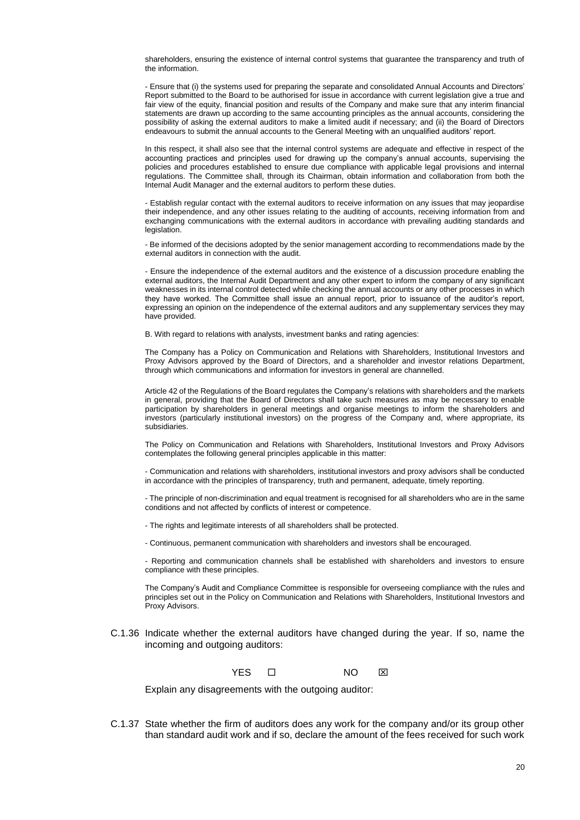shareholders, ensuring the existence of internal control systems that guarantee the transparency and truth of the information.

- Ensure that (i) the systems used for preparing the separate and consolidated Annual Accounts and Directors' Report submitted to the Board to be authorised for issue in accordance with current legislation give a true and fair view of the equity, financial position and results of the Company and make sure that any interim financial statements are drawn up according to the same accounting principles as the annual accounts, considering the possibility of asking the external auditors to make a limited audit if necessary; and (ii) the Board of Directors endeavours to submit the annual accounts to the General Meeting with an unqualified auditors' report.

In this respect, it shall also see that the internal control systems are adequate and effective in respect of the accounting practices and principles used for drawing up the company's annual accounts, supervising the policies and procedures established to ensure due compliance with applicable legal provisions and internal regulations. The Committee shall, through its Chairman, obtain information and collaboration from both the Internal Audit Manager and the external auditors to perform these duties.

- Establish regular contact with the external auditors to receive information on any issues that may jeopardise their independence, and any other issues relating to the auditing of accounts, receiving information from and exchanging communications with the external auditors in accordance with prevailing auditing standards and legislation.

- Be informed of the decisions adopted by the senior management according to recommendations made by the external auditors in connection with the audit.

- Ensure the independence of the external auditors and the existence of a discussion procedure enabling the external auditors, the Internal Audit Department and any other expert to inform the company of any significant weaknesses in its internal control detected while checking the annual accounts or any other processes in which they have worked. The Committee shall issue an annual report, prior to issuance of the auditor's report, expressing an opinion on the independence of the external auditors and any supplementary services they may have provided.

B. With regard to relations with analysts, investment banks and rating agencies:

The Company has a Policy on Communication and Relations with Shareholders, Institutional Investors and Proxy Advisors approved by the Board of Directors, and a shareholder and investor relations Department, through which communications and information for investors in general are channelled.

Article 42 of the Regulations of the Board regulates the Company's relations with shareholders and the markets in general, providing that the Board of Directors shall take such measures as may be necessary to enable participation by shareholders in general meetings and organise meetings to inform the shareholders and investors (particularly institutional investors) on the progress of the Company and, where appropriate, its subsidiaries.

The Policy on Communication and Relations with Shareholders, Institutional Investors and Proxy Advisors contemplates the following general principles applicable in this matter:

- Communication and relations with shareholders, institutional investors and proxy advisors shall be conducted in accordance with the principles of transparency, truth and permanent, adequate, timely reporting.

- The principle of non-discrimination and equal treatment is recognised for all shareholders who are in the same conditions and not affected by conflicts of interest or competence.

- The rights and legitimate interests of all shareholders shall be protected.
- Continuous, permanent communication with shareholders and investors shall be encouraged.

- Reporting and communication channels shall be established with shareholders and investors to ensure compliance with these principles.

The Company's Audit and Compliance Committee is responsible for overseeing compliance with the rules and principles set out in the Policy on Communication and Relations with Shareholders, Institutional Investors and Proxy Advisors.

C.1.36 Indicate whether the external auditors have changed during the year. If so, name the incoming and outgoing auditors:



Explain any disagreements with the outgoing auditor:

C.1.37 State whether the firm of auditors does any work for the company and/or its group other than standard audit work and if so, declare the amount of the fees received for such work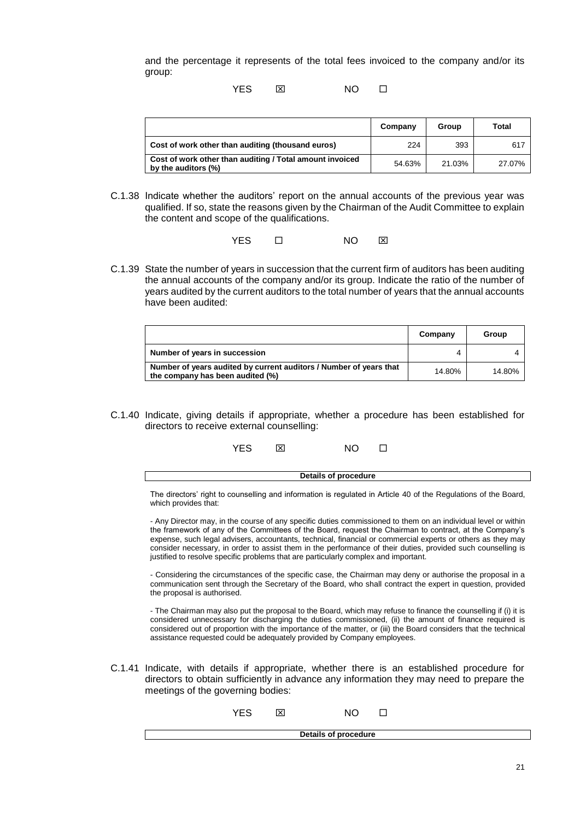and the percentage it represents of the total fees invoiced to the company and/or its group:

YES NO

|                                                                                 | Company | Group  | Total  |
|---------------------------------------------------------------------------------|---------|--------|--------|
| Cost of work other than auditing (thousand euros)                               | 224     | 393    | 617    |
| Cost of work other than auditing / Total amount invoiced<br>by the auditors (%) | 54.63%  | 21.03% | 27.07% |

C.1.38 Indicate whether the auditors' report on the annual accounts of the previous year was qualified. If so, state the reasons given by the Chairman of the Audit Committee to explain the content and scope of the qualifications.

YES O NO **X** 

C.1.39 State the number of years in succession that the current firm of auditors has been auditing the annual accounts of the company and/or its group. Indicate the ratio of the number of years audited by the current auditors to the total number of years that the annual accounts have been audited:

|                                                                                                        | Company | Group  |
|--------------------------------------------------------------------------------------------------------|---------|--------|
| Number of years in succession                                                                          |         |        |
| Number of years audited by current auditors / Number of years that<br>the company has been audited (%) | 14.80%  | 14.80% |

C.1.40 Indicate, giving details if appropriate, whether a procedure has been established for directors to receive external counselling:

| YES. | ⊠ | NΟ |  |
|------|---|----|--|
|      |   |    |  |

The directors' right to counselling and information is regulated in Article 40 of the Regulations of the Board, which provides that:

**Details of procedure**

- Any Director may, in the course of any specific duties commissioned to them on an individual level or within the framework of any of the Committees of the Board, request the Chairman to contract, at the Company's expense, such legal advisers, accountants, technical, financial or commercial experts or others as they may consider necessary, in order to assist them in the performance of their duties, provided such counselling is justified to resolve specific problems that are particularly complex and important.

- Considering the circumstances of the specific case, the Chairman may deny or authorise the proposal in a communication sent through the Secretary of the Board, who shall contract the expert in question, provided the proposal is authorised.

- The Chairman may also put the proposal to the Board, which may refuse to finance the counselling if (i) it is considered unnecessary for discharging the duties commissioned, (ii) the amount of finance required is considered out of proportion with the importance of the matter, or (iii) the Board considers that the technical assistance requested could be adequately provided by Company employees.

C.1.41 Indicate, with details if appropriate, whether there is an established procedure for directors to obtain sufficiently in advance any information they may need to prepare the meetings of the governing bodies:

| <b>YES</b> | ×                    | NΟ |  |  |
|------------|----------------------|----|--|--|
|            | Details of procedure |    |  |  |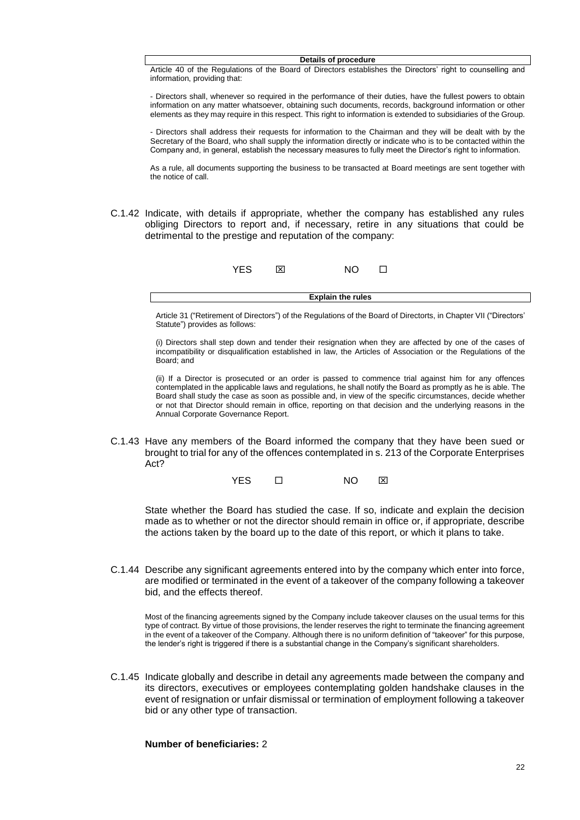#### **Details of procedure**

Article 40 of the Regulations of the Board of Directors establishes the Directors' right to counselling and information, providing that:

- Directors shall, whenever so required in the performance of their duties, have the fullest powers to obtain information on any matter whatsoever, obtaining such documents, records, background information or other elements as they may require in this respect. This right to information is extended to subsidiaries of the Group.

- Directors shall address their requests for information to the Chairman and they will be dealt with by the Secretary of the Board, who shall supply the information directly or indicate who is to be contacted within the Company and, in general, establish the necessary measures to fully meet the Director's right to information.

As a rule, all documents supporting the business to be transacted at Board meetings are sent together with the notice of call.

C.1.42 Indicate, with details if appropriate, whether the company has established any rules obliging Directors to report and, if necessary, retire in any situations that could be detrimental to the prestige and reputation of the company:

|  | NO O |  |
|--|------|--|
|  |      |  |

Article 31 ("Retirement of Directors") of the Regulations of the Board of Directorts, in Chapter VII ("Directors' Statute") provides as follows:

**Explain the rules**

(i) Directors shall step down and tender their resignation when they are affected by one of the cases of incompatibility or disqualification established in law, the Articles of Association or the Regulations of the Board; and

(ii) If a Director is prosecuted or an order is passed to commence trial against him for any offences contemplated in the applicable laws and regulations, he shall notify the Board as promptly as he is able. The Board shall study the case as soon as possible and, in view of the specific circumstances, decide whether or not that Director should remain in office, reporting on that decision and the underlying reasons in the Annual Corporate Governance Report.

C.1.43 Have any members of the Board informed the company that they have been sued or brought to trial for any of the offences contemplated in s. 213 of the Corporate Enterprises Act?

YES  $\square$  NO  $\boxtimes$ 

State whether the Board has studied the case. If so, indicate and explain the decision made as to whether or not the director should remain in office or, if appropriate, describe the actions taken by the board up to the date of this report, or which it plans to take.

C.1.44 Describe any significant agreements entered into by the company which enter into force, are modified or terminated in the event of a takeover of the company following a takeover bid, and the effects thereof.

Most of the financing agreements signed by the Company include takeover clauses on the usual terms for this type of contract. By virtue of those provisions, the lender reserves the right to terminate the financing agreement in the event of a takeover of the Company. Although there is no uniform definition of "takeover" for this purpose, the lender's right is triggered if there is a substantial change in the Company's significant shareholders.

C.1.45 Indicate globally and describe in detail any agreements made between the company and its directors, executives or employees contemplating golden handshake clauses in the event of resignation or unfair dismissal or termination of employment following a takeover bid or any other type of transaction.

### **Number of beneficiaries:** 2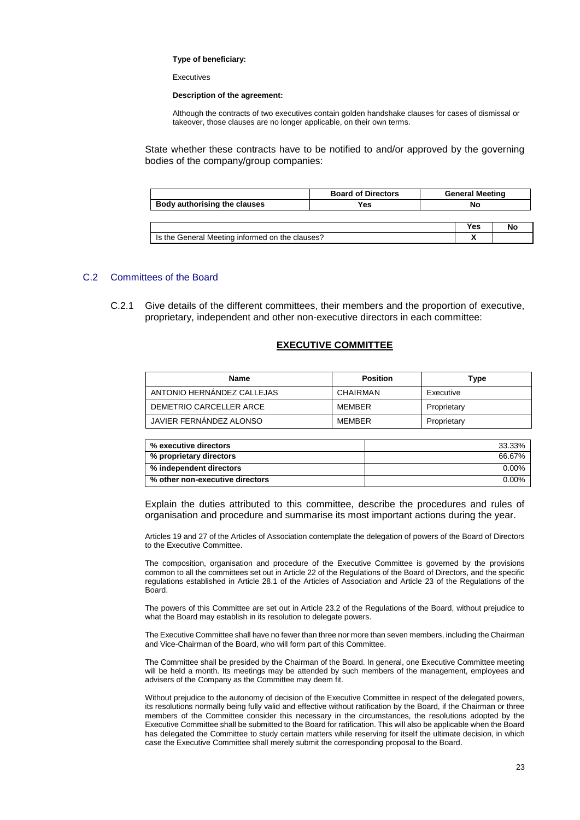#### **Type of beneficiary:**

Executives

#### **Description of the agreement:**

Although the contracts of two executives contain golden handshake clauses for cases of dismissal or takeover, those clauses are no longer applicable, on their own terms.

State whether these contracts have to be notified to and/or approved by the governing bodies of the company/group companies:

|                                                 | <b>Board of Directors</b> | <b>General Meeting</b> |    |
|-------------------------------------------------|---------------------------|------------------------|----|
| Body authorising the clauses                    | Yes                       | No                     |    |
|                                                 |                           |                        |    |
|                                                 |                           | <b>Yes</b>             | No |
| Is the General Meeting informed on the clauses? |                           |                        |    |

### C.2 Committees of the Board

C.2.1 Give details of the different committees, their members and the proportion of executive, proprietary, independent and other non-executive directors in each committee:

### **EXECUTIVE COMMITTEE**

| Name                       | <b>Position</b> | Type        |
|----------------------------|-----------------|-------------|
| ANTONIO HERNANDEZ CALLEJAS | CHAIRMAN        | Executive   |
| DEMETRIO CARCELLER ARCE    | MEMBER          | Proprietary |
| JAVIER FERNANDEZ ALONSO    | MFMBFR          | Proprietary |

| % executive directors           | 33.33%   |
|---------------------------------|----------|
| % proprietary directors         | 66.67%   |
| % independent directors         | 0.00%    |
| % other non-executive directors | $0.00\%$ |

Explain the duties attributed to this committee, describe the procedures and rules of organisation and procedure and summarise its most important actions during the year.

Articles 19 and 27 of the Articles of Association contemplate the delegation of powers of the Board of Directors to the Executive Committee.

The composition, organisation and procedure of the Executive Committee is governed by the provisions common to all the committees set out in Article 22 of the Regulations of the Board of Directors, and the specific regulations established in Article 28.1 of the Articles of Association and Article 23 of the Regulations of the Board.

The powers of this Committee are set out in Article 23.2 of the Regulations of the Board, without prejudice to what the Board may establish in its resolution to delegate powers.

The Executive Committee shall have no fewer than three nor more than seven members, including the Chairman and Vice-Chairman of the Board, who will form part of this Committee.

The Committee shall be presided by the Chairman of the Board. In general, one Executive Committee meeting will be held a month. Its meetings may be attended by such members of the management, employees and advisers of the Company as the Committee may deem fit.

Without prejudice to the autonomy of decision of the Executive Committee in respect of the delegated powers, its resolutions normally being fully valid and effective without ratification by the Board, if the Chairman or three members of the Committee consider this necessary in the circumstances, the resolutions adopted by the Executive Committee shall be submitted to the Board for ratification. This will also be applicable when the Board has delegated the Committee to study certain matters while reserving for itself the ultimate decision, in which case the Executive Committee shall merely submit the corresponding proposal to the Board.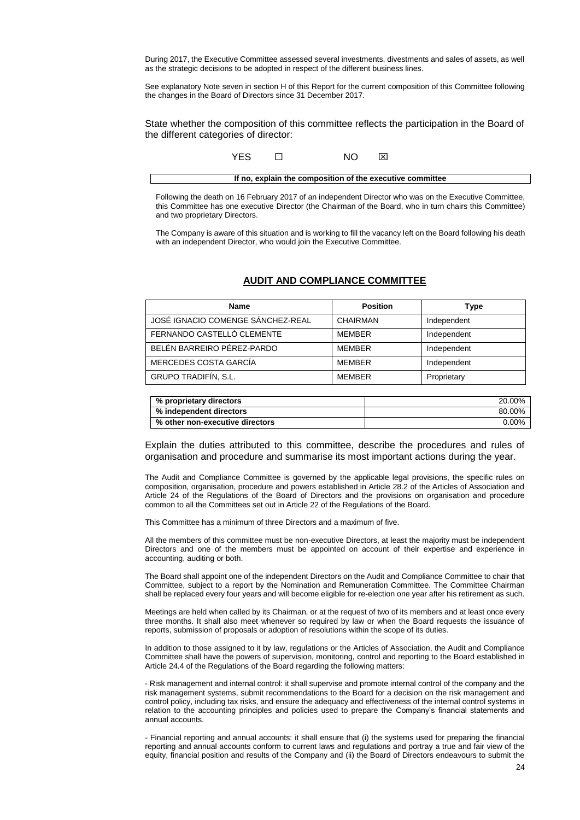During 2017, the Executive Committee assessed several investments, divestments and sales of assets, as well as the strategic decisions to be adopted in respect of the different business lines.

See explanatory Note seven in section H of this Report for the current composition of this Committee following the changes in the Board of Directors since 31 December 2017.

State whether the composition of this committee reflects the participation in the Board of the different categories of director:

| YFS | NΟ | I×I                                                       |
|-----|----|-----------------------------------------------------------|
|     |    | If no, explain the composition of the executive committee |

Following the death on 16 February 2017 of an independent Director who was on the Executive Committee, this Committee has one executive Director (the Chairman of the Board, who in turn chairs this Committee) and two proprietary Directors.

The Company is aware of this situation and is working to fill the vacancy left on the Board following his death with an independent Director, who would join the Executive Committee.

### **AUDIT AND COMPLIANCE COMMITTEE**

| <b>Name</b>                       | <b>Position</b> | Type        |
|-----------------------------------|-----------------|-------------|
| JOSÉ IGNACIO COMENGE SÁNCHEZ-REAL | CHAIRMAN        | Independent |
| FERNANDO CASTELLÓ CLEMENTE        | MEMBER          | Independent |
| BELÉN BARREIRO PÉREZ-PARDO        | MEMBER          | Independent |
| MERCEDES COSTA GARCÍA             | MEMBER          | Independent |
| GRUPO TRADIFÍN, S.L.              | <b>MFMBFR</b>   | Proprietary |

| % proprietary directors         | 20.00%   |
|---------------------------------|----------|
| % independent directors         | 80.00%   |
| % other non-executive directors | $0.00\%$ |

Explain the duties attributed to this committee, describe the procedures and rules of organisation and procedure and summarise its most important actions during the year.

The Audit and Compliance Committee is governed by the applicable legal provisions, the specific rules on composition, organisation, procedure and powers established in Article 28.2 of the Articles of Association and Article 24 of the Regulations of the Board of Directors and the provisions on organisation and procedure common to all the Committees set out in Article 22 of the Regulations of the Board.

This Committee has a minimum of three Directors and a maximum of five.

All the members of this committee must be non-executive Directors, at least the majority must be independent Directors and one of the members must be appointed on account of their expertise and experience in accounting, auditing or both.

The Board shall appoint one of the independent Directors on the Audit and Compliance Committee to chair that Committee, subject to a report by the Nomination and Remuneration Committee. The Committee Chairman shall be replaced every four years and will become eligible for re-election one year after his retirement as such.

Meetings are held when called by its Chairman, or at the request of two of its members and at least once every three months. It shall also meet whenever so required by law or when the Board requests the issuance of reports, submission of proposals or adoption of resolutions within the scope of its duties.

In addition to those assigned to it by law, regulations or the Articles of Association, the Audit and Compliance Committee shall have the powers of supervision, monitoring, control and reporting to the Board established in Article 24.4 of the Regulations of the Board regarding the following matters:

- Risk management and internal control: it shall supervise and promote internal control of the company and the risk management systems, submit recommendations to the Board for a decision on the risk management and control policy, including tax risks, and ensure the adequacy and effectiveness of the internal control systems in relation to the accounting principles and policies used to prepare the Company's financial statements and annual accounts.

- Financial reporting and annual accounts: it shall ensure that (i) the systems used for preparing the financial reporting and annual accounts conform to current laws and regulations and portray a true and fair view of the equity, financial position and results of the Company and (ii) the Board of Directors endeavours to submit the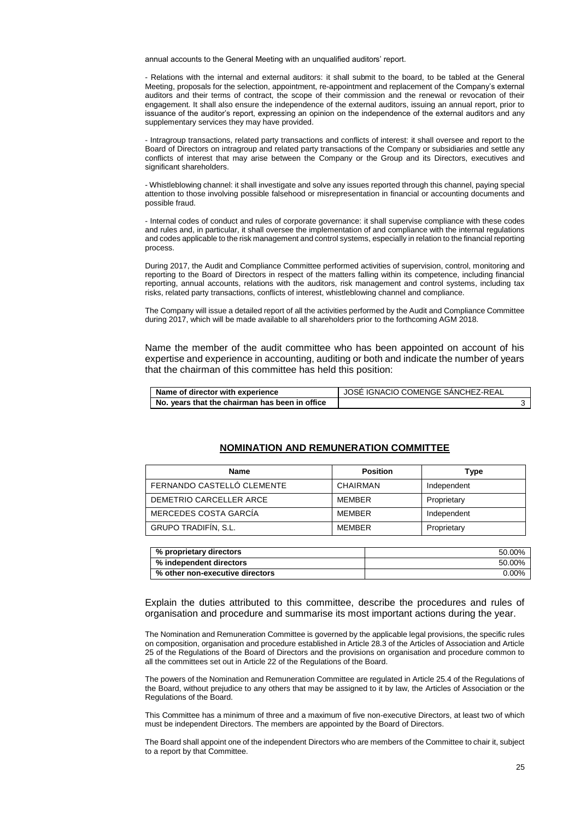annual accounts to the General Meeting with an unqualified auditors' report.

- Relations with the internal and external auditors: it shall submit to the board, to be tabled at the General Meeting, proposals for the selection, appointment, re-appointment and replacement of the Company's external auditors and their terms of contract, the scope of their commission and the renewal or revocation of their engagement. It shall also ensure the independence of the external auditors, issuing an annual report, prior to issuance of the auditor's report, expressing an opinion on the independence of the external auditors and any supplementary services they may have provided.

- Intragroup transactions, related party transactions and conflicts of interest: it shall oversee and report to the Board of Directors on intragroup and related party transactions of the Company or subsidiaries and settle any conflicts of interest that may arise between the Company or the Group and its Directors, executives and significant shareholders.

- Whistleblowing channel: it shall investigate and solve any issues reported through this channel, paying special attention to those involving possible falsehood or misrepresentation in financial or accounting documents and possible fraud.

- Internal codes of conduct and rules of corporate governance: it shall supervise compliance with these codes and rules and, in particular, it shall oversee the implementation of and compliance with the internal regulations and codes applicable to the risk management and control systems, especially in relation to the financial reporting process.

During 2017, the Audit and Compliance Committee performed activities of supervision, control, monitoring and reporting to the Board of Directors in respect of the matters falling within its competence, including financial reporting, annual accounts, relations with the auditors, risk management and control systems, including tax risks, related party transactions, conflicts of interest, whistleblowing channel and compliance.

The Company will issue a detailed report of all the activities performed by the Audit and Compliance Committee during 2017, which will be made available to all shareholders prior to the forthcoming AGM 2018.

Name the member of the audit committee who has been appointed on account of his expertise and experience in accounting, auditing or both and indicate the number of years that the chairman of this committee has held this position:

| Name of director with experience               | I JOSÉ IGNACIO COMENGE SANCHEZ-REAL |  |
|------------------------------------------------|-------------------------------------|--|
| No. years that the chairman has been in office |                                     |  |

#### **NOMINATION AND REMUNERATION COMMITTEE**

| Name                       | <b>Position</b> | Type        |
|----------------------------|-----------------|-------------|
| FERNANDO CASTELLÓ CLEMENTE | CHAIRMAN        | Independent |
| DEMETRIO CARCELLER ARCE    | <b>MFMBFR</b>   | Proprietary |
| MERCEDES COSTA GARCÍA      | <b>MFMBFR</b>   | Independent |
| GRUPO TRADIFÍN, S.L.       | <b>MFMBFR</b>   | Proprietary |

| % proprietary directors         | 50.00%   |
|---------------------------------|----------|
| % independent directors         | 50.00%   |
| % other non-executive directors | $0.00\%$ |

Explain the duties attributed to this committee, describe the procedures and rules of organisation and procedure and summarise its most important actions during the year.

The Nomination and Remuneration Committee is governed by the applicable legal provisions, the specific rules on composition, organisation and procedure established in Article 28.3 of the Articles of Association and Article 25 of the Regulations of the Board of Directors and the provisions on organisation and procedure common to all the committees set out in Article 22 of the Regulations of the Board.

The powers of the Nomination and Remuneration Committee are regulated in Article 25.4 of the Regulations of the Board, without prejudice to any others that may be assigned to it by law, the Articles of Association or the Regulations of the Board.

This Committee has a minimum of three and a maximum of five non-executive Directors, at least two of which must be independent Directors. The members are appointed by the Board of Directors.

The Board shall appoint one of the independent Directors who are members of the Committee to chair it, subject to a report by that Committee.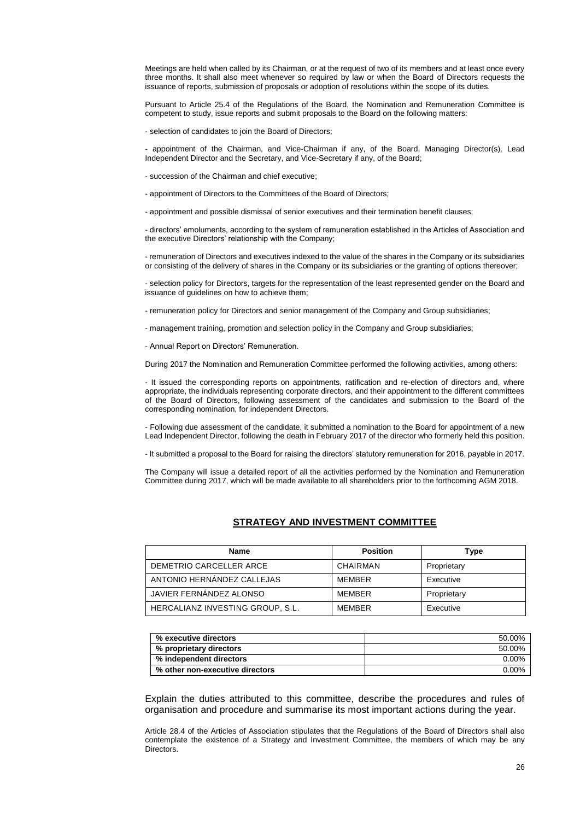Meetings are held when called by its Chairman, or at the request of two of its members and at least once every three months. It shall also meet whenever so required by law or when the Board of Directors requests the issuance of reports, submission of proposals or adoption of resolutions within the scope of its duties.

Pursuant to Article 25.4 of the Regulations of the Board, the Nomination and Remuneration Committee is competent to study, issue reports and submit proposals to the Board on the following matters:

- selection of candidates to join the Board of Directors;

- appointment of the Chairman, and Vice-Chairman if any, of the Board, Managing Director(s), Lead Independent Director and the Secretary, and Vice-Secretary if any, of the Board;

- succession of the Chairman and chief executive;

- appointment of Directors to the Committees of the Board of Directors;

- appointment and possible dismissal of senior executives and their termination benefit clauses;

- directors' emoluments, according to the system of remuneration established in the Articles of Association and the executive Directors' relationship with the Company;

- remuneration of Directors and executives indexed to the value of the shares in the Company or its subsidiaries or consisting of the delivery of shares in the Company or its subsidiaries or the granting of options thereover;

- selection policy for Directors, targets for the representation of the least represented gender on the Board and issuance of guidelines on how to achieve them;

- remuneration policy for Directors and senior management of the Company and Group subsidiaries;

- management training, promotion and selection policy in the Company and Group subsidiaries;

- Annual Report on Directors' Remuneration.

During 2017 the Nomination and Remuneration Committee performed the following activities, among others:

- It issued the corresponding reports on appointments, ratification and re-election of directors and, where appropriate, the individuals representing corporate directors, and their appointment to the different committees of the Board of Directors, following assessment of the candidates and submission to the Board of the corresponding nomination, for independent Directors.

- Following due assessment of the candidate, it submitted a nomination to the Board for appointment of a new Lead Independent Director, following the death in February 2017 of the director who formerly held this position.

- It submitted a proposal to the Board for raising the directors' statutory remuneration for 2016, payable in 2017.

The Company will issue a detailed report of all the activities performed by the Nomination and Remuneration Committee during 2017, which will be made available to all shareholders prior to the forthcoming AGM 2018.

### **STRATEGY AND INVESTMENT COMMITTEE**

| Name                             | <b>Position</b> | Type        |
|----------------------------------|-----------------|-------------|
| DEMETRIO CARCELLER ARCE          | CHAIRMAN        | Proprietary |
| ANTONIO HERNÁNDEZ CALLEJAS       | <b>MFMBFR</b>   | Executive   |
| JAVIER FERNÁNDEZ ALONSO          | <b>MFMBFR</b>   | Proprietary |
| HERCALIANZ INVESTING GROUP. S.L. | <b>MFMBFR</b>   | Executive   |

| % executive directors           | 50.00%   |
|---------------------------------|----------|
| % proprietary directors         | 50.00%   |
| % independent directors         | 0.00%    |
| % other non-executive directors | $0.00\%$ |

Explain the duties attributed to this committee, describe the procedures and rules of organisation and procedure and summarise its most important actions during the year.

Article 28.4 of the Articles of Association stipulates that the Regulations of the Board of Directors shall also contemplate the existence of a Strategy and Investment Committee, the members of which may be any Directors.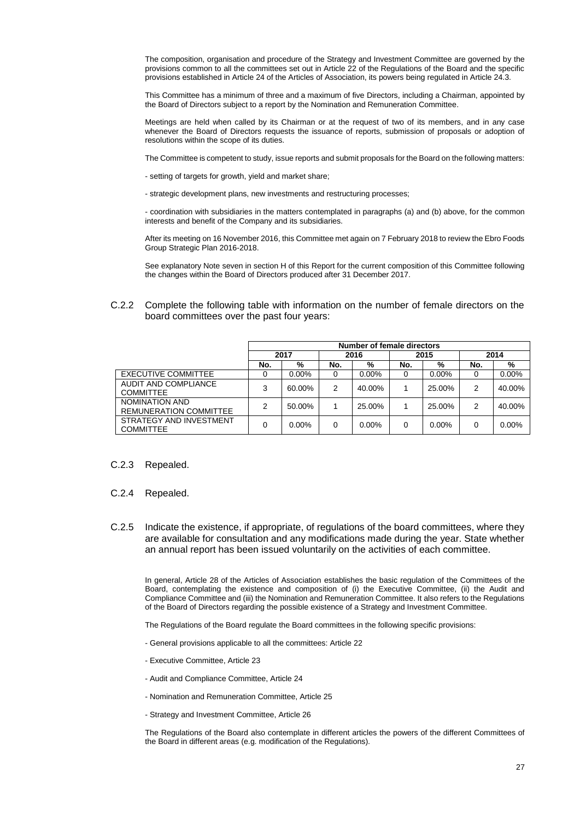The composition, organisation and procedure of the Strategy and Investment Committee are governed by the provisions common to all the committees set out in Article 22 of the Regulations of the Board and the specific provisions established in Article 24 of the Articles of Association, its powers being regulated in Article 24.3.

This Committee has a minimum of three and a maximum of five Directors, including a Chairman, appointed by the Board of Directors subject to a report by the Nomination and Remuneration Committee.

Meetings are held when called by its Chairman or at the request of two of its members, and in any case whenever the Board of Directors requests the issuance of reports, submission of proposals or adoption of resolutions within the scope of its duties.

The Committee is competent to study, issue reports and submit proposals for the Board on the following matters:

- setting of targets for growth, yield and market share;
- strategic development plans, new investments and restructuring processes;

- coordination with subsidiaries in the matters contemplated in paragraphs (a) and (b) above, for the common interests and benefit of the Company and its subsidiaries.

After its meeting on 16 November 2016, this Committee met again on 7 February 2018 to review the Ebro Foods Group Strategic Plan 2016-2018.

See explanatory Note seven in section H of this Report for the current composition of this Committee following the changes within the Board of Directors produced after 31 December 2017.

C.2.2 Complete the following table with information on the number of female directors on the board committees over the past four years:

|                                                 | Number of female directors |          |      |          |      |          |      |        |
|-------------------------------------------------|----------------------------|----------|------|----------|------|----------|------|--------|
|                                                 | 2017                       |          | 2016 |          | 2015 |          | 2014 |        |
|                                                 | No.                        | %        | No.  | %        | No.  | %        | No.  | %      |
| <b>EXECUTIVE COMMITTEE</b>                      |                            | $0.00\%$ | 0    | $0.00\%$ | O    | $0.00\%$ | 0    | 0.00%  |
| AUDIT AND COMPLIANCE<br><b>COMMITTEE</b>        | 3                          | 60.00%   | 2    | 40.00%   |      | 25.00%   | 2    | 40.00% |
| NOMINATION AND<br><b>REMUNERATION COMMITTEE</b> | 2                          | 50.00%   |      | 25.00%   |      | 25.00%   | 2    | 40.00% |
| STRATEGY AND INVESTMENT<br><b>COMMITTEE</b>     | 0                          | $0.00\%$ | 0    | $0.00\%$ | 0    | $0.00\%$ | 0    | 0.00%  |

#### C.2.3 Repealed.

#### C.2.4 Repealed.

C.2.5 Indicate the existence, if appropriate, of regulations of the board committees, where they are available for consultation and any modifications made during the year. State whether an annual report has been issued voluntarily on the activities of each committee.

In general, Article 28 of the Articles of Association establishes the basic regulation of the Committees of the Board, contemplating the existence and composition of (i) the Executive Committee, (ii) the Audit and Compliance Committee and (iii) the Nomination and Remuneration Committee. It also refers to the Regulations of the Board of Directors regarding the possible existence of a Strategy and Investment Committee.

The Regulations of the Board regulate the Board committees in the following specific provisions:

- General provisions applicable to all the committees: Article 22
- Executive Committee, Article 23
- Audit and Compliance Committee, Article 24
- Nomination and Remuneration Committee, Article 25
- Strategy and Investment Committee, Article 26

The Regulations of the Board also contemplate in different articles the powers of the different Committees of the Board in different areas (e.g. modification of the Regulations).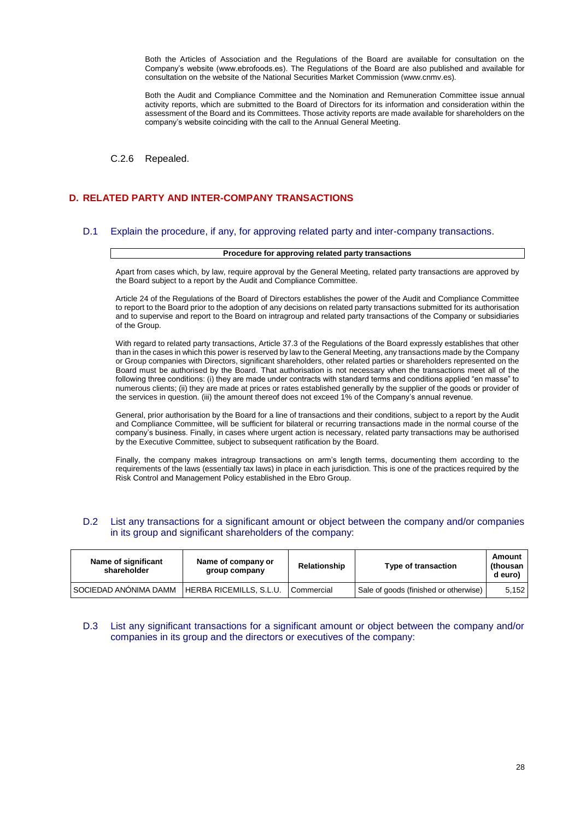Both the Articles of Association and the Regulations of the Board are available for consultation on the Company's website (www.ebrofoods.es). The Regulations of the Board are also published and available for consultation on the website of the National Securities Market Commission (www.cnmv.es).

Both the Audit and Compliance Committee and the Nomination and Remuneration Committee issue annual activity reports, which are submitted to the Board of Directors for its information and consideration within the assessment of the Board and its Committees. Those activity reports are made available for shareholders on the company's website coinciding with the call to the Annual General Meeting.

C.2.6 Repealed.

## **D. RELATED PARTY AND INTER-COMPANY TRANSACTIONS**

#### D.1 Explain the procedure, if any, for approving related party and inter-company transactions.

#### **Procedure for approving related party transactions**

Apart from cases which, by law, require approval by the General Meeting, related party transactions are approved by the Board subject to a report by the Audit and Compliance Committee.

Article 24 of the Regulations of the Board of Directors establishes the power of the Audit and Compliance Committee to report to the Board prior to the adoption of any decisions on related party transactions submitted for its authorisation and to supervise and report to the Board on intragroup and related party transactions of the Company or subsidiaries of the Group.

With regard to related party transactions, Article 37.3 of the Regulations of the Board expressly establishes that other than in the cases in which this power is reserved by law to the General Meeting, any transactions made by the Company or Group companies with Directors, significant shareholders, other related parties or shareholders represented on the Board must be authorised by the Board. That authorisation is not necessary when the transactions meet all of the following three conditions: (i) they are made under contracts with standard terms and conditions applied "en masse" to numerous clients; (ii) they are made at prices or rates established generally by the supplier of the goods or provider of the services in question. (iii) the amount thereof does not exceed 1% of the Company's annual revenue.

General, prior authorisation by the Board for a line of transactions and their conditions, subject to a report by the Audit and Compliance Committee, will be sufficient for bilateral or recurring transactions made in the normal course of the company's business. Finally, in cases where urgent action is necessary, related party transactions may be authorised by the Executive Committee, subject to subsequent ratification by the Board.

Finally, the company makes intragroup transactions on arm's length terms, documenting them according to the requirements of the laws (essentially tax laws) in place in each jurisdiction. This is one of the practices required by the Risk Control and Management Policy established in the Ebro Group.

#### D.2 List any transactions for a significant amount or object between the company and/or companies in its group and significant shareholders of the company:

| Name of significant<br>shareholder | Name of company or<br>group company | Relationship | Type of transaction                   | Amount<br>(thousan<br>d euro) |
|------------------------------------|-------------------------------------|--------------|---------------------------------------|-------------------------------|
| SOCIEDAD ANÓNIMA DAMM              | HERBA RICEMILLS, S.L.U.             | Commercial   | Sale of goods (finished or otherwise) | 5.152                         |

D.3 List any significant transactions for a significant amount or object between the company and/or companies in its group and the directors or executives of the company: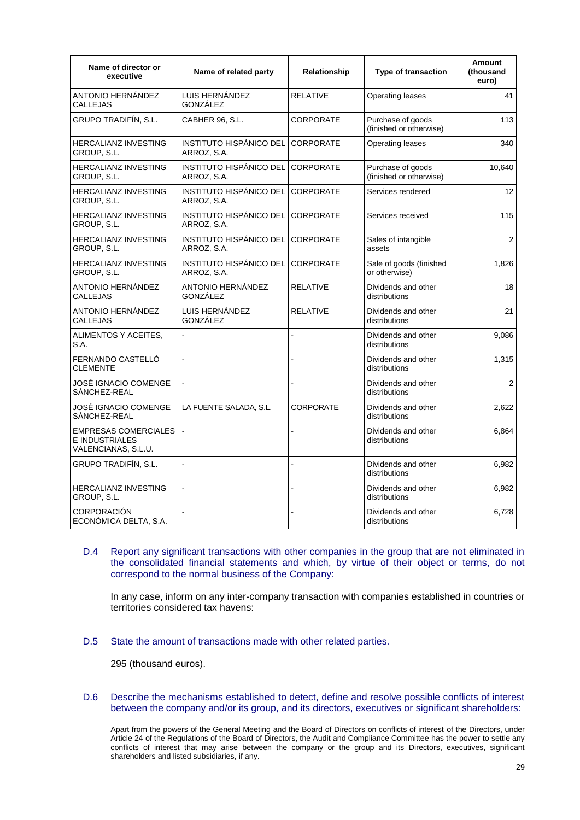| Name of director or<br>executive                                     | Name of related party                  | Relationship     | <b>Type of transaction</b>                   | <b>Amount</b><br>(thousand<br>euro) |
|----------------------------------------------------------------------|----------------------------------------|------------------|----------------------------------------------|-------------------------------------|
| ANTONIO HERNÁNDEZ<br><b>CALLEJAS</b>                                 | LUIS HERNÁNDEZ<br>GONZÁLEZ             | <b>RELATIVE</b>  | Operating leases                             | 41                                  |
| GRUPO TRADIFÍN, S.L.                                                 | CABHER 96, S.L.                        | <b>CORPORATE</b> | Purchase of goods<br>(finished or otherwise) | 113                                 |
| <b>HERCALIANZ INVESTING</b><br>GROUP, S.L.                           | INSTITUTO HISPÁNICO DEL<br>ARROZ, S.A. | <b>CORPORATE</b> | Operating leases                             | 340                                 |
| <b>HERCALIANZ INVESTING</b><br>GROUP, S.L.                           | INSTITUTO HISPÁNICO DEL<br>ARROZ, S.A. | <b>CORPORATE</b> | Purchase of goods<br>(finished or otherwise) | 10,640                              |
| <b>HERCALIANZ INVESTING</b><br>GROUP, S.L.                           | INSTITUTO HISPÁNICO DEL<br>ARROZ, S.A. | <b>CORPORATE</b> | Services rendered                            | 12                                  |
| HERCALIANZ INVESTING<br>GROUP, S.L.                                  | INSTITUTO HISPÁNICO DEL<br>ARROZ, S.A. | <b>CORPORATE</b> | Services received                            | 115                                 |
| HERCALIANZ INVESTING<br>GROUP, S.L.                                  | INSTITUTO HISPÁNICO DEL<br>ARROZ, S.A. | <b>CORPORATE</b> | Sales of intangible<br>assets                | $\overline{2}$                      |
| <b>HERCALIANZ INVESTING</b><br>GROUP, S.L.                           | INSTITUTO HISPÁNICO DEL<br>ARROZ, S.A. | <b>CORPORATE</b> | Sale of goods (finished<br>or otherwise)     | 1,826                               |
| ANTONIO HERNÁNDEZ<br><b>CALLEJAS</b>                                 | ANTONIO HERNÁNDEZ<br>GONZÁLEZ          | <b>RELATIVE</b>  | Dividends and other<br>distributions         | 18                                  |
| ANTONIO HERNÁNDEZ<br><b>CALLEJAS</b>                                 | LUIS HERNÁNDEZ<br>GONZÁLEZ             | <b>RELATIVE</b>  | Dividends and other<br>distributions         | 21                                  |
| ALIMENTOS Y ACEITES.<br>S.A.                                         |                                        | $\overline{a}$   | Dividends and other<br>distributions         | 9,086                               |
| FERNANDO CASTELLÓ<br><b>CLEMENTE</b>                                 |                                        |                  | Dividends and other<br>distributions         | 1,315                               |
| JOSÉ IGNACIO COMENGE<br>SANCHEZ-REAL                                 |                                        |                  | Dividends and other<br>distributions         | 2                                   |
| JOSÉ IGNACIO COMENGE<br>SANCHEZ-REAL                                 | LA FUENTE SALADA, S.L.                 | <b>CORPORATE</b> | Dividends and other<br>distributions         | 2,622                               |
| <b>EMPRESAS COMERCIALES</b><br>E INDUSTRIALES<br>VALENCIANAS, S.L.U. |                                        | $\overline{a}$   | Dividends and other<br>distributions         | 6,864                               |
| GRUPO TRADIFÍN, S.L.                                                 | $\overline{\phantom{a}}$               |                  | Dividends and other<br>distributions         | 6,982                               |
| <b>HERCALIANZ INVESTING</b><br>group, s.l.                           | ä,                                     |                  | Dividends and other<br>distributions         | 6,982                               |
| CORPORACIÓN<br>ECONÓMICA DELTA, S.A.                                 |                                        |                  | Dividends and other<br>distributions         | 6,728                               |

### D.4 Report any significant transactions with other companies in the group that are not eliminated in the consolidated financial statements and which, by virtue of their object or terms, do not correspond to the normal business of the Company:

In any case, inform on any inter-company transaction with companies established in countries or territories considered tax havens:

D.5 State the amount of transactions made with other related parties.

295 (thousand euros).

D.6 Describe the mechanisms established to detect, define and resolve possible conflicts of interest between the company and/or its group, and its directors, executives or significant shareholders:

Apart from the powers of the General Meeting and the Board of Directors on conflicts of interest of the Directors, under Article 24 of the Regulations of the Board of Directors, the Audit and Compliance Committee has the power to settle any conflicts of interest that may arise between the company or the group and its Directors, executives, significant shareholders and listed subsidiaries, if any.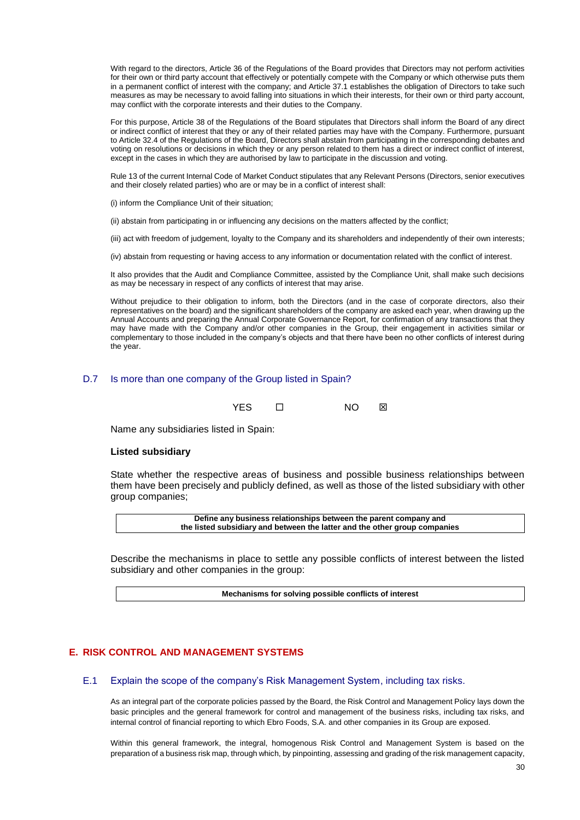With regard to the directors, Article 36 of the Regulations of the Board provides that Directors may not perform activities for their own or third party account that effectively or potentially compete with the Company or which otherwise puts them in a permanent conflict of interest with the company; and Article 37.1 establishes the obligation of Directors to take such measures as may be necessary to avoid falling into situations in which their interests, for their own or third party account, may conflict with the corporate interests and their duties to the Company.

For this purpose, Article 38 of the Regulations of the Board stipulates that Directors shall inform the Board of any direct or indirect conflict of interest that they or any of their related parties may have with the Company. Furthermore, pursuant to Article 32.4 of the Regulations of the Board, Directors shall abstain from participating in the corresponding debates and voting on resolutions or decisions in which they or any person related to them has a direct or indirect conflict of interest, except in the cases in which they are authorised by law to participate in the discussion and voting.

Rule 13 of the current Internal Code of Market Conduct stipulates that any Relevant Persons (Directors, senior executives and their closely related parties) who are or may be in a conflict of interest shall:

(i) inform the Compliance Unit of their situation;

(ii) abstain from participating in or influencing any decisions on the matters affected by the conflict;

(iii) act with freedom of judgement, loyalty to the Company and its shareholders and independently of their own interests;

(iv) abstain from requesting or having access to any information or documentation related with the conflict of interest.

It also provides that the Audit and Compliance Committee, assisted by the Compliance Unit, shall make such decisions as may be necessary in respect of any conflicts of interest that may arise.

Without prejudice to their obligation to inform, both the Directors (and in the case of corporate directors, also their representatives on the board) and the significant shareholders of the company are asked each year, when drawing up the Annual Accounts and preparing the Annual Corporate Governance Report, for confirmation of any transactions that they may have made with the Company and/or other companies in the Group, their engagement in activities similar or complementary to those included in the company's objects and that there have been no other conflicts of interest during the year.

### D.7 Is more than one company of the Group listed in Spain?

| <b>YES</b><br>ΝO |  | 冈 |
|------------------|--|---|
|------------------|--|---|

Name any subsidiaries listed in Spain:

#### **Listed subsidiary**

State whether the respective areas of business and possible business relationships between them have been precisely and publicly defined, as well as those of the listed subsidiary with other group companies;

> **Define any business relationships between the parent company and the listed subsidiary and between the latter and the other group companies**

Describe the mechanisms in place to settle any possible conflicts of interest between the listed subsidiary and other companies in the group:

**Mechanisms for solving possible conflicts of interest**

### **E. RISK CONTROL AND MANAGEMENT SYSTEMS**

### E.1 Explain the scope of the company's Risk Management System, including tax risks.

As an integral part of the corporate policies passed by the Board, the Risk Control and Management Policy lays down the basic principles and the general framework for control and management of the business risks, including tax risks, and internal control of financial reporting to which Ebro Foods, S.A. and other companies in its Group are exposed.

Within this general framework, the integral, homogenous Risk Control and Management System is based on the preparation of a business risk map, through which, by pinpointing, assessing and grading of the risk management capacity,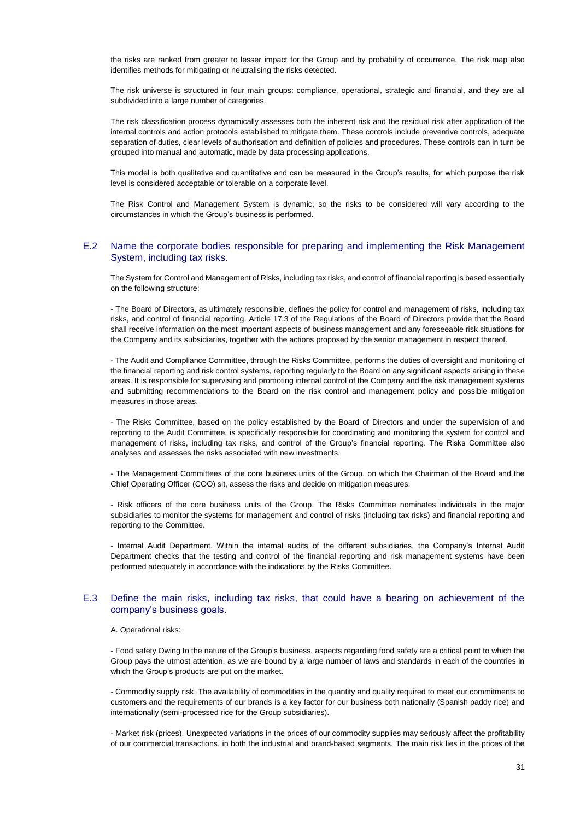the risks are ranked from greater to lesser impact for the Group and by probability of occurrence. The risk map also identifies methods for mitigating or neutralising the risks detected.

The risk universe is structured in four main groups: compliance, operational, strategic and financial, and they are all subdivided into a large number of categories.

The risk classification process dynamically assesses both the inherent risk and the residual risk after application of the internal controls and action protocols established to mitigate them. These controls include preventive controls, adequate separation of duties, clear levels of authorisation and definition of policies and procedures. These controls can in turn be grouped into manual and automatic, made by data processing applications.

This model is both qualitative and quantitative and can be measured in the Group's results, for which purpose the risk level is considered acceptable or tolerable on a corporate level.

The Risk Control and Management System is dynamic, so the risks to be considered will vary according to the circumstances in which the Group's business is performed.

#### E.2 Name the corporate bodies responsible for preparing and implementing the Risk Management System, including tax risks.

The System for Control and Management of Risks, including tax risks, and control of financial reporting is based essentially on the following structure:

- The Board of Directors, as ultimately responsible, defines the policy for control and management of risks, including tax risks, and control of financial reporting. Article 17.3 of the Regulations of the Board of Directors provide that the Board shall receive information on the most important aspects of business management and any foreseeable risk situations for the Company and its subsidiaries, together with the actions proposed by the senior management in respect thereof.

- The Audit and Compliance Committee, through the Risks Committee, performs the duties of oversight and monitoring of the financial reporting and risk control systems, reporting regularly to the Board on any significant aspects arising in these areas. It is responsible for supervising and promoting internal control of the Company and the risk management systems and submitting recommendations to the Board on the risk control and management policy and possible mitigation measures in those areas.

- The Risks Committee, based on the policy established by the Board of Directors and under the supervision of and reporting to the Audit Committee, is specifically responsible for coordinating and monitoring the system for control and management of risks, including tax risks, and control of the Group's financial reporting. The Risks Committee also analyses and assesses the risks associated with new investments.

- The Management Committees of the core business units of the Group, on which the Chairman of the Board and the Chief Operating Officer (COO) sit, assess the risks and decide on mitigation measures.

- Risk officers of the core business units of the Group. The Risks Committee nominates individuals in the major subsidiaries to monitor the systems for management and control of risks (including tax risks) and financial reporting and reporting to the Committee.

- Internal Audit Department. Within the internal audits of the different subsidiaries, the Company's Internal Audit Department checks that the testing and control of the financial reporting and risk management systems have been performed adequately in accordance with the indications by the Risks Committee.

#### E.3 Define the main risks, including tax risks, that could have a bearing on achievement of the company's business goals.

#### A. Operational risks:

- Food safety.Owing to the nature of the Group's business, aspects regarding food safety are a critical point to which the Group pays the utmost attention, as we are bound by a large number of laws and standards in each of the countries in which the Group's products are put on the market.

- Commodity supply risk. The availability of commodities in the quantity and quality required to meet our commitments to customers and the requirements of our brands is a key factor for our business both nationally (Spanish paddy rice) and internationally (semi-processed rice for the Group subsidiaries).

- Market risk (prices). Unexpected variations in the prices of our commodity supplies may seriously affect the profitability of our commercial transactions, in both the industrial and brand-based segments. The main risk lies in the prices of the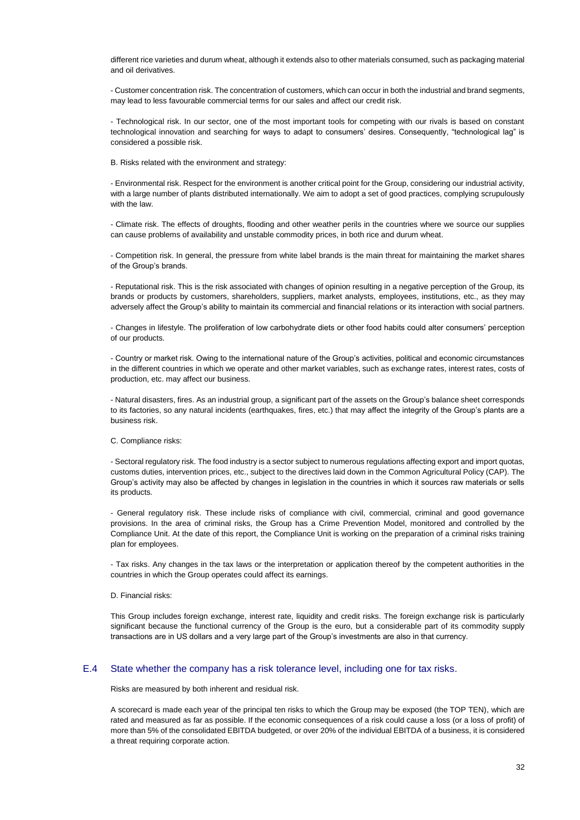different rice varieties and durum wheat, although it extends also to other materials consumed, such as packaging material and oil derivatives.

- Customer concentration risk. The concentration of customers, which can occur in both the industrial and brand segments, may lead to less favourable commercial terms for our sales and affect our credit risk.

- Technological risk. In our sector, one of the most important tools for competing with our rivals is based on constant technological innovation and searching for ways to adapt to consumers' desires. Consequently, "technological lag" is considered a possible risk.

B. Risks related with the environment and strategy:

- Environmental risk. Respect for the environment is another critical point for the Group, considering our industrial activity, with a large number of plants distributed internationally. We aim to adopt a set of good practices, complying scrupulously with the law.

- Climate risk. The effects of droughts, flooding and other weather perils in the countries where we source our supplies can cause problems of availability and unstable commodity prices, in both rice and durum wheat.

- Competition risk. In general, the pressure from white label brands is the main threat for maintaining the market shares of the Group's brands.

- Reputational risk. This is the risk associated with changes of opinion resulting in a negative perception of the Group, its brands or products by customers, shareholders, suppliers, market analysts, employees, institutions, etc., as they may adversely affect the Group's ability to maintain its commercial and financial relations or its interaction with social partners.

- Changes in lifestyle. The proliferation of low carbohydrate diets or other food habits could alter consumers' perception of our products.

- Country or market risk. Owing to the international nature of the Group's activities, political and economic circumstances in the different countries in which we operate and other market variables, such as exchange rates, interest rates, costs of production, etc. may affect our business.

- Natural disasters, fires. As an industrial group, a significant part of the assets on the Group's balance sheet corresponds to its factories, so any natural incidents (earthquakes, fires, etc.) that may affect the integrity of the Group's plants are a business risk.

#### C. Compliance risks:

- Sectoral regulatory risk. The food industry is a sector subject to numerous regulations affecting export and import quotas, customs duties, intervention prices, etc., subject to the directives laid down in the Common Agricultural Policy (CAP). The Group's activity may also be affected by changes in legislation in the countries in which it sources raw materials or sells its products.

- General regulatory risk. These include risks of compliance with civil, commercial, criminal and good governance provisions. In the area of criminal risks, the Group has a Crime Prevention Model, monitored and controlled by the Compliance Unit. At the date of this report, the Compliance Unit is working on the preparation of a criminal risks training plan for employees.

- Tax risks. Any changes in the tax laws or the interpretation or application thereof by the competent authorities in the countries in which the Group operates could affect its earnings.

#### D. Financial risks:

This Group includes foreign exchange, interest rate, liquidity and credit risks. The foreign exchange risk is particularly significant because the functional currency of the Group is the euro, but a considerable part of its commodity supply transactions are in US dollars and a very large part of the Group's investments are also in that currency.

#### E.4 State whether the company has a risk tolerance level, including one for tax risks.

Risks are measured by both inherent and residual risk.

A scorecard is made each year of the principal ten risks to which the Group may be exposed (the TOP TEN), which are rated and measured as far as possible. If the economic consequences of a risk could cause a loss (or a loss of profit) of more than 5% of the consolidated EBITDA budgeted, or over 20% of the individual EBITDA of a business, it is considered a threat requiring corporate action.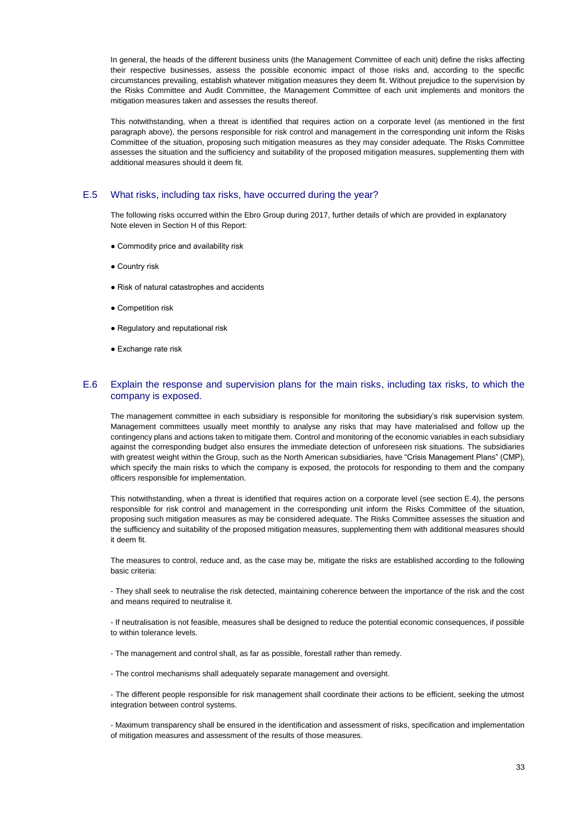In general, the heads of the different business units (the Management Committee of each unit) define the risks affecting their respective businesses, assess the possible economic impact of those risks and, according to the specific circumstances prevailing, establish whatever mitigation measures they deem fit. Without prejudice to the supervision by the Risks Committee and Audit Committee, the Management Committee of each unit implements and monitors the mitigation measures taken and assesses the results thereof.

This notwithstanding, when a threat is identified that requires action on a corporate level (as mentioned in the first paragraph above), the persons responsible for risk control and management in the corresponding unit inform the Risks Committee of the situation, proposing such mitigation measures as they may consider adequate. The Risks Committee assesses the situation and the sufficiency and suitability of the proposed mitigation measures, supplementing them with additional measures should it deem fit.

#### E.5 What risks, including tax risks, have occurred during the year?

The following risks occurred within the Ebro Group during 2017, further details of which are provided in explanatory Note eleven in Section H of this Report:

- Commodity price and availability risk
- Country risk
- Risk of natural catastrophes and accidents
- Competition risk
- Regulatory and reputational risk
- Exchange rate risk

### E.6 Explain the response and supervision plans for the main risks, including tax risks, to which the company is exposed.

The management committee in each subsidiary is responsible for monitoring the subsidiary's risk supervision system. Management committees usually meet monthly to analyse any risks that may have materialised and follow up the contingency plans and actions taken to mitigate them. Control and monitoring of the economic variables in each subsidiary against the corresponding budget also ensures the immediate detection of unforeseen risk situations. The subsidiaries with greatest weight within the Group, such as the North American subsidiaries, have "Crisis Management Plans" (CMP), which specify the main risks to which the company is exposed, the protocols for responding to them and the company officers responsible for implementation.

This notwithstanding, when a threat is identified that requires action on a corporate level (see section E.4), the persons responsible for risk control and management in the corresponding unit inform the Risks Committee of the situation, proposing such mitigation measures as may be considered adequate. The Risks Committee assesses the situation and the sufficiency and suitability of the proposed mitigation measures, supplementing them with additional measures should it deem fit.

The measures to control, reduce and, as the case may be, mitigate the risks are established according to the following basic criteria:

- They shall seek to neutralise the risk detected, maintaining coherence between the importance of the risk and the cost and means required to neutralise it.

- If neutralisation is not feasible, measures shall be designed to reduce the potential economic consequences, if possible to within tolerance levels.

- The management and control shall, as far as possible, forestall rather than remedy.
- The control mechanisms shall adequately separate management and oversight.

- The different people responsible for risk management shall coordinate their actions to be efficient, seeking the utmost integration between control systems.

- Maximum transparency shall be ensured in the identification and assessment of risks, specification and implementation of mitigation measures and assessment of the results of those measures.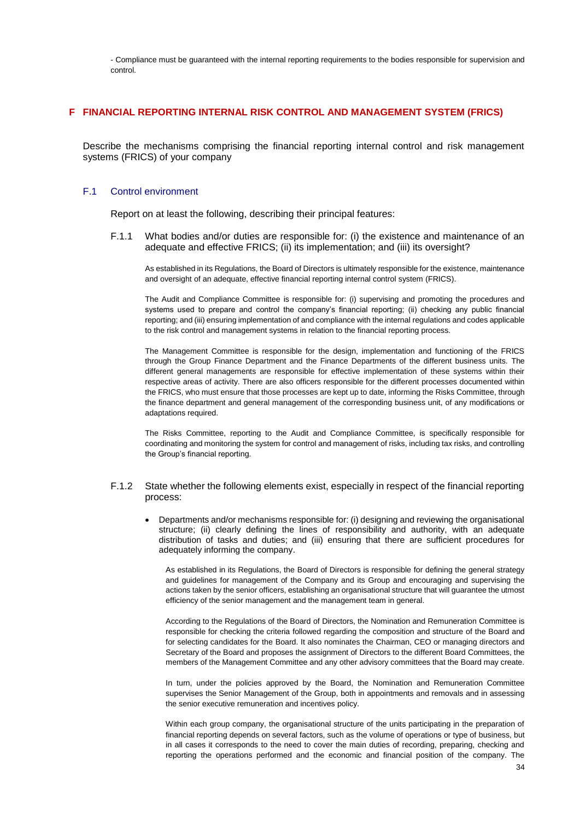- Compliance must be guaranteed with the internal reporting requirements to the bodies responsible for supervision and control.

### **F FINANCIAL REPORTING INTERNAL RISK CONTROL AND MANAGEMENT SYSTEM (FRICS)**

Describe the mechanisms comprising the financial reporting internal control and risk management systems (FRICS) of your company

#### F.1 Control environment

Report on at least the following, describing their principal features:

F.1.1 What bodies and/or duties are responsible for: (i) the existence and maintenance of an adequate and effective FRICS; (ii) its implementation; and (iii) its oversight?

As established in its Regulations, the Board of Directors is ultimately responsible for the existence, maintenance and oversight of an adequate, effective financial reporting internal control system (FRICS).

The Audit and Compliance Committee is responsible for: (i) supervising and promoting the procedures and systems used to prepare and control the company's financial reporting; (ii) checking any public financial reporting; and (iii) ensuring implementation of and compliance with the internal regulations and codes applicable to the risk control and management systems in relation to the financial reporting process.

The Management Committee is responsible for the design, implementation and functioning of the FRICS through the Group Finance Department and the Finance Departments of the different business units. The different general managements are responsible for effective implementation of these systems within their respective areas of activity. There are also officers responsible for the different processes documented within the FRICS, who must ensure that those processes are kept up to date, informing the Risks Committee, through the finance department and general management of the corresponding business unit, of any modifications or adaptations required.

The Risks Committee, reporting to the Audit and Compliance Committee, is specifically responsible for coordinating and monitoring the system for control and management of risks, including tax risks, and controlling the Group's financial reporting.

### F.1.2 State whether the following elements exist, especially in respect of the financial reporting process:

 Departments and/or mechanisms responsible for: (i) designing and reviewing the organisational structure; (ii) clearly defining the lines of responsibility and authority, with an adequate distribution of tasks and duties; and (iii) ensuring that there are sufficient procedures for adequately informing the company.

As established in its Regulations, the Board of Directors is responsible for defining the general strategy and guidelines for management of the Company and its Group and encouraging and supervising the actions taken by the senior officers, establishing an organisational structure that will guarantee the utmost efficiency of the senior management and the management team in general.

According to the Regulations of the Board of Directors, the Nomination and Remuneration Committee is responsible for checking the criteria followed regarding the composition and structure of the Board and for selecting candidates for the Board. It also nominates the Chairman, CEO or managing directors and Secretary of the Board and proposes the assignment of Directors to the different Board Committees, the members of the Management Committee and any other advisory committees that the Board may create.

In turn, under the policies approved by the Board, the Nomination and Remuneration Committee supervises the Senior Management of the Group, both in appointments and removals and in assessing the senior executive remuneration and incentives policy.

Within each group company, the organisational structure of the units participating in the preparation of financial reporting depends on several factors, such as the volume of operations or type of business, but in all cases it corresponds to the need to cover the main duties of recording, preparing, checking and reporting the operations performed and the economic and financial position of the company. The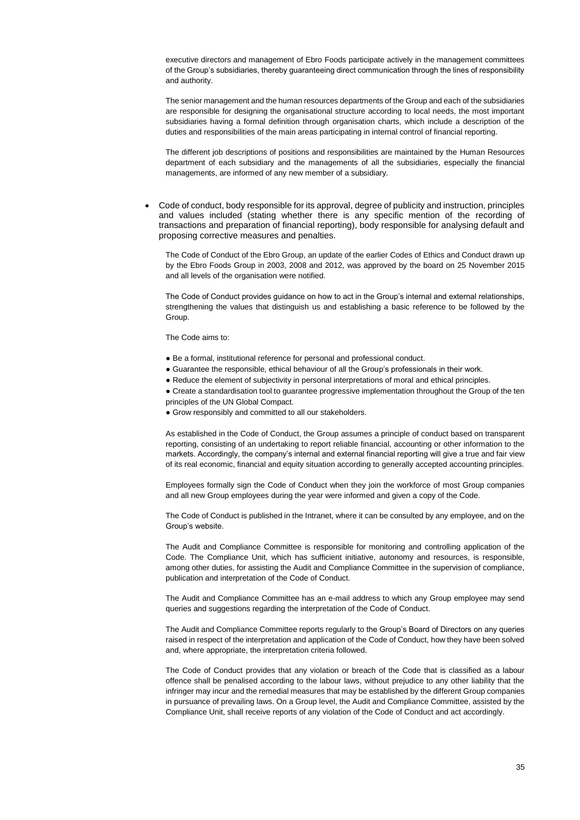executive directors and management of Ebro Foods participate actively in the management committees of the Group's subsidiaries, thereby guaranteeing direct communication through the lines of responsibility and authority.

The senior management and the human resources departments of the Group and each of the subsidiaries are responsible for designing the organisational structure according to local needs, the most important subsidiaries having a formal definition through organisation charts, which include a description of the duties and responsibilities of the main areas participating in internal control of financial reporting.

The different job descriptions of positions and responsibilities are maintained by the Human Resources department of each subsidiary and the managements of all the subsidiaries, especially the financial managements, are informed of any new member of a subsidiary.

 Code of conduct, body responsible for its approval, degree of publicity and instruction, principles and values included (stating whether there is any specific mention of the recording of transactions and preparation of financial reporting), body responsible for analysing default and proposing corrective measures and penalties.

The Code of Conduct of the Ebro Group, an update of the earlier Codes of Ethics and Conduct drawn up by the Ebro Foods Group in 2003, 2008 and 2012, was approved by the board on 25 November 2015 and all levels of the organisation were notified.

The Code of Conduct provides guidance on how to act in the Group's internal and external relationships, strengthening the values that distinguish us and establishing a basic reference to be followed by the **Group.** 

The Code aims to:

- Be a formal, institutional reference for personal and professional conduct.
- Guarantee the responsible, ethical behaviour of all the Group's professionals in their work.
- Reduce the element of subjectivity in personal interpretations of moral and ethical principles.

• Create a standardisation tool to guarantee progressive implementation throughout the Group of the ten principles of the UN Global Compact.

● Grow responsibly and committed to all our stakeholders.

As established in the Code of Conduct, the Group assumes a principle of conduct based on transparent reporting, consisting of an undertaking to report reliable financial, accounting or other information to the markets. Accordingly, the company's internal and external financial reporting will give a true and fair view of its real economic, financial and equity situation according to generally accepted accounting principles.

Employees formally sign the Code of Conduct when they join the workforce of most Group companies and all new Group employees during the year were informed and given a copy of the Code.

The Code of Conduct is published in the Intranet, where it can be consulted by any employee, and on the Group's website.

The Audit and Compliance Committee is responsible for monitoring and controlling application of the Code. The Compliance Unit, which has sufficient initiative, autonomy and resources, is responsible, among other duties, for assisting the Audit and Compliance Committee in the supervision of compliance, publication and interpretation of the Code of Conduct.

The Audit and Compliance Committee has an e-mail address to which any Group employee may send queries and suggestions regarding the interpretation of the Code of Conduct.

The Audit and Compliance Committee reports regularly to the Group's Board of Directors on any queries raised in respect of the interpretation and application of the Code of Conduct, how they have been solved and, where appropriate, the interpretation criteria followed.

The Code of Conduct provides that any violation or breach of the Code that is classified as a labour offence shall be penalised according to the labour laws, without prejudice to any other liability that the infringer may incur and the remedial measures that may be established by the different Group companies in pursuance of prevailing laws. On a Group level, the Audit and Compliance Committee, assisted by the Compliance Unit, shall receive reports of any violation of the Code of Conduct and act accordingly.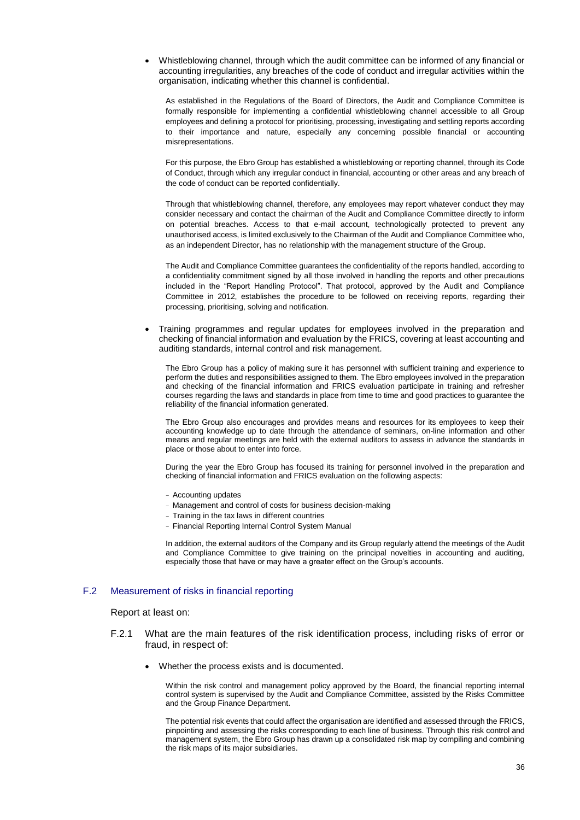Whistleblowing channel, through which the audit committee can be informed of any financial or accounting irregularities, any breaches of the code of conduct and irregular activities within the organisation, indicating whether this channel is confidential.

As established in the Regulations of the Board of Directors, the Audit and Compliance Committee is formally responsible for implementing a confidential whistleblowing channel accessible to all Group employees and defining a protocol for prioritising, processing, investigating and settling reports according to their importance and nature, especially any concerning possible financial or accounting misrepresentations.

For this purpose, the Ebro Group has established a whistleblowing or reporting channel, through its Code of Conduct, through which any irregular conduct in financial, accounting or other areas and any breach of the code of conduct can be reported confidentially.

Through that whistleblowing channel, therefore, any employees may report whatever conduct they may consider necessary and contact the chairman of the Audit and Compliance Committee directly to inform on potential breaches. Access to that e-mail account, technologically protected to prevent any unauthorised access, is limited exclusively to the Chairman of the Audit and Compliance Committee who, as an independent Director, has no relationship with the management structure of the Group.

The Audit and Compliance Committee guarantees the confidentiality of the reports handled, according to a confidentiality commitment signed by all those involved in handling the reports and other precautions included in the "Report Handling Protocol". That protocol, approved by the Audit and Compliance Committee in 2012, establishes the procedure to be followed on receiving reports, regarding their processing, prioritising, solving and notification.

 Training programmes and regular updates for employees involved in the preparation and checking of financial information and evaluation by the FRICS, covering at least accounting and auditing standards, internal control and risk management.

The Ebro Group has a policy of making sure it has personnel with sufficient training and experience to perform the duties and responsibilities assigned to them. The Ebro employees involved in the preparation and checking of the financial information and FRICS evaluation participate in training and refresher courses regarding the laws and standards in place from time to time and good practices to guarantee the reliability of the financial information generated.

The Ebro Group also encourages and provides means and resources for its employees to keep their accounting knowledge up to date through the attendance of seminars, on-line information and other means and regular meetings are held with the external auditors to assess in advance the standards in place or those about to enter into force.

During the year the Ebro Group has focused its training for personnel involved in the preparation and checking of financial information and FRICS evaluation on the following aspects:

- Accounting updates
- Management and control of costs for business decision-making
- Training in the tax laws in different countries
- Financial Reporting Internal Control System Manual

In addition, the external auditors of the Company and its Group regularly attend the meetings of the Audit and Compliance Committee to give training on the principal novelties in accounting and auditing, especially those that have or may have a greater effect on the Group's accounts.

### F.2 Measurement of risks in financial reporting

#### Report at least on:

- F.2.1 What are the main features of the risk identification process, including risks of error or fraud, in respect of:
	- Whether the process exists and is documented.

Within the risk control and management policy approved by the Board, the financial reporting internal control system is supervised by the Audit and Compliance Committee, assisted by the Risks Committee and the Group Finance Department.

The potential risk events that could affect the organisation are identified and assessed through the FRICS, pinpointing and assessing the risks corresponding to each line of business. Through this risk control and management system, the Ebro Group has drawn up a consolidated risk map by compiling and combining the risk maps of its major subsidiaries.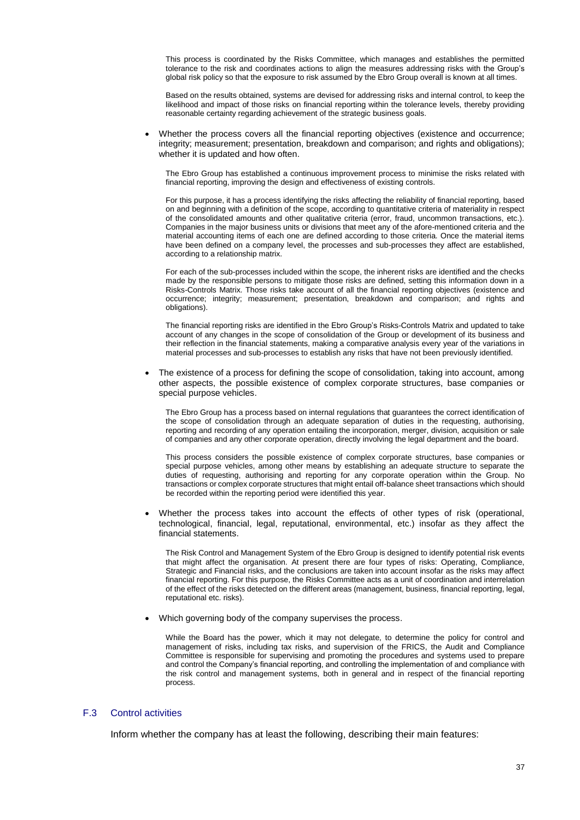This process is coordinated by the Risks Committee, which manages and establishes the permitted tolerance to the risk and coordinates actions to align the measures addressing risks with the Group's global risk policy so that the exposure to risk assumed by the Ebro Group overall is known at all times.

Based on the results obtained, systems are devised for addressing risks and internal control, to keep the likelihood and impact of those risks on financial reporting within the tolerance levels, thereby providing reasonable certainty regarding achievement of the strategic business goals.

 Whether the process covers all the financial reporting objectives (existence and occurrence; integrity; measurement; presentation, breakdown and comparison; and rights and obligations); whether it is updated and how often.

The Ebro Group has established a continuous improvement process to minimise the risks related with financial reporting, improving the design and effectiveness of existing controls.

For this purpose, it has a process identifying the risks affecting the reliability of financial reporting, based on and beginning with a definition of the scope, according to quantitative criteria of materiality in respect of the consolidated amounts and other qualitative criteria (error, fraud, uncommon transactions, etc.). Companies in the major business units or divisions that meet any of the afore-mentioned criteria and the material accounting items of each one are defined according to those criteria. Once the material items have been defined on a company level, the processes and sub-processes they affect are established, according to a relationship matrix.

For each of the sub-processes included within the scope, the inherent risks are identified and the checks made by the responsible persons to mitigate those risks are defined, setting this information down in a Risks-Controls Matrix. Those risks take account of all the financial reporting objectives (existence and occurrence; integrity; measurement; presentation, breakdown and comparison; and rights and obligations).

The financial reporting risks are identified in the Ebro Group's Risks-Controls Matrix and updated to take account of any changes in the scope of consolidation of the Group or development of its business and their reflection in the financial statements, making a comparative analysis every year of the variations in material processes and sub-processes to establish any risks that have not been previously identified.

 The existence of a process for defining the scope of consolidation, taking into account, among other aspects, the possible existence of complex corporate structures, base companies or special purpose vehicles.

The Ebro Group has a process based on internal regulations that guarantees the correct identification of the scope of consolidation through an adequate separation of duties in the requesting, authorising, reporting and recording of any operation entailing the incorporation, merger, division, acquisition or sale of companies and any other corporate operation, directly involving the legal department and the board.

This process considers the possible existence of complex corporate structures, base companies or special purpose vehicles, among other means by establishing an adequate structure to separate the duties of requesting, authorising and reporting for any corporate operation within the Group. No transactions or complex corporate structures that might entail off-balance sheet transactions which should be recorded within the reporting period were identified this year.

 Whether the process takes into account the effects of other types of risk (operational, technological, financial, legal, reputational, environmental, etc.) insofar as they affect the financial statements.

The Risk Control and Management System of the Ebro Group is designed to identify potential risk events that might affect the organisation. At present there are four types of risks: Operating, Compliance, Strategic and Financial risks, and the conclusions are taken into account insofar as the risks may affect financial reporting. For this purpose, the Risks Committee acts as a unit of coordination and interrelation of the effect of the risks detected on the different areas (management, business, financial reporting, legal, reputational etc. risks).

Which governing body of the company supervises the process.

While the Board has the power, which it may not delegate, to determine the policy for control and management of risks, including tax risks, and supervision of the FRICS, the Audit and Compliance Committee is responsible for supervising and promoting the procedures and systems used to prepare and control the Company's financial reporting, and controlling the implementation of and compliance with the risk control and management systems, both in general and in respect of the financial reporting process.

### F.3 Control activities

Inform whether the company has at least the following, describing their main features: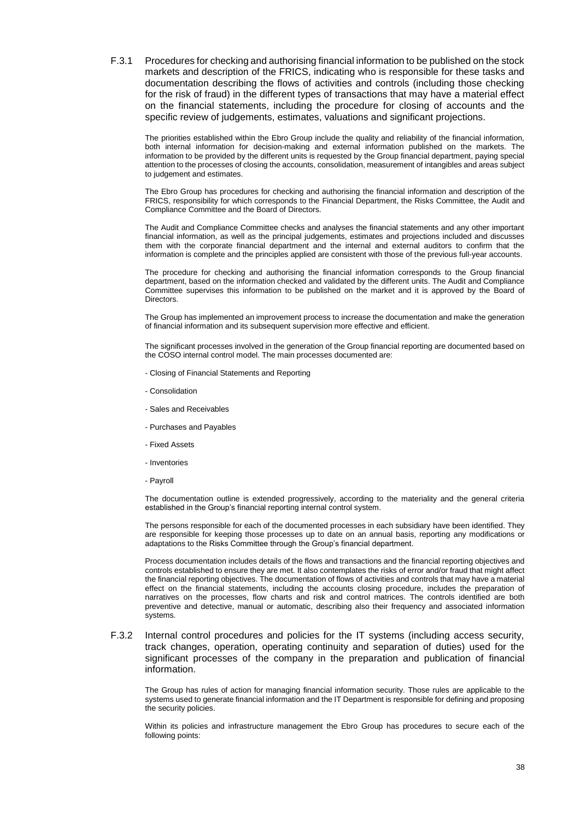F.3.1 Procedures for checking and authorising financial information to be published on the stock markets and description of the FRICS, indicating who is responsible for these tasks and documentation describing the flows of activities and controls (including those checking for the risk of fraud) in the different types of transactions that may have a material effect on the financial statements, including the procedure for closing of accounts and the specific review of judgements, estimates, valuations and significant projections.

The priorities established within the Ebro Group include the quality and reliability of the financial information, both internal information for decision-making and external information published on the markets. The information to be provided by the different units is requested by the Group financial department, paying special attention to the processes of closing the accounts, consolidation, measurement of intangibles and areas subject to judgement and estimates.

The Ebro Group has procedures for checking and authorising the financial information and description of the FRICS, responsibility for which corresponds to the Financial Department, the Risks Committee, the Audit and Compliance Committee and the Board of Directors.

The Audit and Compliance Committee checks and analyses the financial statements and any other important financial information, as well as the principal judgements, estimates and projections included and discusses them with the corporate financial department and the internal and external auditors to confirm that the information is complete and the principles applied are consistent with those of the previous full-year accounts.

The procedure for checking and authorising the financial information corresponds to the Group financial department, based on the information checked and validated by the different units. The Audit and Compliance Committee supervises this information to be published on the market and it is approved by the Board of Directors.

The Group has implemented an improvement process to increase the documentation and make the generation of financial information and its subsequent supervision more effective and efficient.

The significant processes involved in the generation of the Group financial reporting are documented based on the COSO internal control model. The main processes documented are:

- Closing of Financial Statements and Reporting
- Consolidation
- Sales and Receivables
- Purchases and Payables
- Fixed Assets
- Inventories
- Payroll

The documentation outline is extended progressively, according to the materiality and the general criteria established in the Group's financial reporting internal control system.

The persons responsible for each of the documented processes in each subsidiary have been identified. They are responsible for keeping those processes up to date on an annual basis, reporting any modifications or adaptations to the Risks Committee through the Group's financial department.

Process documentation includes details of the flows and transactions and the financial reporting objectives and controls established to ensure they are met. It also contemplates the risks of error and/or fraud that might affect the financial reporting objectives. The documentation of flows of activities and controls that may have a material effect on the financial statements, including the accounts closing procedure, includes the preparation of narratives on the processes, flow charts and risk and control matrices. The controls identified are both preventive and detective, manual or automatic, describing also their frequency and associated information systems.

F.3.2 Internal control procedures and policies for the IT systems (including access security, track changes, operation, operating continuity and separation of duties) used for the significant processes of the company in the preparation and publication of financial information.

The Group has rules of action for managing financial information security. Those rules are applicable to the systems used to generate financial information and the IT Department is responsible for defining and proposing the security policies.

Within its policies and infrastructure management the Ebro Group has procedures to secure each of the following points: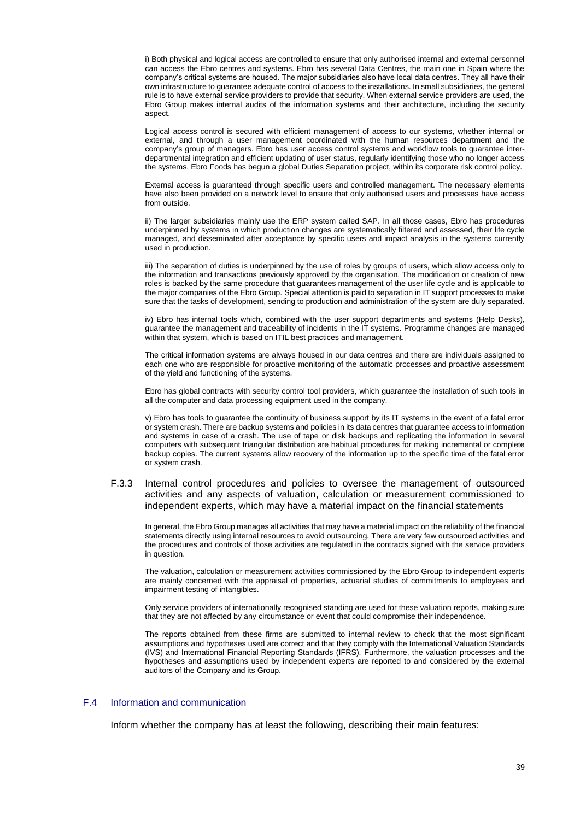i) Both physical and logical access are controlled to ensure that only authorised internal and external personnel can access the Ebro centres and systems. Ebro has several Data Centres, the main one in Spain where the company's critical systems are housed. The major subsidiaries also have local data centres. They all have their own infrastructure to guarantee adequate control of access to the installations. In small subsidiaries, the general rule is to have external service providers to provide that security. When external service providers are used, the Ebro Group makes internal audits of the information systems and their architecture, including the security aspect.

Logical access control is secured with efficient management of access to our systems, whether internal or external, and through a user management coordinated with the human resources department and the company's group of managers. Ebro has user access control systems and workflow tools to guarantee interdepartmental integration and efficient updating of user status, regularly identifying those who no longer access the systems. Ebro Foods has begun a global Duties Separation project, within its corporate risk control policy.

External access is guaranteed through specific users and controlled management. The necessary elements have also been provided on a network level to ensure that only authorised users and processes have access from outside.

ii) The larger subsidiaries mainly use the ERP system called SAP. In all those cases, Ebro has procedures underpinned by systems in which production changes are systematically filtered and assessed, their life cycle managed, and disseminated after acceptance by specific users and impact analysis in the systems currently used in production.

iii) The separation of duties is underpinned by the use of roles by groups of users, which allow access only to the information and transactions previously approved by the organisation. The modification or creation of new roles is backed by the same procedure that guarantees management of the user life cycle and is applicable to the major companies of the Ebro Group. Special attention is paid to separation in IT support processes to make sure that the tasks of development, sending to production and administration of the system are duly separated.

iv) Ebro has internal tools which, combined with the user support departments and systems (Help Desks), guarantee the management and traceability of incidents in the IT systems. Programme changes are managed within that system, which is based on ITIL best practices and management.

The critical information systems are always housed in our data centres and there are individuals assigned to each one who are responsible for proactive monitoring of the automatic processes and proactive assessment of the yield and functioning of the systems.

Ebro has global contracts with security control tool providers, which guarantee the installation of such tools in all the computer and data processing equipment used in the company.

v) Ebro has tools to guarantee the continuity of business support by its IT systems in the event of a fatal error or system crash. There are backup systems and policies in its data centres that guarantee access to information and systems in case of a crash. The use of tape or disk backups and replicating the information in several computers with subsequent triangular distribution are habitual procedures for making incremental or complete backup copies. The current systems allow recovery of the information up to the specific time of the fatal error or system crash.

### F.3.3 Internal control procedures and policies to oversee the management of outsourced activities and any aspects of valuation, calculation or measurement commissioned to independent experts, which may have a material impact on the financial statements

In general, the Ebro Group manages all activities that may have a material impact on the reliability of the financial statements directly using internal resources to avoid outsourcing. There are very few outsourced activities and the procedures and controls of those activities are regulated in the contracts signed with the service providers in question.

The valuation, calculation or measurement activities commissioned by the Ebro Group to independent experts are mainly concerned with the appraisal of properties, actuarial studies of commitments to employees and impairment testing of intangibles.

Only service providers of internationally recognised standing are used for these valuation reports, making sure that they are not affected by any circumstance or event that could compromise their independence.

The reports obtained from these firms are submitted to internal review to check that the most significant assumptions and hypotheses used are correct and that they comply with the International Valuation Standards (IVS) and International Financial Reporting Standards (IFRS). Furthermore, the valuation processes and the hypotheses and assumptions used by independent experts are reported to and considered by the external auditors of the Company and its Group.

#### F.4 Information and communication

Inform whether the company has at least the following, describing their main features: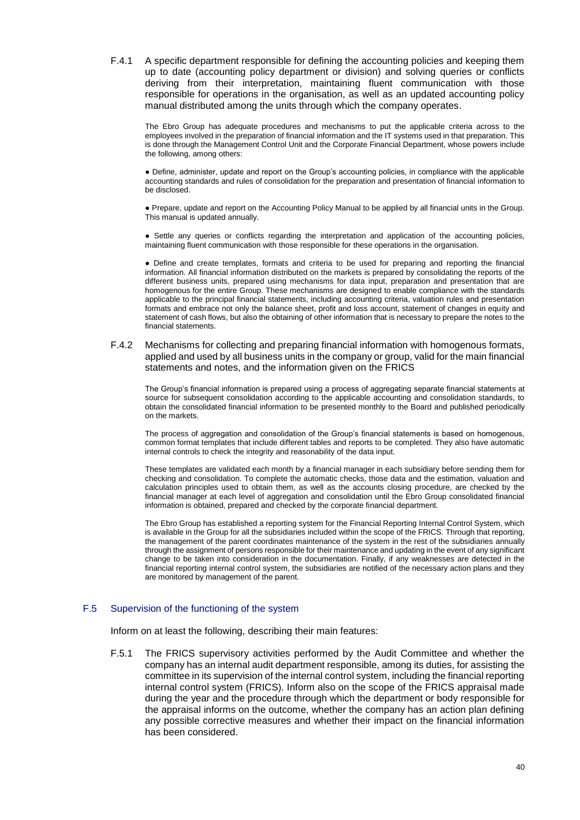F.4.1 A specific department responsible for defining the accounting policies and keeping them up to date (accounting policy department or division) and solving queries or conflicts deriving from their interpretation, maintaining fluent communication with those responsible for operations in the organisation, as well as an updated accounting policy manual distributed among the units through which the company operates.

The Ebro Group has adequate procedures and mechanisms to put the applicable criteria across to the employees involved in the preparation of financial information and the IT systems used in that preparation. This is done through the Management Control Unit and the Corporate Financial Department, whose powers include the following, among others:

● Define, administer, update and report on the Group's accounting policies, in compliance with the applicable accounting standards and rules of consolidation for the preparation and presentation of financial information to be disclosed.

● Prepare, update and report on the Accounting Policy Manual to be applied by all financial units in the Group. This manual is updated annually.

● Settle any queries or conflicts regarding the interpretation and application of the accounting policies, maintaining fluent communication with those responsible for these operations in the organisation.

● Define and create templates, formats and criteria to be used for preparing and reporting the financial information. All financial information distributed on the markets is prepared by consolidating the reports of the different business units, prepared using mechanisms for data input, preparation and presentation that are homogenous for the entire Group. These mechanisms are designed to enable compliance with the standards applicable to the principal financial statements, including accounting criteria, valuation rules and presentation formats and embrace not only the balance sheet, profit and loss account, statement of changes in equity and statement of cash flows, but also the obtaining of other information that is necessary to prepare the notes to the financial statements.

### F.4.2 Mechanisms for collecting and preparing financial information with homogenous formats, applied and used by all business units in the company or group, valid for the main financial statements and notes, and the information given on the FRICS

The Group's financial information is prepared using a process of aggregating separate financial statements at source for subsequent consolidation according to the applicable accounting and consolidation standards, to obtain the consolidated financial information to be presented monthly to the Board and published periodically on the markets.

The process of aggregation and consolidation of the Group's financial statements is based on homogenous, common format templates that include different tables and reports to be completed. They also have automatic internal controls to check the integrity and reasonability of the data input.

These templates are validated each month by a financial manager in each subsidiary before sending them for checking and consolidation. To complete the automatic checks, those data and the estimation, valuation and calculation principles used to obtain them, as well as the accounts closing procedure, are checked by the financial manager at each level of aggregation and consolidation until the Ebro Group consolidated financial information is obtained, prepared and checked by the corporate financial department.

The Ebro Group has established a reporting system for the Financial Reporting Internal Control System, which is available in the Group for all the subsidiaries included within the scope of the FRICS. Through that reporting, the management of the parent coordinates maintenance of the system in the rest of the subsidiaries annually through the assignment of persons responsible for their maintenance and updating in the event of any significant change to be taken into consideration in the documentation. Finally, if any weaknesses are detected in the financial reporting internal control system, the subsidiaries are notified of the necessary action plans and they are monitored by management of the parent.

### F.5 Supervision of the functioning of the system

Inform on at least the following, describing their main features:

F.5.1 The FRICS supervisory activities performed by the Audit Committee and whether the company has an internal audit department responsible, among its duties, for assisting the committee in its supervision of the internal control system, including the financial reporting internal control system (FRICS). Inform also on the scope of the FRICS appraisal made during the year and the procedure through which the department or body responsible for the appraisal informs on the outcome, whether the company has an action plan defining any possible corrective measures and whether their impact on the financial information has been considered.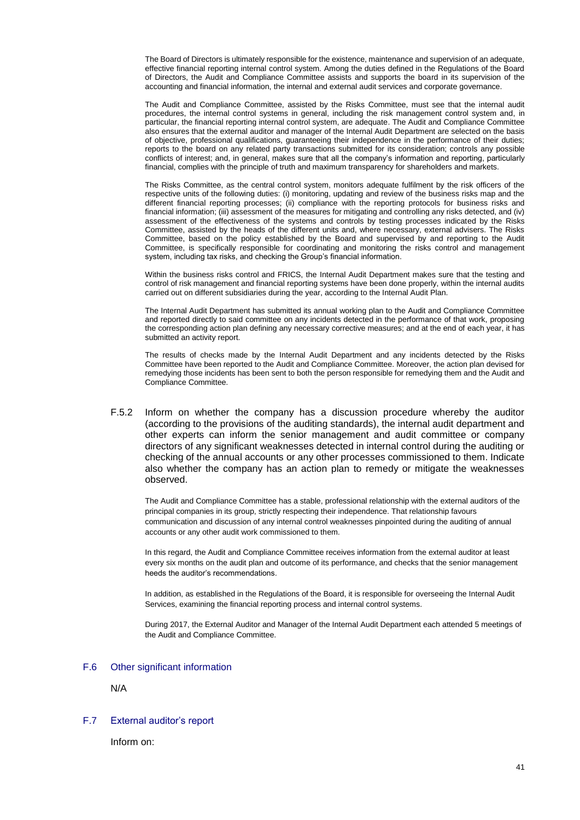The Board of Directors is ultimately responsible for the existence, maintenance and supervision of an adequate, effective financial reporting internal control system. Among the duties defined in the Regulations of the Board of Directors, the Audit and Compliance Committee assists and supports the board in its supervision of the accounting and financial information, the internal and external audit services and corporate governance.

The Audit and Compliance Committee, assisted by the Risks Committee, must see that the internal audit procedures, the internal control systems in general, including the risk management control system and, in particular, the financial reporting internal control system, are adequate. The Audit and Compliance Committee also ensures that the external auditor and manager of the Internal Audit Department are selected on the basis of objective, professional qualifications, guaranteeing their independence in the performance of their duties; reports to the board on any related party transactions submitted for its consideration; controls any possible conflicts of interest; and, in general, makes sure that all the company's information and reporting, particularly financial, complies with the principle of truth and maximum transparency for shareholders and markets.

The Risks Committee, as the central control system, monitors adequate fulfilment by the risk officers of the respective units of the following duties: (i) monitoring, updating and review of the business risks map and the different financial reporting processes; (ii) compliance with the reporting protocols for business risks and financial information; (iii) assessment of the measures for mitigating and controlling any risks detected, and (iv) assessment of the effectiveness of the systems and controls by testing processes indicated by the Risks Committee, assisted by the heads of the different units and, where necessary, external advisers. The Risks Committee, based on the policy established by the Board and supervised by and reporting to the Audit Committee, is specifically responsible for coordinating and monitoring the risks control and management system, including tax risks, and checking the Group's financial information.

Within the business risks control and FRICS, the Internal Audit Department makes sure that the testing and control of risk management and financial reporting systems have been done properly, within the internal audits carried out on different subsidiaries during the year, according to the Internal Audit Plan.

The Internal Audit Department has submitted its annual working plan to the Audit and Compliance Committee and reported directly to said committee on any incidents detected in the performance of that work, proposing the corresponding action plan defining any necessary corrective measures; and at the end of each year, it has submitted an activity report.

The results of checks made by the Internal Audit Department and any incidents detected by the Risks Committee have been reported to the Audit and Compliance Committee. Moreover, the action plan devised for remedying those incidents has been sent to both the person responsible for remedying them and the Audit and Compliance Committee.

F.5.2 Inform on whether the company has a discussion procedure whereby the auditor (according to the provisions of the auditing standards), the internal audit department and other experts can inform the senior management and audit committee or company directors of any significant weaknesses detected in internal control during the auditing or checking of the annual accounts or any other processes commissioned to them. Indicate also whether the company has an action plan to remedy or mitigate the weaknesses observed.

The Audit and Compliance Committee has a stable, professional relationship with the external auditors of the principal companies in its group, strictly respecting their independence. That relationship favours communication and discussion of any internal control weaknesses pinpointed during the auditing of annual accounts or any other audit work commissioned to them.

In this regard, the Audit and Compliance Committee receives information from the external auditor at least every six months on the audit plan and outcome of its performance, and checks that the senior management heeds the auditor's recommendations.

In addition, as established in the Regulations of the Board, it is responsible for overseeing the Internal Audit Services, examining the financial reporting process and internal control systems.

During 2017, the External Auditor and Manager of the Internal Audit Department each attended 5 meetings of the Audit and Compliance Committee.

### F.6 Other significant information

N/A

#### F.7 External auditor's report

Inform on: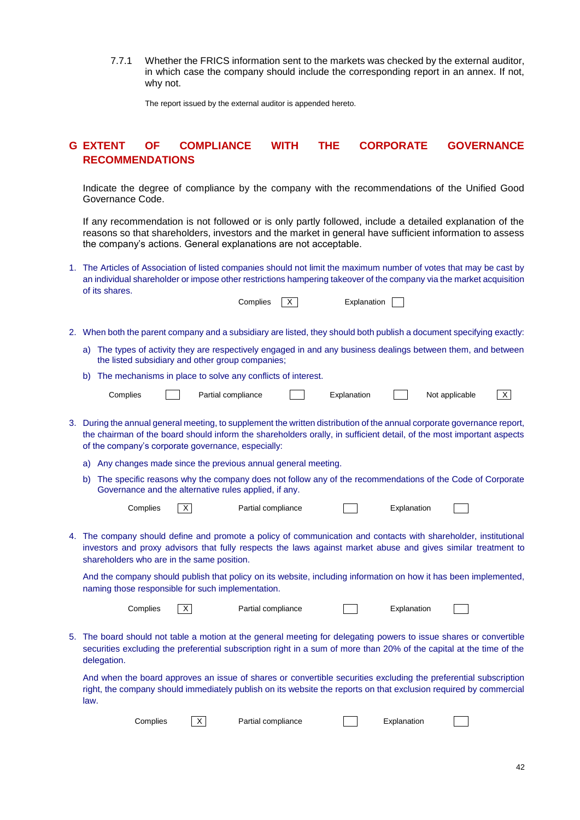7.7.1 Whether the FRICS information sent to the markets was checked by the external auditor, in which case the company should include the corresponding report in an annex. If not, why not.

The report issued by the external auditor is appended hereto.

# **G EXTENT OF COMPLIANCE WITH THE CORPORATE GOVERNANCE RECOMMENDATIONS**

Indicate the degree of compliance by the company with the recommendations of the Unified Good Governance Code.

If any recommendation is not followed or is only partly followed, include a detailed explanation of the reasons so that shareholders, investors and the market in general have sufficient information to assess the company's actions. General explanations are not acceptable.

- 1. The Articles of Association of listed companies should not limit the maximum number of votes that may be cast by an individual shareholder or impose other restrictions hampering takeover of the company via the market acquisition of its shares. Complies  $X$  Explanation
- 2. When both the parent company and a subsidiary are listed, they should both publish a document specifying exactly:
	- a) The types of activity they are respectively engaged in and any business dealings between them, and between the listed subsidiary and other group companies;
	- b) The mechanisms in place to solve any conflicts of interest.

|    |                                                                                                                                                                                                                                                                                                       | Complies |   | Partial compliance                                                                                                                                                                                                                                                          |  | Explanation |             | Not applicable |  | $\mathsf{X}$ |  |
|----|-------------------------------------------------------------------------------------------------------------------------------------------------------------------------------------------------------------------------------------------------------------------------------------------------------|----------|---|-----------------------------------------------------------------------------------------------------------------------------------------------------------------------------------------------------------------------------------------------------------------------------|--|-------------|-------------|----------------|--|--------------|--|
|    | 3. During the annual general meeting, to supplement the written distribution of the annual corporate governance report,<br>the chairman of the board should inform the shareholders orally, in sufficient detail, of the most important aspects<br>of the company's corporate governance, especially: |          |   |                                                                                                                                                                                                                                                                             |  |             |             |                |  |              |  |
|    | a)                                                                                                                                                                                                                                                                                                    |          |   | Any changes made since the previous annual general meeting.                                                                                                                                                                                                                 |  |             |             |                |  |              |  |
|    | b)                                                                                                                                                                                                                                                                                                    |          |   | The specific reasons why the company does not follow any of the recommendations of the Code of Corporate<br>Governance and the alternative rules applied, if any.                                                                                                           |  |             |             |                |  |              |  |
|    |                                                                                                                                                                                                                                                                                                       | Complies | X | Partial compliance                                                                                                                                                                                                                                                          |  |             | Explanation |                |  |              |  |
| 4. |                                                                                                                                                                                                                                                                                                       |          |   | The company should define and promote a policy of communication and contacts with shareholder, institutional<br>investors and proxy advisors that fully respects the laws against market abuse and gives similar treatment to<br>shareholders who are in the same position. |  |             |             |                |  |              |  |
|    |                                                                                                                                                                                                                                                                                                       |          |   | And the company should publish that policy on its website, including information on how it has been implemented,<br>naming those responsible for such implementation.                                                                                                       |  |             |             |                |  |              |  |
|    |                                                                                                                                                                                                                                                                                                       | Complies | X | Partial compliance                                                                                                                                                                                                                                                          |  |             | Explanation |                |  |              |  |
|    | delegation.                                                                                                                                                                                                                                                                                           |          |   | 5. The board should not table a motion at the general meeting for delegating powers to issue shares or convertible<br>securities excluding the preferential subscription right in a sum of more than 20% of the capital at the time of the                                  |  |             |             |                |  |              |  |

And when the board approves an issue of shares or convertible securities excluding the preferential subscription right, the company should immediately publish on its website the reports on that exclusion required by commercial law.

| Complies |  | Partial compliance | Explanation |
|----------|--|--------------------|-------------|
|----------|--|--------------------|-------------|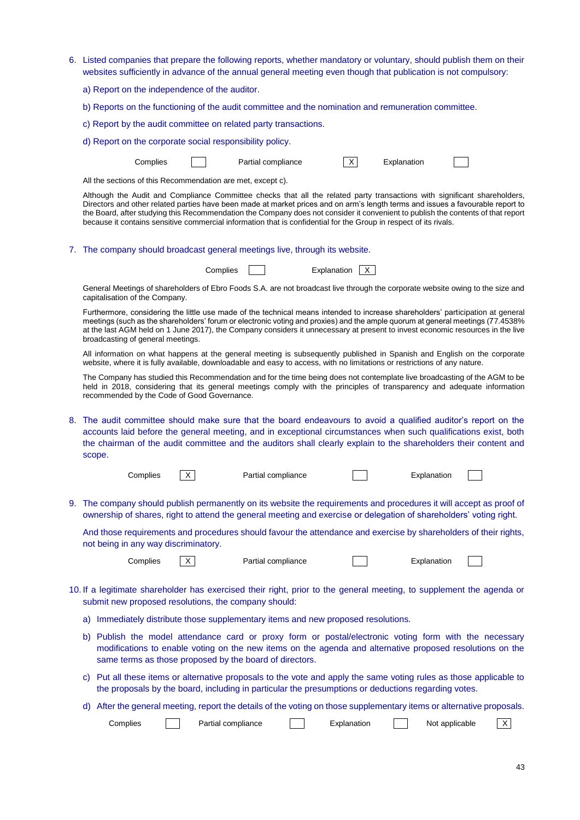| 6. Listed companies that prepare the following reports, whether mandatory or voluntary, should publish them on their<br>websites sufficiently in advance of the annual general meeting even though that publication is not compulsory:                                                                                                                                                                                                                                                                                |  |  |  |  |  |  |  |  |  |
|-----------------------------------------------------------------------------------------------------------------------------------------------------------------------------------------------------------------------------------------------------------------------------------------------------------------------------------------------------------------------------------------------------------------------------------------------------------------------------------------------------------------------|--|--|--|--|--|--|--|--|--|
| a) Report on the independence of the auditor.                                                                                                                                                                                                                                                                                                                                                                                                                                                                         |  |  |  |  |  |  |  |  |  |
| b) Reports on the functioning of the audit committee and the nomination and remuneration committee.                                                                                                                                                                                                                                                                                                                                                                                                                   |  |  |  |  |  |  |  |  |  |
| c) Report by the audit committee on related party transactions.                                                                                                                                                                                                                                                                                                                                                                                                                                                       |  |  |  |  |  |  |  |  |  |
| d) Report on the corporate social responsibility policy.                                                                                                                                                                                                                                                                                                                                                                                                                                                              |  |  |  |  |  |  |  |  |  |
| $\mathsf{x}$<br>Partial compliance<br>Complies<br>Explanation                                                                                                                                                                                                                                                                                                                                                                                                                                                         |  |  |  |  |  |  |  |  |  |
| All the sections of this Recommendation are met, except c).                                                                                                                                                                                                                                                                                                                                                                                                                                                           |  |  |  |  |  |  |  |  |  |
| Although the Audit and Compliance Committee checks that all the related party transactions with significant shareholders,<br>Directors and other related parties have been made at market prices and on arm's length terms and issues a favourable report to<br>the Board, after studying this Recommendation the Company does not consider it convenient to publish the contents of that report<br>because it contains sensitive commercial information that is confidential for the Group in respect of its rivals. |  |  |  |  |  |  |  |  |  |
| 7. The company should broadcast general meetings live, through its website.                                                                                                                                                                                                                                                                                                                                                                                                                                           |  |  |  |  |  |  |  |  |  |
| Complies<br>Explanation X                                                                                                                                                                                                                                                                                                                                                                                                                                                                                             |  |  |  |  |  |  |  |  |  |
| General Meetings of shareholders of Ebro Foods S.A. are not broadcast live through the corporate website owing to the size and<br>capitalisation of the Company.                                                                                                                                                                                                                                                                                                                                                      |  |  |  |  |  |  |  |  |  |
| Furthermore, considering the little use made of the technical means intended to increase shareholders' participation at general<br>meetings (such as the shareholders' forum or electronic voting and proxies) and the ample quorum at general meetings (77.4538%<br>at the last AGM held on 1 June 2017), the Company considers it unnecessary at present to invest economic resources in the live<br>broadcasting of general meetings.                                                                              |  |  |  |  |  |  |  |  |  |
| All information on what happens at the general meeting is subsequently published in Spanish and English on the corporate<br>website, where it is fully available, downloadable and easy to access, with no limitations or restrictions of any nature.                                                                                                                                                                                                                                                                 |  |  |  |  |  |  |  |  |  |
| The Company has studied this Recommendation and for the time being does not contemplate live broadcasting of the AGM to be<br>held in 2018, considering that its general meetings comply with the principles of transparency and adequate information<br>recommended by the Code of Good Governance.                                                                                                                                                                                                                  |  |  |  |  |  |  |  |  |  |
| 8. The audit committee should make sure that the board endeavours to avoid a qualified auditor's report on the<br>accounts laid before the general meeting, and in exceptional circumstances when such qualifications exist, both<br>the chairman of the audit committee and the auditors shall clearly explain to the shareholders their content and<br>scope.                                                                                                                                                       |  |  |  |  |  |  |  |  |  |
| Complies<br>Partial compliance<br>Explanation<br>X.                                                                                                                                                                                                                                                                                                                                                                                                                                                                   |  |  |  |  |  |  |  |  |  |
| 9. The company should publish permanently on its website the requirements and procedures it will accept as proof of<br>ownership of shares, right to attend the general meeting and exercise or delegation of shareholders' voting right.                                                                                                                                                                                                                                                                             |  |  |  |  |  |  |  |  |  |
| And those requirements and procedures should favour the attendance and exercise by shareholders of their rights,<br>not being in any way discriminatory.                                                                                                                                                                                                                                                                                                                                                              |  |  |  |  |  |  |  |  |  |
| Complies<br>$\times$<br>Partial compliance<br>Explanation                                                                                                                                                                                                                                                                                                                                                                                                                                                             |  |  |  |  |  |  |  |  |  |
| 10. If a legitimate shareholder has exercised their right, prior to the general meeting, to supplement the agenda or<br>submit new proposed resolutions, the company should:                                                                                                                                                                                                                                                                                                                                          |  |  |  |  |  |  |  |  |  |
| a) Immediately distribute those supplementary items and new proposed resolutions.                                                                                                                                                                                                                                                                                                                                                                                                                                     |  |  |  |  |  |  |  |  |  |
| b) Publish the model attendance card or proxy form or postal/electronic voting form with the necessary<br>modifications to enable voting on the new items on the agenda and alternative proposed resolutions on the<br>same terms as those proposed by the board of directors.                                                                                                                                                                                                                                        |  |  |  |  |  |  |  |  |  |
| c) Put all these items or alternative proposals to the vote and apply the same voting rules as those applicable to<br>the proposals by the board, including in particular the presumptions or deductions regarding votes.                                                                                                                                                                                                                                                                                             |  |  |  |  |  |  |  |  |  |
| d) After the general meeting, report the details of the voting on those supplementary items or alternative proposals.                                                                                                                                                                                                                                                                                                                                                                                                 |  |  |  |  |  |  |  |  |  |
| Complies<br>Partial compliance<br>Explanation<br>Not applicable<br>X                                                                                                                                                                                                                                                                                                                                                                                                                                                  |  |  |  |  |  |  |  |  |  |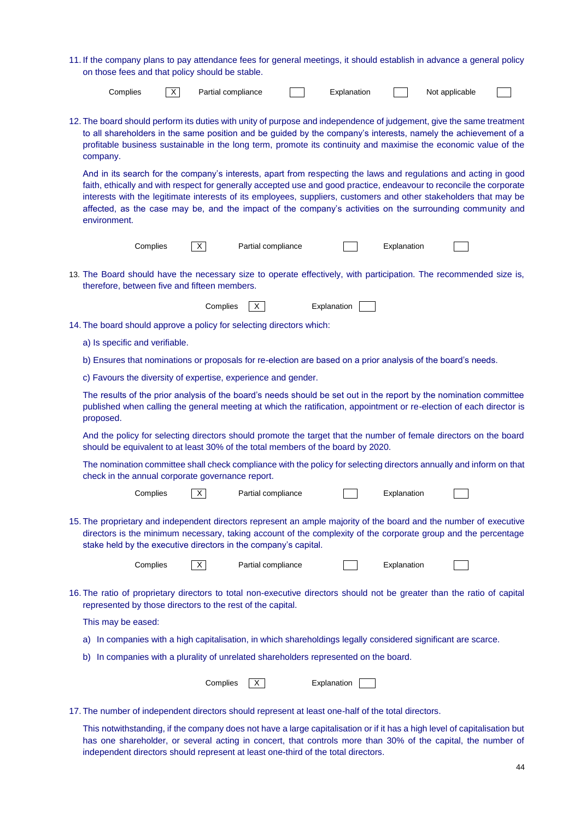| 11. If the company plans to pay attendance fees for general meetings, it should establish in advance a general policy |  |  |  |
|-----------------------------------------------------------------------------------------------------------------------|--|--|--|
| on those fees and that policy should be stable.                                                                       |  |  |  |

| Complies                                                                                                                                                                                                                                                                                                                                                                                                                                                                                   | $\times$ | Partial compliance |                    |  | Explanation                                                                       |             | Not applicable                                                                                                                                                                                                                             |  |  |
|--------------------------------------------------------------------------------------------------------------------------------------------------------------------------------------------------------------------------------------------------------------------------------------------------------------------------------------------------------------------------------------------------------------------------------------------------------------------------------------------|----------|--------------------|--------------------|--|-----------------------------------------------------------------------------------|-------------|--------------------------------------------------------------------------------------------------------------------------------------------------------------------------------------------------------------------------------------------|--|--|
| 12. The board should perform its duties with unity of purpose and independence of judgement, give the same treatment<br>to all shareholders in the same position and be guided by the company's interests, namely the achievement of a<br>profitable business sustainable in the long term, promote its continuity and maximise the economic value of the<br>company.                                                                                                                      |          |                    |                    |  |                                                                                   |             |                                                                                                                                                                                                                                            |  |  |
| And in its search for the company's interests, apart from respecting the laws and regulations and acting in good<br>faith, ethically and with respect for generally accepted use and good practice, endeavour to reconcile the corporate<br>interests with the legitimate interests of its employees, suppliers, customers and other stakeholders that may be<br>affected, as the case may be, and the impact of the company's activities on the surrounding community and<br>environment. |          |                    |                    |  |                                                                                   |             |                                                                                                                                                                                                                                            |  |  |
|                                                                                                                                                                                                                                                                                                                                                                                                                                                                                            | Complies | $\times$           | Partial compliance |  |                                                                                   | Explanation |                                                                                                                                                                                                                                            |  |  |
| 13. The Board should have the necessary size to operate effectively, with participation. The recommended size is,<br>therefore, between five and fifteen members.                                                                                                                                                                                                                                                                                                                          |          |                    |                    |  |                                                                                   |             |                                                                                                                                                                                                                                            |  |  |
|                                                                                                                                                                                                                                                                                                                                                                                                                                                                                            |          | Complies           | X                  |  | Explanation                                                                       |             |                                                                                                                                                                                                                                            |  |  |
| 14. The board should approve a policy for selecting directors which:                                                                                                                                                                                                                                                                                                                                                                                                                       |          |                    |                    |  |                                                                                   |             |                                                                                                                                                                                                                                            |  |  |
| a) Is specific and verifiable.                                                                                                                                                                                                                                                                                                                                                                                                                                                             |          |                    |                    |  |                                                                                   |             |                                                                                                                                                                                                                                            |  |  |
|                                                                                                                                                                                                                                                                                                                                                                                                                                                                                            |          |                    |                    |  |                                                                                   |             | b) Ensures that nominations or proposals for re-election are based on a prior analysis of the board's needs.                                                                                                                               |  |  |
| c) Favours the diversity of expertise, experience and gender.                                                                                                                                                                                                                                                                                                                                                                                                                              |          |                    |                    |  |                                                                                   |             |                                                                                                                                                                                                                                            |  |  |
| proposed.                                                                                                                                                                                                                                                                                                                                                                                                                                                                                  |          |                    |                    |  |                                                                                   |             | The results of the prior analysis of the board's needs should be set out in the report by the nomination committee<br>published when calling the general meeting at which the ratification, appointment or re-election of each director is |  |  |
|                                                                                                                                                                                                                                                                                                                                                                                                                                                                                            |          |                    |                    |  | should be equivalent to at least 30% of the total members of the board by 2020.   |             | And the policy for selecting directors should promote the target that the number of female directors on the board                                                                                                                          |  |  |
| The nomination committee shall check compliance with the policy for selecting directors annually and inform on that<br>check in the annual corporate governance report.                                                                                                                                                                                                                                                                                                                    |          |                    |                    |  |                                                                                   |             |                                                                                                                                                                                                                                            |  |  |
|                                                                                                                                                                                                                                                                                                                                                                                                                                                                                            | Complies | X                  | Partial compliance |  |                                                                                   | Explanation |                                                                                                                                                                                                                                            |  |  |
| stake held by the executive directors in the company's capital.                                                                                                                                                                                                                                                                                                                                                                                                                            |          |                    |                    |  |                                                                                   |             | 15. The proprietary and independent directors represent an ample majority of the board and the number of executive<br>directors is the minimum necessary, taking account of the complexity of the corporate group and the percentage       |  |  |
|                                                                                                                                                                                                                                                                                                                                                                                                                                                                                            | Complies | X                  | Partial compliance |  |                                                                                   | Explanation |                                                                                                                                                                                                                                            |  |  |
| represented by those directors to the rest of the capital.                                                                                                                                                                                                                                                                                                                                                                                                                                 |          |                    |                    |  |                                                                                   |             | 16. The ratio of proprietary directors to total non-executive directors should not be greater than the ratio of capital                                                                                                                    |  |  |
| This may be eased:                                                                                                                                                                                                                                                                                                                                                                                                                                                                         |          |                    |                    |  |                                                                                   |             |                                                                                                                                                                                                                                            |  |  |
|                                                                                                                                                                                                                                                                                                                                                                                                                                                                                            |          |                    |                    |  |                                                                                   |             | a) In companies with a high capitalisation, in which shareholdings legally considered significant are scarce.                                                                                                                              |  |  |
| b)                                                                                                                                                                                                                                                                                                                                                                                                                                                                                         |          |                    |                    |  | In companies with a plurality of unrelated shareholders represented on the board. |             |                                                                                                                                                                                                                                            |  |  |
|                                                                                                                                                                                                                                                                                                                                                                                                                                                                                            |          | Complies           | X                  |  | Explanation                                                                       |             |                                                                                                                                                                                                                                            |  |  |
| 17. The number of independent directors should represent at least one-half of the total directors.                                                                                                                                                                                                                                                                                                                                                                                         |          |                    |                    |  |                                                                                   |             |                                                                                                                                                                                                                                            |  |  |

This notwithstanding, if the company does not have a large capitalisation or if it has a high level of capitalisation but has one shareholder, or several acting in concert, that controls more than 30% of the capital, the number of independent directors should represent at least one-third of the total directors.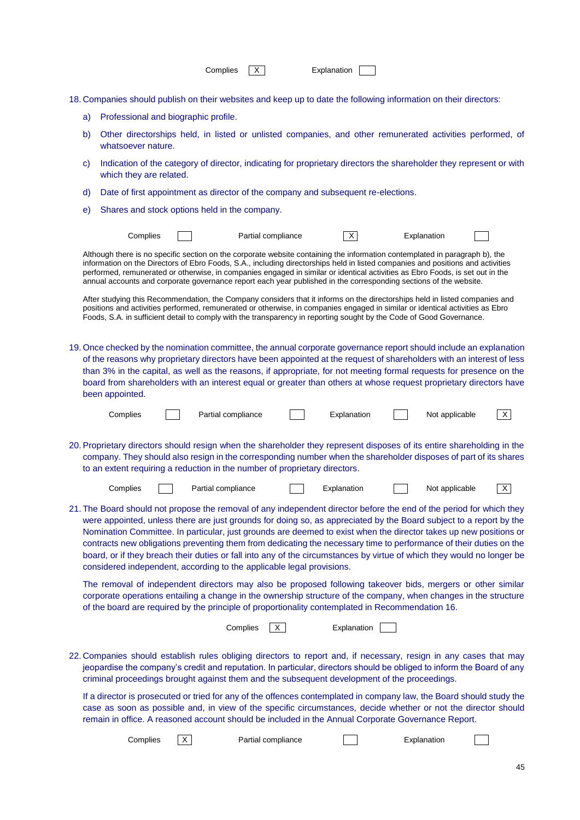|    |                                                                                                                                                                                                                                                                                                                                                                                                                                                                                                                                                                                                                                                                                          |              | Complies                                      |                                                                                                                                                                                                                                                                                                                                                                                                                                                                                                                      | Explanation |             |             |                |   |
|----|------------------------------------------------------------------------------------------------------------------------------------------------------------------------------------------------------------------------------------------------------------------------------------------------------------------------------------------------------------------------------------------------------------------------------------------------------------------------------------------------------------------------------------------------------------------------------------------------------------------------------------------------------------------------------------------|--------------|-----------------------------------------------|----------------------------------------------------------------------------------------------------------------------------------------------------------------------------------------------------------------------------------------------------------------------------------------------------------------------------------------------------------------------------------------------------------------------------------------------------------------------------------------------------------------------|-------------|-------------|-------------|----------------|---|
|    |                                                                                                                                                                                                                                                                                                                                                                                                                                                                                                                                                                                                                                                                                          |              |                                               | 18. Companies should publish on their websites and keep up to date the following information on their directors:                                                                                                                                                                                                                                                                                                                                                                                                     |             |             |             |                |   |
| a) | Professional and biographic profile.                                                                                                                                                                                                                                                                                                                                                                                                                                                                                                                                                                                                                                                     |              |                                               |                                                                                                                                                                                                                                                                                                                                                                                                                                                                                                                      |             |             |             |                |   |
| b) | whatsoever nature.                                                                                                                                                                                                                                                                                                                                                                                                                                                                                                                                                                                                                                                                       |              |                                               | Other directorships held, in listed or unlisted companies, and other remunerated activities performed, of                                                                                                                                                                                                                                                                                                                                                                                                            |             |             |             |                |   |
| C) | which they are related.                                                                                                                                                                                                                                                                                                                                                                                                                                                                                                                                                                                                                                                                  |              |                                               | Indication of the category of director, indicating for proprietary directors the shareholder they represent or with                                                                                                                                                                                                                                                                                                                                                                                                  |             |             |             |                |   |
| d) |                                                                                                                                                                                                                                                                                                                                                                                                                                                                                                                                                                                                                                                                                          |              |                                               | Date of first appointment as director of the company and subsequent re-elections.                                                                                                                                                                                                                                                                                                                                                                                                                                    |             |             |             |                |   |
| e) |                                                                                                                                                                                                                                                                                                                                                                                                                                                                                                                                                                                                                                                                                          |              | Shares and stock options held in the company. |                                                                                                                                                                                                                                                                                                                                                                                                                                                                                                                      |             |             |             |                |   |
|    | Complies                                                                                                                                                                                                                                                                                                                                                                                                                                                                                                                                                                                                                                                                                 |              |                                               | Partial compliance                                                                                                                                                                                                                                                                                                                                                                                                                                                                                                   | X.          |             | Explanation |                |   |
|    |                                                                                                                                                                                                                                                                                                                                                                                                                                                                                                                                                                                                                                                                                          |              |                                               | Although there is no specific section on the corporate website containing the information contemplated in paragraph b), the<br>information on the Directors of Ebro Foods, S.A., including directorships held in listed companies and positions and activities<br>performed, remunerated or otherwise, in companies engaged in similar or identical activities as Ebro Foods, is set out in the<br>annual accounts and corporate governance report each year published in the corresponding sections of the website. |             |             |             |                |   |
|    |                                                                                                                                                                                                                                                                                                                                                                                                                                                                                                                                                                                                                                                                                          |              |                                               | After studying this Recommendation, the Company considers that it informs on the directorships held in listed companies and<br>positions and activities performed, remunerated or otherwise, in companies engaged in similar or identical activities as Ebro<br>Foods, S.A. in sufficient detail to comply with the transparency in reporting sought by the Code of Good Governance.                                                                                                                                 |             |             |             |                |   |
|    | been appointed.                                                                                                                                                                                                                                                                                                                                                                                                                                                                                                                                                                                                                                                                          |              |                                               | 19. Once checked by the nomination committee, the annual corporate governance report should include an explanation<br>of the reasons why proprietary directors have been appointed at the request of shareholders with an interest of less<br>than 3% in the capital, as well as the reasons, if appropriate, for not meeting formal requests for presence on the<br>board from shareholders with an interest equal or greater than others at whose request proprietary directors have                               |             |             |             |                |   |
|    | Complies                                                                                                                                                                                                                                                                                                                                                                                                                                                                                                                                                                                                                                                                                 |              | Partial compliance                            |                                                                                                                                                                                                                                                                                                                                                                                                                                                                                                                      | Explanation |             |             | Not applicable | X |
|    | 20. Proprietary directors should resign when the shareholder they represent disposes of its entire shareholding in the<br>company. They should also resign in the corresponding number when the shareholder disposes of part of its shares<br>to an extent requiring a reduction in the number of proprietary directors.                                                                                                                                                                                                                                                                                                                                                                 |              |                                               |                                                                                                                                                                                                                                                                                                                                                                                                                                                                                                                      |             |             |             |                |   |
|    | Complies                                                                                                                                                                                                                                                                                                                                                                                                                                                                                                                                                                                                                                                                                 |              | Partial compliance                            |                                                                                                                                                                                                                                                                                                                                                                                                                                                                                                                      | Explanation |             |             | Not applicable | X |
|    | 21. The Board should not propose the removal of any independent director before the end of the period for which they<br>were appointed, unless there are just grounds for doing so, as appreciated by the Board subject to a report by the<br>Nomination Committee. In particular, just grounds are deemed to exist when the director takes up new positions or<br>contracts new obligations preventing them from dedicating the necessary time to performance of their duties on the<br>board, or if they breach their duties or fall into any of the circumstances by virtue of which they would no longer be<br>considered independent, according to the applicable legal provisions. |              |                                               |                                                                                                                                                                                                                                                                                                                                                                                                                                                                                                                      |             |             |             |                |   |
|    |                                                                                                                                                                                                                                                                                                                                                                                                                                                                                                                                                                                                                                                                                          |              |                                               | The removal of independent directors may also be proposed following takeover bids, mergers or other similar<br>corporate operations entailing a change in the ownership structure of the company, when changes in the structure<br>of the board are required by the principle of proportionality contemplated in Recommendation 16.                                                                                                                                                                                  |             |             |             |                |   |
|    |                                                                                                                                                                                                                                                                                                                                                                                                                                                                                                                                                                                                                                                                                          |              | Complies                                      | X.                                                                                                                                                                                                                                                                                                                                                                                                                                                                                                                   |             | Explanation |             |                |   |
|    |                                                                                                                                                                                                                                                                                                                                                                                                                                                                                                                                                                                                                                                                                          |              |                                               | 22. Companies should establish rules obliging directors to report and, if necessary, resign in any cases that may<br>jeopardise the company's credit and reputation. In particular, directors should be obliged to inform the Board of any<br>criminal proceedings brought against them and the subsequent development of the proceedings.                                                                                                                                                                           |             |             |             |                |   |
|    |                                                                                                                                                                                                                                                                                                                                                                                                                                                                                                                                                                                                                                                                                          |              |                                               | If a director is prosecuted or tried for any of the offences contemplated in company law, the Board should study the<br>case as soon as possible and, in view of the specific circumstances, decide whether or not the director should<br>remain in office. A reasoned account should be included in the Annual Corporate Governance Report.                                                                                                                                                                         |             |             |             |                |   |
|    | Complies                                                                                                                                                                                                                                                                                                                                                                                                                                                                                                                                                                                                                                                                                 | $\mathsf{X}$ |                                               | Partial compliance                                                                                                                                                                                                                                                                                                                                                                                                                                                                                                   |             |             | Explanation |                |   |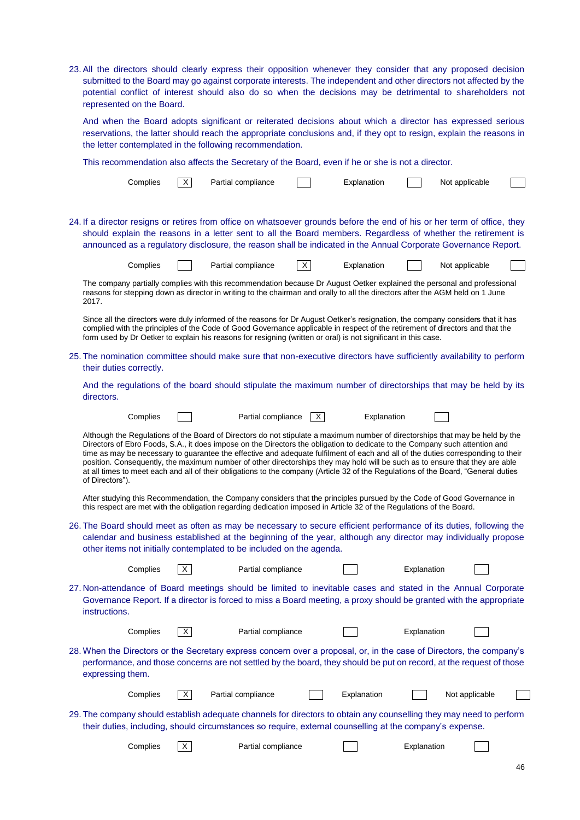23. All the directors should clearly express their opposition whenever they consider that any proposed decision submitted to the Board may go against corporate interests. The independent and other directors not affected by the potential conflict of interest should also do so when the decisions may be detrimental to shareholders not represented on the Board. And when the Board adopts significant or reiterated decisions about which a director has expressed serious reservations, the latter should reach the appropriate conclusions and, if they opt to resign, explain the reasons in the letter contemplated in the following recommendation. This recommendation also affects the Secretary of the Board, even if he or she is not a director. Complies | X | Partial compliance | | Explanation | | Not applicable 24. If a director resigns or retires from office on whatsoever grounds before the end of his or her term of office, they should explain the reasons in a letter sent to all the Board members. Regardless of whether the retirement is announced as a regulatory disclosure, the reason shall be indicated in the Annual Corporate Governance Report. Complies  $\Box$  Partial compliance  $\Box$  Explanation  $\Box$  Not applicable The company partially complies with this recommendation because Dr August Oetker explained the personal and professional reasons for stepping down as director in writing to the chairman and orally to all the directors after the AGM held on 1 June 2017. Since all the directors were duly informed of the reasons for Dr August Oetker's resignation, the company considers that it has complied with the principles of the Code of Good Governance applicable in respect of the retirement of directors and that the form used by Dr Oetker to explain his reasons for resigning (written or oral) is not significant in this case. 25. The nomination committee should make sure that non-executive directors have sufficiently availability to perform their duties correctly. And the regulations of the board should stipulate the maximum number of directorships that may be held by its directors. Complies  $\Box$  Partial compliance  $\Box$  Explanation Although the Regulations of the Board of Directors do not stipulate a maximum number of directorships that may be held by the Directors of Ebro Foods, S.A., it does impose on the Directors the obligation to dedicate to the Company such attention and time as may be necessary to guarantee the effective and adequate fulfilment of each and all of the duties corresponding to their position. Consequently, the maximum number of other directorships they may hold will be such as to ensure that they are able at all times to meet each and all of their obligations to the company (Article 32 of the Regulations of the Board, "General duties of Directors"). After studying this Recommendation, the Company considers that the principles pursued by the Code of Good Governance in this respect are met with the obligation regarding dedication imposed in Article 32 of the Regulations of the Board. 26. The Board should meet as often as may be necessary to secure efficient performance of its duties, following the calendar and business established at the beginning of the year, although any director may individually propose other items not initially contemplated to be included on the agenda. Complies  $\boxed{X}$  Partial compliance  $\boxed{X}$  Explanation 27. Non-attendance of Board meetings should be limited to inevitable cases and stated in the Annual Corporate Governance Report. If a director is forced to miss a Board meeting, a proxy should be granted with the appropriate instructions. Complies  $\overline{X}$  Partial compliance  $\overline{X}$  Explanation 28. When the Directors or the Secretary express concern over a proposal, or, in the case of Directors, the company's performance, and those concerns are not settled by the board, they should be put on record, at the request of those expressing them.  $Complies \quad \boxed{X}$  Partial compliance  $\boxed{X}$  Explanation  $\boxed{X}$  Not applicable 29. The company should establish adequate channels for directors to obtain any counselling they may need to perform their duties, including, should circumstances so require, external counselling at the company's expense. Complies  $\overline{X}$  Partial compliance  $\overline{X}$  Explanation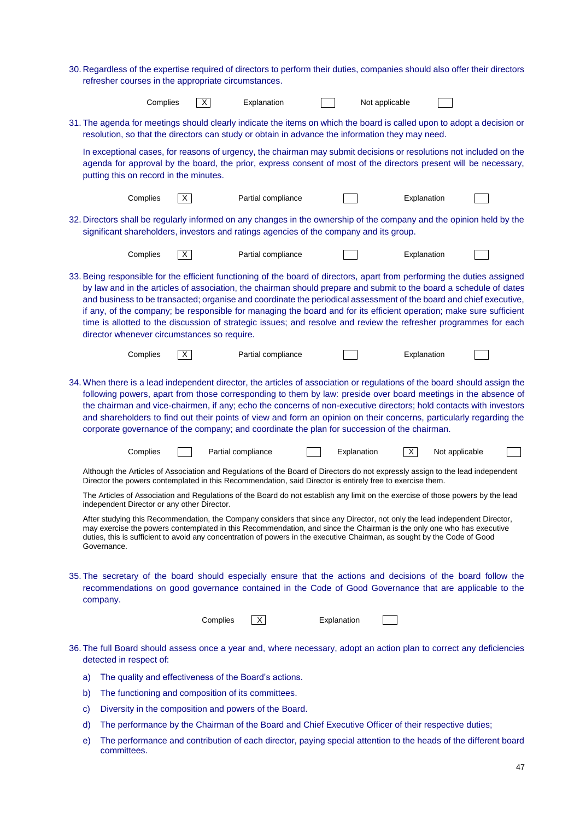|    | 30. Regardless of the expertise required of directors to perform their duties, companies should also offer their directors<br>refresher courses in the appropriate circumstances.                                                                                                                                                                                                                                                                                                                                                                                                                                                                              |    |                    |                    |  |                |             |                |  |  |
|----|----------------------------------------------------------------------------------------------------------------------------------------------------------------------------------------------------------------------------------------------------------------------------------------------------------------------------------------------------------------------------------------------------------------------------------------------------------------------------------------------------------------------------------------------------------------------------------------------------------------------------------------------------------------|----|--------------------|--------------------|--|----------------|-------------|----------------|--|--|
|    | Complies                                                                                                                                                                                                                                                                                                                                                                                                                                                                                                                                                                                                                                                       |    | X                  | Explanation        |  | Not applicable |             |                |  |  |
|    | 31. The agenda for meetings should clearly indicate the items on which the board is called upon to adopt a decision or<br>resolution, so that the directors can study or obtain in advance the information they may need.                                                                                                                                                                                                                                                                                                                                                                                                                                      |    |                    |                    |  |                |             |                |  |  |
|    | In exceptional cases, for reasons of urgency, the chairman may submit decisions or resolutions not included on the<br>agenda for approval by the board, the prior, express consent of most of the directors present will be necessary,<br>putting this on record in the minutes.                                                                                                                                                                                                                                                                                                                                                                               |    |                    |                    |  |                |             |                |  |  |
|    | Complies                                                                                                                                                                                                                                                                                                                                                                                                                                                                                                                                                                                                                                                       | X. |                    | Partial compliance |  |                | Explanation |                |  |  |
|    | 32. Directors shall be regularly informed on any changes in the ownership of the company and the opinion held by the<br>significant shareholders, investors and ratings agencies of the company and its group.                                                                                                                                                                                                                                                                                                                                                                                                                                                 |    |                    |                    |  |                |             |                |  |  |
|    | Complies                                                                                                                                                                                                                                                                                                                                                                                                                                                                                                                                                                                                                                                       | X  |                    | Partial compliance |  |                | Explanation |                |  |  |
|    | 33. Being responsible for the efficient functioning of the board of directors, apart from performing the duties assigned<br>by law and in the articles of association, the chairman should prepare and submit to the board a schedule of dates<br>and business to be transacted; organise and coordinate the periodical assessment of the board and chief executive,<br>if any, of the company; be responsible for managing the board and for its efficient operation; make sure sufficient<br>time is allotted to the discussion of strategic issues; and resolve and review the refresher programmes for each<br>director whenever circumstances so require. |    |                    |                    |  |                |             |                |  |  |
|    | Complies                                                                                                                                                                                                                                                                                                                                                                                                                                                                                                                                                                                                                                                       | X. |                    | Partial compliance |  |                | Explanation |                |  |  |
|    | 34. When there is a lead independent director, the articles of association or regulations of the board should assign the<br>following powers, apart from those corresponding to them by law: preside over board meetings in the absence of<br>the chairman and vice-chairmen, if any; echo the concerns of non-executive directors; hold contacts with investors<br>and shareholders to find out their points of view and form an opinion on their concerns, particularly regarding the<br>corporate governance of the company; and coordinate the plan for succession of the chairman.                                                                        |    |                    |                    |  |                |             |                |  |  |
|    | Complies                                                                                                                                                                                                                                                                                                                                                                                                                                                                                                                                                                                                                                                       |    | Partial compliance |                    |  | Explanation    | $\times$    | Not applicable |  |  |
|    | Although the Articles of Association and Regulations of the Board of Directors do not expressly assign to the lead independent<br>Director the powers contemplated in this Recommendation, said Director is entirely free to exercise them.                                                                                                                                                                                                                                                                                                                                                                                                                    |    |                    |                    |  |                |             |                |  |  |
|    | The Articles of Association and Regulations of the Board do not establish any limit on the exercise of those powers by the lead<br>independent Director or any other Director.                                                                                                                                                                                                                                                                                                                                                                                                                                                                                 |    |                    |                    |  |                |             |                |  |  |
|    | After studying this Recommendation, the Company considers that since any Director, not only the lead independent Director,<br>may exercise the powers contemplated in this Recommendation, and since the Chairman is the only one who has executive<br>duties, this is sufficient to avoid any concentration of powers in the executive Chairman, as sought by the Code of Good<br>Governance.                                                                                                                                                                                                                                                                 |    |                    |                    |  |                |             |                |  |  |
|    | 35. The secretary of the board should especially ensure that the actions and decisions of the board follow the<br>recommendations on good governance contained in the Code of Good Governance that are applicable to the<br>company.                                                                                                                                                                                                                                                                                                                                                                                                                           |    |                    |                    |  |                |             |                |  |  |
|    |                                                                                                                                                                                                                                                                                                                                                                                                                                                                                                                                                                                                                                                                |    | Complies           | X                  |  | Explanation    |             |                |  |  |
|    | 36. The full Board should assess once a year and, where necessary, adopt an action plan to correct any deficiencies<br>detected in respect of:                                                                                                                                                                                                                                                                                                                                                                                                                                                                                                                 |    |                    |                    |  |                |             |                |  |  |
| a) | The quality and effectiveness of the Board's actions.                                                                                                                                                                                                                                                                                                                                                                                                                                                                                                                                                                                                          |    |                    |                    |  |                |             |                |  |  |
| b) | The functioning and composition of its committees.                                                                                                                                                                                                                                                                                                                                                                                                                                                                                                                                                                                                             |    |                    |                    |  |                |             |                |  |  |
| C) | Diversity in the composition and powers of the Board.                                                                                                                                                                                                                                                                                                                                                                                                                                                                                                                                                                                                          |    |                    |                    |  |                |             |                |  |  |
| d) | The performance by the Chairman of the Board and Chief Executive Officer of their respective duties;                                                                                                                                                                                                                                                                                                                                                                                                                                                                                                                                                           |    |                    |                    |  |                |             |                |  |  |
| e) | The performance and contribution of each director, paying special attention to the heads of the different board                                                                                                                                                                                                                                                                                                                                                                                                                                                                                                                                                |    |                    |                    |  |                |             |                |  |  |

e) The performance and contribution of each director, paying special attention to the heads of the different board The periorm<br>committees.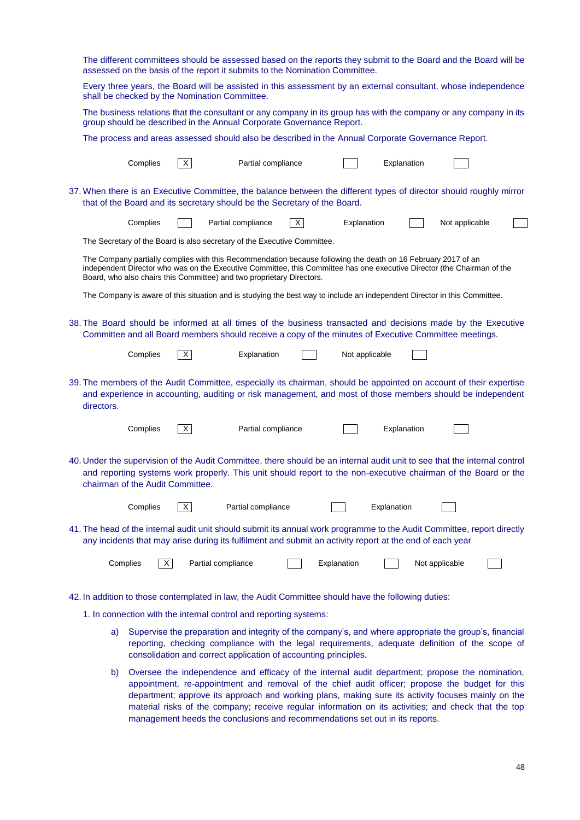| The different committees should be assessed based on the reports they submit to the Board and the Board will be<br>assessed on the basis of the report it submits to the Nomination Committee.                                                                                                                                                                                                                                                                                                         |                    |                |             |                |  |  |  |  |  |
|--------------------------------------------------------------------------------------------------------------------------------------------------------------------------------------------------------------------------------------------------------------------------------------------------------------------------------------------------------------------------------------------------------------------------------------------------------------------------------------------------------|--------------------|----------------|-------------|----------------|--|--|--|--|--|
| Every three years, the Board will be assisted in this assessment by an external consultant, whose independence<br>shall be checked by the Nomination Committee.                                                                                                                                                                                                                                                                                                                                        |                    |                |             |                |  |  |  |  |  |
| The business relations that the consultant or any company in its group has with the company or any company in its<br>group should be described in the Annual Corporate Governance Report.                                                                                                                                                                                                                                                                                                              |                    |                |             |                |  |  |  |  |  |
| The process and areas assessed should also be described in the Annual Corporate Governance Report.                                                                                                                                                                                                                                                                                                                                                                                                     |                    |                |             |                |  |  |  |  |  |
| Complies<br>$\mathsf{X}$                                                                                                                                                                                                                                                                                                                                                                                                                                                                               | Partial compliance |                | Explanation |                |  |  |  |  |  |
| 37. When there is an Executive Committee, the balance between the different types of director should roughly mirror<br>that of the Board and its secretary should be the Secretary of the Board.                                                                                                                                                                                                                                                                                                       |                    |                |             |                |  |  |  |  |  |
| Complies<br>Partial compliance                                                                                                                                                                                                                                                                                                                                                                                                                                                                         | $\times$           | Explanation    |             | Not applicable |  |  |  |  |  |
| The Secretary of the Board is also secretary of the Executive Committee.                                                                                                                                                                                                                                                                                                                                                                                                                               |                    |                |             |                |  |  |  |  |  |
| The Company partially complies with this Recommendation because following the death on 16 February 2017 of an<br>independent Director who was on the Executive Committee, this Committee has one executive Director (the Chairman of the<br>Board, who also chairs this Committee) and two proprietary Directors.                                                                                                                                                                                      |                    |                |             |                |  |  |  |  |  |
| The Company is aware of this situation and is studying the best way to include an independent Director in this Committee.                                                                                                                                                                                                                                                                                                                                                                              |                    |                |             |                |  |  |  |  |  |
| 38. The Board should be informed at all times of the business transacted and decisions made by the Executive<br>Committee and all Board members should receive a copy of the minutes of Executive Committee meetings.                                                                                                                                                                                                                                                                                  |                    |                |             |                |  |  |  |  |  |
| X <br>Complies                                                                                                                                                                                                                                                                                                                                                                                                                                                                                         | Explanation        | Not applicable |             |                |  |  |  |  |  |
| 39. The members of the Audit Committee, especially its chairman, should be appointed on account of their expertise<br>and experience in accounting, auditing or risk management, and most of those members should be independent<br>directors.                                                                                                                                                                                                                                                         |                    |                |             |                |  |  |  |  |  |
| Complies<br> X                                                                                                                                                                                                                                                                                                                                                                                                                                                                                         | Partial compliance |                | Explanation |                |  |  |  |  |  |
| 40. Under the supervision of the Audit Committee, there should be an internal audit unit to see that the internal control<br>and reporting systems work properly. This unit should report to the non-executive chairman of the Board or the<br>chairman of the Audit Committee.                                                                                                                                                                                                                        |                    |                |             |                |  |  |  |  |  |
| Complies<br>X                                                                                                                                                                                                                                                                                                                                                                                                                                                                                          | Partial compliance |                | Explanation |                |  |  |  |  |  |
| 41. The head of the internal audit unit should submit its annual work programme to the Audit Committee, report directly<br>any incidents that may arise during its fulfilment and submit an activity report at the end of each year                                                                                                                                                                                                                                                                    |                    |                |             |                |  |  |  |  |  |
| $\times$<br>Partial compliance<br>Complies                                                                                                                                                                                                                                                                                                                                                                                                                                                             |                    | Explanation    |             | Not applicable |  |  |  |  |  |
| 42. In addition to those contemplated in law, the Audit Committee should have the following duties:                                                                                                                                                                                                                                                                                                                                                                                                    |                    |                |             |                |  |  |  |  |  |
| 1. In connection with the internal control and reporting systems:                                                                                                                                                                                                                                                                                                                                                                                                                                      |                    |                |             |                |  |  |  |  |  |
| Supervise the preparation and integrity of the company's, and where appropriate the group's, financial<br>a)<br>reporting, checking compliance with the legal requirements, adequate definition of the scope of<br>consolidation and correct application of accounting principles.                                                                                                                                                                                                                     |                    |                |             |                |  |  |  |  |  |
| Oversee the independence and efficacy of the internal audit department; propose the nomination,<br>b)<br>appointment, re-appointment and removal of the chief audit officer; propose the budget for this<br>department; approve its approach and working plans, making sure its activity focuses mainly on the<br>material risks of the company; receive regular information on its activities; and check that the top<br>management heeds the conclusions and recommendations set out in its reports. |                    |                |             |                |  |  |  |  |  |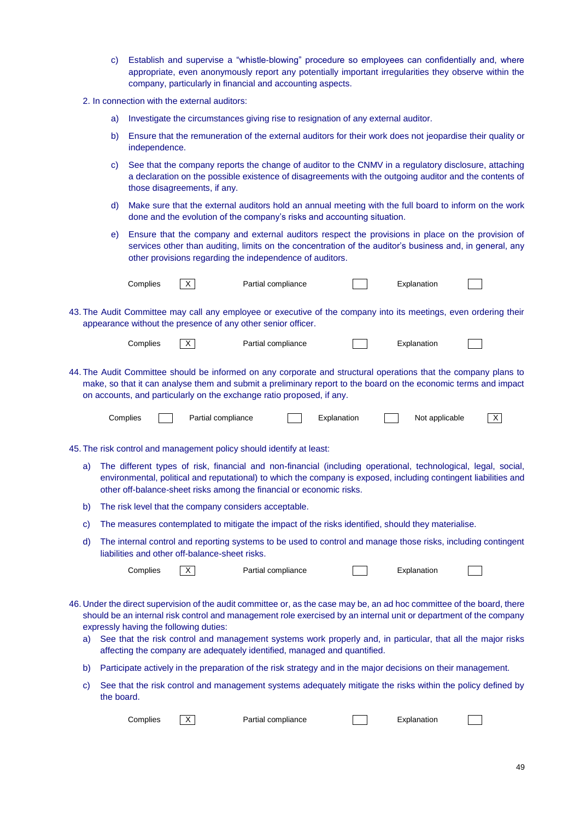- c) Establish and supervise a "whistle-blowing" procedure so employees can confidentially and, where appropriate, even anonymously report any potentially important irregularities they observe within the company, particularly in financial and accounting aspects.
- 2. In connection with the external auditors:
	- a) Investigate the circumstances giving rise to resignation of any external auditor.
	- b) Ensure that the remuneration of the external auditors for their work does not jeopardise their quality or independence.
	- c) See that the company reports the change of auditor to the CNMV in a regulatory disclosure, attaching a declaration on the possible existence of disagreements with the outgoing auditor and the contents of those disagreements, if any.
	- d) Make sure that the external auditors hold an annual meeting with the full board to inform on the work done and the evolution of the company's risks and accounting situation.
	- e) Ensure that the company and external auditors respect the provisions in place on the provision of services other than auditing, limits on the concentration of the auditor's business and, in general, any other provisions regarding the independence of auditors.

| Complies |  |
|----------|--|
|          |  |

| $\mathsf{X}$ | Partial compliance |  | Explanation |
|--------------|--------------------|--|-------------|
|--------------|--------------------|--|-------------|

- 
- 43. The Audit Committee may call any employee or executive of the company into its meetings, even ordering their appearance without the presence of any other senior officer.

| Complies |
|----------|
|----------|

```
X Partial compliance Table 1 Explanation
```
44. The Audit Committee should be informed on any corporate and structural operations that the company plans to make, so that it can analyse them and submit a preliminary report to the board on the economic terms and impact on accounts, and particularly on the exchange ratio proposed, if any.

| Complies: |  | Partial compliance |  | ∡planatı∩ |  | applicable<br>Not | $\sqrt{}$ |
|-----------|--|--------------------|--|-----------|--|-------------------|-----------|
|-----------|--|--------------------|--|-----------|--|-------------------|-----------|

45. The risk control and management policy should identify at least:

- a) The different types of risk, financial and non-financial (including operational, technological, legal, social, environmental, political and reputational) to which the company is exposed, including contingent liabilities and other off-balance-sheet risks among the financial or economic risks.
- b) The risk level that the company considers acceptable.
- c) The measures contemplated to mitigate the impact of the risks identified, should they materialise.
- d) The internal control and reporting systems to be used to control and manage those risks, including contingent liabilities and other off-balance-sheet risks.

| Complies |  |
|----------|--|
|----------|--|

| $\times$ | Partial compliance | Explanation |
|----------|--------------------|-------------|
|          |                    |             |

- 46. Under the direct supervision of the audit committee or, as the case may be, an ad hoc committee of the board, there should be an internal risk control and management role exercised by an internal unit or department of the company expressly having the following duties:
	- a) See that the risk control and management systems work properly and, in particular, that all the major risks affecting the company are adequately identified, managed and quantified.
	- b) Participate actively in the preparation of the risk strategy and in the major decisions on their management.
	- c) See that the risk control and management systems adequately mitigate the risks within the policy defined by the board.

| Complies<br>Explanation<br>Partial compliance |  |
|-----------------------------------------------|--|
|-----------------------------------------------|--|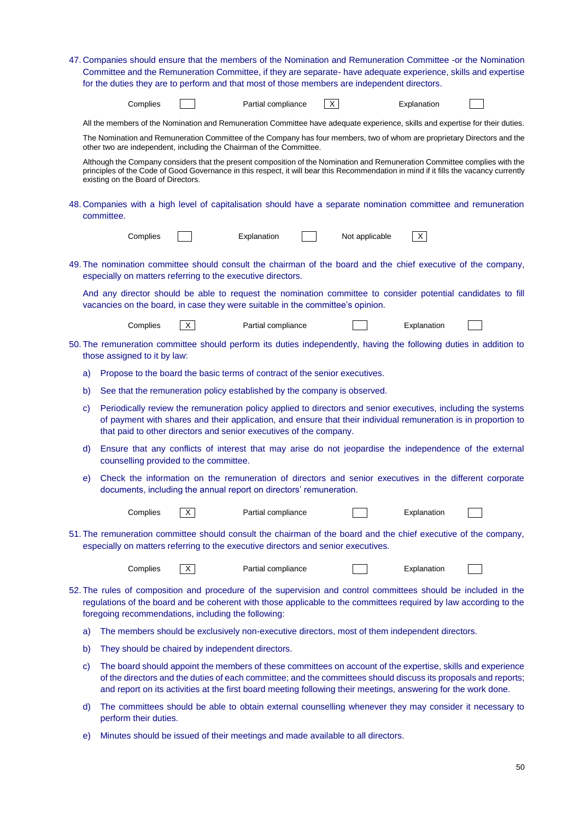|    | 47. Companies should ensure that the members of the Nomination and Remuneration Committee -or the Nomination                                                                                                   |                                                                                                                                                                                                                                                                                                                                                  |              |                    |              |                |             |  |
|----|----------------------------------------------------------------------------------------------------------------------------------------------------------------------------------------------------------------|--------------------------------------------------------------------------------------------------------------------------------------------------------------------------------------------------------------------------------------------------------------------------------------------------------------------------------------------------|--------------|--------------------|--------------|----------------|-------------|--|
|    | Committee and the Remuneration Committee, if they are separate- have adequate experience, skills and expertise<br>for the duties they are to perform and that most of those members are independent directors. |                                                                                                                                                                                                                                                                                                                                                  |              |                    |              |                |             |  |
|    |                                                                                                                                                                                                                | Complies                                                                                                                                                                                                                                                                                                                                         |              | Partial compliance | $\mathsf{X}$ |                | Explanation |  |
|    |                                                                                                                                                                                                                | All the members of the Nomination and Remuneration Committee have adequate experience, skills and expertise for their duties.                                                                                                                                                                                                                    |              |                    |              |                |             |  |
|    |                                                                                                                                                                                                                | The Nomination and Remuneration Committee of the Company has four members, two of whom are proprietary Directors and the<br>other two are independent, including the Chairman of the Committee.                                                                                                                                                  |              |                    |              |                |             |  |
|    |                                                                                                                                                                                                                | Although the Company considers that the present composition of the Nomination and Remuneration Committee complies with the<br>principles of the Code of Good Governance in this respect, it will bear this Recommendation in mind if it fills the vacancy currently<br>existing on the Board of Directors.                                       |              |                    |              |                |             |  |
|    |                                                                                                                                                                                                                | 48. Companies with a high level of capitalisation should have a separate nomination committee and remuneration<br>committee.                                                                                                                                                                                                                     |              |                    |              |                |             |  |
|    |                                                                                                                                                                                                                | Complies                                                                                                                                                                                                                                                                                                                                         |              | Explanation        |              | Not applicable | X           |  |
|    |                                                                                                                                                                                                                | 49. The nomination committee should consult the chairman of the board and the chief executive of the company,<br>especially on matters referring to the executive directors.                                                                                                                                                                     |              |                    |              |                |             |  |
|    |                                                                                                                                                                                                                | And any director should be able to request the nomination committee to consider potential candidates to fill<br>vacancies on the board, in case they were suitable in the committee's opinion.                                                                                                                                                   |              |                    |              |                |             |  |
|    |                                                                                                                                                                                                                | Complies                                                                                                                                                                                                                                                                                                                                         | $\vert$ X    | Partial compliance |              |                | Explanation |  |
|    |                                                                                                                                                                                                                | 50. The remuneration committee should perform its duties independently, having the following duties in addition to<br>those assigned to it by law:                                                                                                                                                                                               |              |                    |              |                |             |  |
| a) |                                                                                                                                                                                                                | Propose to the board the basic terms of contract of the senior executives.                                                                                                                                                                                                                                                                       |              |                    |              |                |             |  |
| b) |                                                                                                                                                                                                                | See that the remuneration policy established by the company is observed.                                                                                                                                                                                                                                                                         |              |                    |              |                |             |  |
| C) |                                                                                                                                                                                                                | Periodically review the remuneration policy applied to directors and senior executives, including the systems<br>of payment with shares and their application, and ensure that their individual remuneration is in proportion to<br>that paid to other directors and senior executives of the company.                                           |              |                    |              |                |             |  |
| d) |                                                                                                                                                                                                                | Ensure that any conflicts of interest that may arise do not jeopardise the independence of the external<br>counselling provided to the committee.                                                                                                                                                                                                |              |                    |              |                |             |  |
| e) |                                                                                                                                                                                                                | Check the information on the remuneration of directors and senior executives in the different corporate<br>documents, including the annual report on directors' remuneration.                                                                                                                                                                    |              |                    |              |                |             |  |
|    |                                                                                                                                                                                                                | Complies                                                                                                                                                                                                                                                                                                                                         | $\mathsf{X}$ | Partial compliance |              |                | Explanation |  |
|    |                                                                                                                                                                                                                | 51. The remuneration committee should consult the chairman of the board and the chief executive of the company,<br>especially on matters referring to the executive directors and senior executives.                                                                                                                                             |              |                    |              |                |             |  |
|    |                                                                                                                                                                                                                | Complies                                                                                                                                                                                                                                                                                                                                         | $\mathsf{X}$ | Partial compliance |              |                | Explanation |  |
|    |                                                                                                                                                                                                                | 52. The rules of composition and procedure of the supervision and control committees should be included in the<br>regulations of the board and be coherent with those applicable to the committees required by law according to the<br>foregoing recommendations, including the following:                                                       |              |                    |              |                |             |  |
| a) |                                                                                                                                                                                                                | The members should be exclusively non-executive directors, most of them independent directors.                                                                                                                                                                                                                                                   |              |                    |              |                |             |  |
| b) |                                                                                                                                                                                                                | They should be chaired by independent directors.                                                                                                                                                                                                                                                                                                 |              |                    |              |                |             |  |
| C) |                                                                                                                                                                                                                | The board should appoint the members of these committees on account of the expertise, skills and experience<br>of the directors and the duties of each committee; and the committees should discuss its proposals and reports;<br>and report on its activities at the first board meeting following their meetings, answering for the work done. |              |                    |              |                |             |  |
| d) |                                                                                                                                                                                                                | The committees should be able to obtain external counselling whenever they may consider it necessary to<br>perform their duties.                                                                                                                                                                                                                 |              |                    |              |                |             |  |

e) Minutes should be issued of their meetings and made available to all directors.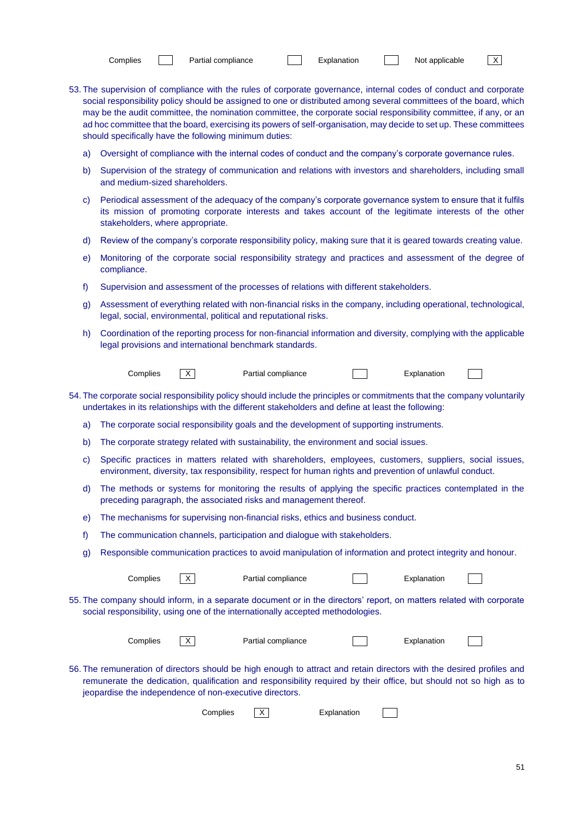| Complies |  |
|----------|--|

- 
- 53. The supervision of compliance with the rules of corporate governance, internal codes of conduct and corporate social responsibility policy should be assigned to one or distributed among several committees of the board, which may be the audit committee, the nomination committee, the corporate social responsibility committee, if any, or an ad hoc committee that the board, exercising its powers of self-organisation, may decide to set up. These committees should specifically have the following minimum duties:
	- a) Oversight of compliance with the internal codes of conduct and the company's corporate governance rules.
	- b) Supervision of the strategy of communication and relations with investors and shareholders, including small and medium-sized shareholders.
	- c) Periodical assessment of the adequacy of the company's corporate governance system to ensure that it fulfils its mission of promoting corporate interests and takes account of the legitimate interests of the other stakeholders, where appropriate.
	- d) Review of the company's corporate responsibility policy, making sure that it is geared towards creating value.
	- e) Monitoring of the corporate social responsibility strategy and practices and assessment of the degree of compliance.
	- f) Supervision and assessment of the processes of relations with different stakeholders.
	- g) Assessment of everything related with non-financial risks in the company, including operational, technological, legal, social, environmental, political and reputational risks.
	- h) Coordination of the reporting process for non-financial information and diversity, complying with the applicable legal provisions and international benchmark standards.

| Complies | $ \overline{x} $ | Partial compliance |
|----------|------------------|--------------------|
|----------|------------------|--------------------|

- 54. The corporate social responsibility policy should include the principles or commitments that the company voluntarily undertakes in its relationships with the different stakeholders and define at least the following:
	- a) The corporate social responsibility goals and the development of supporting instruments.
	- b) The corporate strategy related with sustainability, the environment and social issues.
	- c) Specific practices in matters related with shareholders, employees, customers, suppliers, social issues, environment, diversity, tax responsibility, respect for human rights and prevention of unlawful conduct.
	- d) The methods or systems for monitoring the results of applying the specific practices contemplated in the preceding paragraph, the associated risks and management thereof.
	- e) The mechanisms for supervising non-financial risks, ethics and business conduct.
	- f) The communication channels, participation and dialogue with stakeholders.
	- g) Responsible communication practices to avoid manipulation of information and protect integrity and honour.

| Complies |  | Partial compliance |  | Explanation |
|----------|--|--------------------|--|-------------|
|----------|--|--------------------|--|-------------|

**Explanation** 

55. The company should inform, in a separate document or in the directors' report, on matters related with corporate social responsibility, using one of the internationally accepted methodologies.

| Complies | $\sqrt{}$<br>$\sim$ | Partial compliance | Explanation |  |
|----------|---------------------|--------------------|-------------|--|
|          |                     |                    |             |  |

56. The remuneration of directors should be high enough to attract and retain directors with the desired profiles and remunerate the dedication, qualification and responsibility required by their office, but should not so high as to jeopardise the independence of non-executive directors.

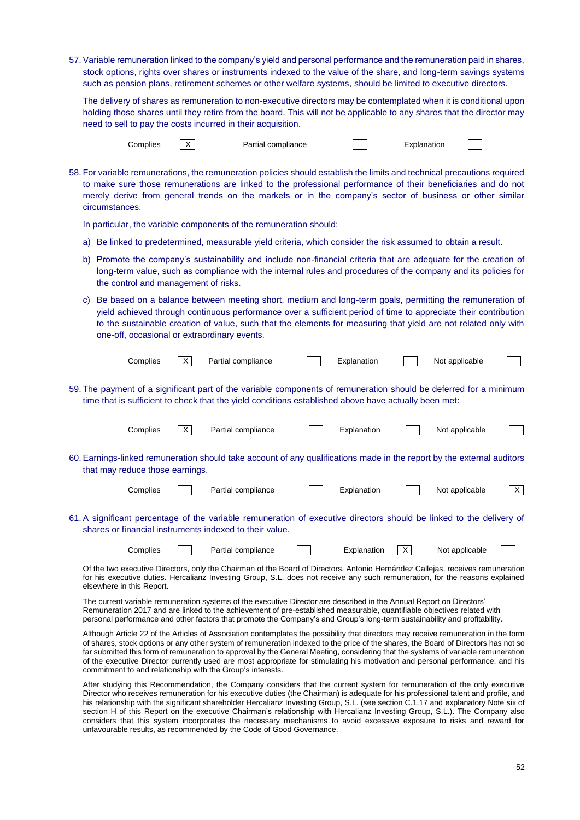57. Variable remuneration linked to the company's yield and personal performance and the remuneration paid in shares, stock options, rights over shares or instruments indexed to the value of the share, and long-term savings systems such as pension plans, retirement schemes or other welfare systems, should be limited to executive directors.

The delivery of shares as remuneration to non-executive directors may be contemplated when it is conditional upon holding those shares until they retire from the board. This will not be applicable to any shares that the director may need to sell to pay the costs incurred in their acquisition.



58. For variable remunerations, the remuneration policies should establish the limits and technical precautions required to make sure those remunerations are linked to the professional performance of their beneficiaries and do not merely derive from general trends on the markets or in the company's sector of business or other similar circumstances.

In particular, the variable components of the remuneration should:

- a) Be linked to predetermined, measurable yield criteria, which consider the risk assumed to obtain a result.
- b) Promote the company's sustainability and include non-financial criteria that are adequate for the creation of long-term value, such as compliance with the internal rules and procedures of the company and its policies for the control and management of risks.
- c) Be based on a balance between meeting short, medium and long-term goals, permitting the remuneration of yield achieved through continuous performance over a sufficient period of time to appreciate their contribution to the sustainable creation of value, such that the elements for measuring that yield are not related only with one-off, occasional or extraordinary events.

| Complies                                                                                                                                                                                                                                                                                                                                                                                                                                                                                                                                                                                                       |          | Partial compliance                                                                                                                                                                                                                                                                                                                                                           |  | Explanation |   | Not applicable |              |
|----------------------------------------------------------------------------------------------------------------------------------------------------------------------------------------------------------------------------------------------------------------------------------------------------------------------------------------------------------------------------------------------------------------------------------------------------------------------------------------------------------------------------------------------------------------------------------------------------------------|----------|------------------------------------------------------------------------------------------------------------------------------------------------------------------------------------------------------------------------------------------------------------------------------------------------------------------------------------------------------------------------------|--|-------------|---|----------------|--------------|
|                                                                                                                                                                                                                                                                                                                                                                                                                                                                                                                                                                                                                |          | 59. The payment of a significant part of the variable components of remuneration should be deferred for a minimum<br>time that is sufficient to check that the yield conditions established above have actually been met:                                                                                                                                                    |  |             |   |                |              |
| Complies                                                                                                                                                                                                                                                                                                                                                                                                                                                                                                                                                                                                       | $\times$ | Partial compliance                                                                                                                                                                                                                                                                                                                                                           |  | Explanation |   | Not applicable |              |
| that may reduce those earnings.                                                                                                                                                                                                                                                                                                                                                                                                                                                                                                                                                                                |          | 60. Earnings-linked remuneration should take account of any qualifications made in the report by the external auditors                                                                                                                                                                                                                                                       |  |             |   |                |              |
| Complies                                                                                                                                                                                                                                                                                                                                                                                                                                                                                                                                                                                                       |          | Partial compliance                                                                                                                                                                                                                                                                                                                                                           |  | Explanation |   | Not applicable | $\mathsf{X}$ |
|                                                                                                                                                                                                                                                                                                                                                                                                                                                                                                                                                                                                                |          | 61. A significant percentage of the variable remuneration of executive directors should be linked to the delivery of<br>shares or financial instruments indexed to their value.                                                                                                                                                                                              |  |             |   |                |              |
| Complies                                                                                                                                                                                                                                                                                                                                                                                                                                                                                                                                                                                                       |          | Partial compliance                                                                                                                                                                                                                                                                                                                                                           |  | Explanation | X | Not applicable |              |
| Of the two executive Directors, only the Chairman of the Board of Directors, Antonio Hernández Callejas, receives remuneration<br>for his executive duties. Hercalianz Investing Group, S.L. does not receive any such remuneration, for the reasons explained<br>elsewhere in this Report.                                                                                                                                                                                                                                                                                                                    |          |                                                                                                                                                                                                                                                                                                                                                                              |  |             |   |                |              |
|                                                                                                                                                                                                                                                                                                                                                                                                                                                                                                                                                                                                                |          | The current variable remuneration systems of the executive Director are described in the Annual Report on Directors'<br>Remuneration 2017 and are linked to the achievement of pre-established measurable, quantifiable objectives related with<br>personal performance and other factors that promote the Company's and Group's long-term sustainability and profitability. |  |             |   |                |              |
| Although Article 22 of the Articles of Association contemplates the possibility that directors may receive remuneration in the form<br>of shares, stock options or any other system of remuneration indexed to the price of the shares, the Board of Directors has not so<br>far submitted this form of remuneration to approval by the General Meeting, considering that the systems of variable remuneration<br>of the executive Director currently used are most appropriate for stimulating his motivation and personal performance, and his<br>commitment to and relationship with the Group's interests. |          |                                                                                                                                                                                                                                                                                                                                                                              |  |             |   |                |              |
|                                                                                                                                                                                                                                                                                                                                                                                                                                                                                                                                                                                                                |          | After studying this Recommendation, the Company considers that the current system for remuneration of the only executive                                                                                                                                                                                                                                                     |  |             |   |                |              |

lying this Recommendation, the Company considers that the current system for remuneration of the orly Director who receives remuneration for his executive duties (the Chairman) is adequate for his professional talent and profile, and his relationship with the significant shareholder Hercalianz Investing Group, S.L. (see section C.1.17 and explanatory Note six of section H of this Report on the executive Chairman's relationship with Hercalianz Investing Group, S.L.). The Company also considers that this system incorporates the necessary mechanisms to avoid excessive exposure to risks and reward for unfavourable results, as recommended by the Code of Good Governance.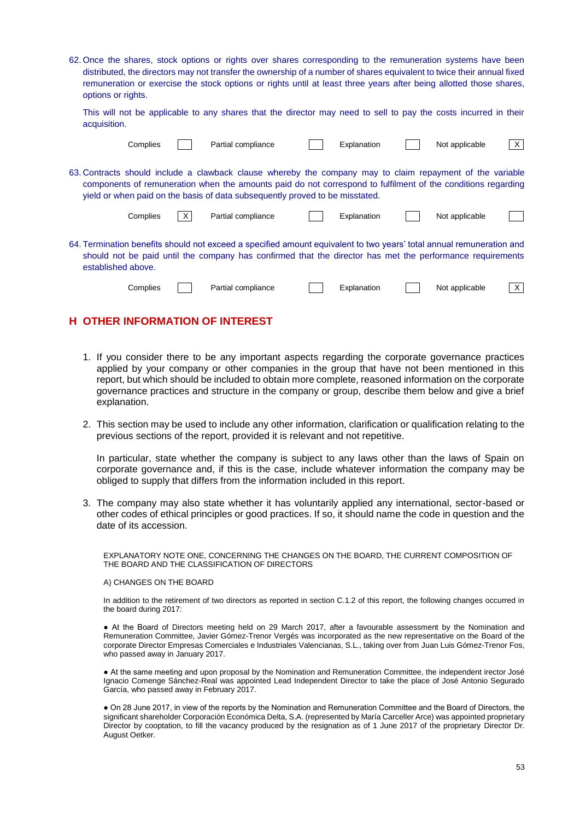62. Once the shares, stock options or rights over shares corresponding to the remuneration systems have been distributed, the directors may not transfer the ownership of a number of shares equivalent to twice their annual fixed remuneration or exercise the stock options or rights until at least three years after being allotted those shares, options or rights.

This will not be applicable to any shares that the director may need to sell to pay the costs incurred in their acquisition.

| Complies           | Partial compliance                                                                                                                                                                                                                                                                                        | Explanation | Not applicable | X |
|--------------------|-----------------------------------------------------------------------------------------------------------------------------------------------------------------------------------------------------------------------------------------------------------------------------------------------------------|-------------|----------------|---|
|                    | 63. Contracts should include a clawback clause whereby the company may to claim repayment of the variable<br>components of remuneration when the amounts paid do not correspond to fulfilment of the conditions regarding<br>yield or when paid on the basis of data subsequently proved to be misstated. |             |                |   |
| Complies           | Partial compliance                                                                                                                                                                                                                                                                                        | Explanation | Not applicable |   |
| established above. | 64. Termination benefits should not exceed a specified amount equivalent to two years' total annual remuneration and<br>should not be paid until the company has confirmed that the director has met the performance requirements                                                                         |             |                |   |
| Complies           | Partial compliance                                                                                                                                                                                                                                                                                        | Explanation | Not applicable |   |

# **H OTHER INFORMATION OF INTEREST**

- 1. If you consider there to be any important aspects regarding the corporate governance practices applied by your company or other companies in the group that have not been mentioned in this report, but which should be included to obtain more complete, reasoned information on the corporate governance practices and structure in the company or group, describe them below and give a brief explanation.
- 2. This section may be used to include any other information, clarification or qualification relating to the previous sections of the report, provided it is relevant and not repetitive.

In particular, state whether the company is subject to any laws other than the laws of Spain on corporate governance and, if this is the case, include whatever information the company may be obliged to supply that differs from the information included in this report.

3. The company may also state whether it has voluntarily applied any international, sector-based or other codes of ethical principles or good practices. If so, it should name the code in question and the date of its accession.

EXPLANATORY NOTE ONE, CONCERNING THE CHANGES ON THE BOARD, THE CURRENT COMPOSITION OF THE BOARD AND THE CLASSIFICATION OF DIRECTORS

#### A) CHANGES ON THE BOARD

In addition to the retirement of two directors as reported in section C.1.2 of this report, the following changes occurred in the board during 2017:

● At the Board of Directors meeting held on 29 March 2017, after a favourable assessment by the Nomination and Remuneration Committee, Javier Gómez-Trenor Vergés was incorporated as the new representative on the Board of the corporate Director Empresas Comerciales e Industriales Valencianas, S.L., taking over from Juan Luis Gómez-Trenor Fos, who passed away in January 2017.

● At the same meeting and upon proposal by the Nomination and Remuneration Committee, the independent irector José Ignacio Comenge Sánchez-Real was appointed Lead Independent Director to take the place of José Antonio Segurado García, who passed away in February 2017.

● On 28 June 2017, in view of the reports by the Nomination and Remuneration Committee and the Board of Directors, the significant shareholder Corporación Económica Delta, S.A. (represented by María Carceller Arce) was appointed proprietary Director by cooptation, to fill the vacancy produced by the resignation as of 1 June 2017 of the proprietary Director Dr. August Oetker.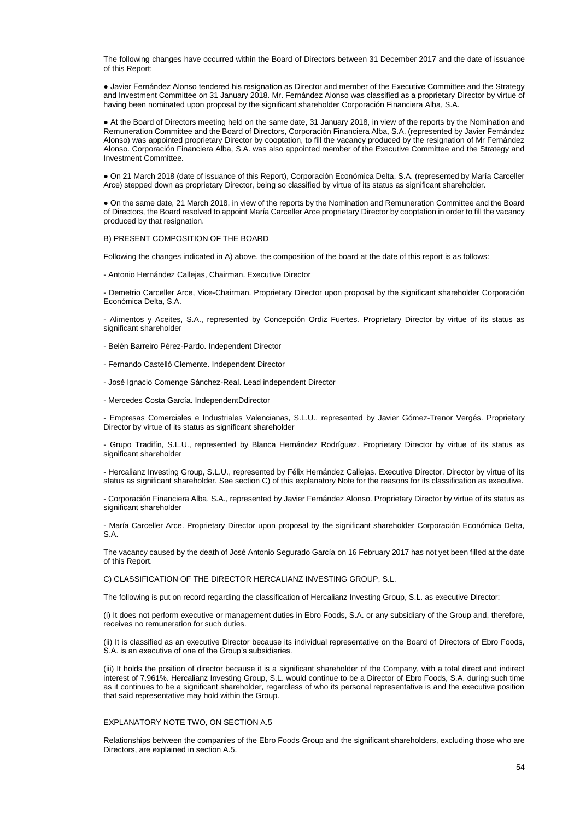The following changes have occurred within the Board of Directors between 31 December 2017 and the date of issuance of this Report:

● Javier Fernández Alonso tendered his resignation as Director and member of the Executive Committee and the Strategy and Investment Committee on 31 January 2018. Mr. Fernández Alonso was classified as a proprietary Director by virtue of having been nominated upon proposal by the significant shareholder Corporación Financiera Alba, S.A.

● At the Board of Directors meeting held on the same date, 31 January 2018, in view of the reports by the Nomination and Remuneration Committee and the Board of Directors, Corporación Financiera Alba, S.A. (represented by Javier Fernández Alonso) was appointed proprietary Director by cooptation, to fill the vacancy produced by the resignation of Mr Fernández Alonso. Corporación Financiera Alba, S.A. was also appointed member of the Executive Committee and the Strategy and Investment Committee.

● On 21 March 2018 (date of issuance of this Report), Corporación Económica Delta, S.A. (represented by María Carceller Arce) stepped down as proprietary Director, being so classified by virtue of its status as significant shareholder.

● On the same date, 21 March 2018, in view of the reports by the Nomination and Remuneration Committee and the Board of Directors, the Board resolved to appoint María Carceller Arce proprietary Director by cooptation in order to fill the vacancy produced by that resignation.

B) PRESENT COMPOSITION OF THE BOARD

Following the changes indicated in A) above, the composition of the board at the date of this report is as follows:

- Antonio Hernández Callejas, Chairman. Executive Director

- Demetrio Carceller Arce, Vice-Chairman. Proprietary Director upon proposal by the significant shareholder Corporación Económica Delta, S.A.

- Alimentos y Aceites, S.A., represented by Concepción Ordiz Fuertes. Proprietary Director by virtue of its status as significant shareholder

- Belén Barreiro Pérez-Pardo. Independent Director

- Fernando Castelló Clemente. Independent Director

- José Ignacio Comenge Sánchez-Real. Lead independent Director

- Mercedes Costa García. IndependentDdirector

- Empresas Comerciales e Industriales Valencianas, S.L.U., represented by Javier Gómez-Trenor Vergés. Proprietary Director by virtue of its status as significant shareholder

- Grupo Tradifín, S.L.U., represented by Blanca Hernández Rodríguez. Proprietary Director by virtue of its status as significant shareholder

- Hercalianz Investing Group, S.L.U., represented by Félix Hernández Callejas. Executive Director. Director by virtue of its status as significant shareholder. See section C) of this explanatory Note for the reasons for its classification as executive.

- Corporación Financiera Alba, S.A., represented by Javier Fernández Alonso. Proprietary Director by virtue of its status as significant shareholder

- María Carceller Arce. Proprietary Director upon proposal by the significant shareholder Corporación Económica Delta, S.A.

The vacancy caused by the death of José Antonio Segurado García on 16 February 2017 has not yet been filled at the date of this Report.

C) CLASSIFICATION OF THE DIRECTOR HERCALIANZ INVESTING GROUP, S.L.

The following is put on record regarding the classification of Hercalianz Investing Group, S.L. as executive Director:

(i) It does not perform executive or management duties in Ebro Foods, S.A. or any subsidiary of the Group and, therefore, receives no remuneration for such duties.

(ii) It is classified as an executive Director because its individual representative on the Board of Directors of Ebro Foods, S.A. is an executive of one of the Group's subsidiaries.

(iii) It holds the position of director because it is a significant shareholder of the Company, with a total direct and indirect interest of 7.961%. Hercalianz Investing Group, S.L. would continue to be a Director of Ebro Foods, S.A. during such time as it continues to be a significant shareholder, regardless of who its personal representative is and the executive position that said representative may hold within the Group.

#### EXPLANATORY NOTE TWO, ON SECTION A.5

Relationships between the companies of the Ebro Foods Group and the significant shareholders, excluding those who are Directors, are explained in section A.5.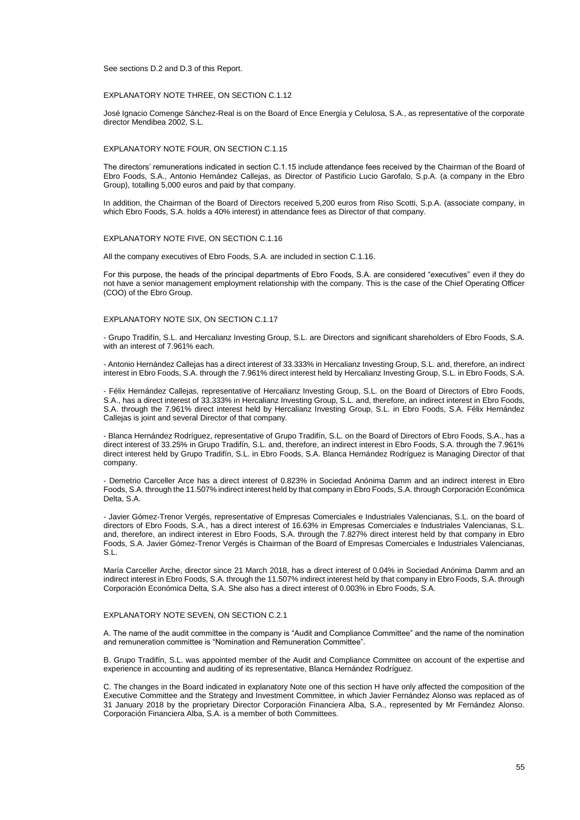See sections D.2 and D.3 of this Report.

#### EXPLANATORY NOTE THREE, ON SECTION C.1.12

José Ignacio Comenge Sánchez-Real is on the Board of Ence Energía y Celulosa, S.A., as representative of the corporate director Mendibea 2002, S.L.

#### EXPLANATORY NOTE FOUR, ON SECTION C.1.15

The directors' remunerations indicated in section C.1.15 include attendance fees received by the Chairman of the Board of Ebro Foods, S.A., Antonio Hernández Callejas, as Director of Pastificio Lucio Garofalo, S.p.A. (a company in the Ebro Group), totalling 5,000 euros and paid by that company.

In addition, the Chairman of the Board of Directors received 5,200 euros from Riso Scotti, S.p.A. (associate company, in which Ebro Foods, S.A. holds a 40% interest) in attendance fees as Director of that company.

### EXPLANATORY NOTE FIVE, ON SECTION C.1.16

All the company executives of Ebro Foods, S.A. are included in section C.1.16.

For this purpose, the heads of the principal departments of Ebro Foods, S.A. are considered "executives" even if they do not have a senior management employment relationship with the company. This is the case of the Chief Operating Officer (COO) of the Ebro Group.

#### EXPLANATORY NOTE SIX, ON SECTION C.1.17

- Grupo Tradifín, S.L. and Hercalianz Investing Group, S.L. are Directors and significant shareholders of Ebro Foods, S.A. with an interest of 7.961% each.

- Antonio Hernández Callejas has a direct interest of 33.333% in Hercalianz Investing Group, S.L. and, therefore, an indirect interest in Ebro Foods, S.A. through the 7.961% direct interest held by Hercalianz Investing Group, S.L. in Ebro Foods, S.A.

- Félix Hernández Callejas, representative of Hercalianz Investing Group, S.L. on the Board of Directors of Ebro Foods, S.A., has a direct interest of 33.333% in Hercalianz Investing Group, S.L. and, therefore, an indirect interest in Ebro Foods, S.A. through the 7.961% direct interest held by Hercalianz Investing Group, S.L. in Ebro Foods, S.A. Félix Hernández Callejas is joint and several Director of that company.

- Blanca Hernández Rodríguez, representative of Grupo Tradifín, S.L. on the Board of Directors of Ebro Foods, S.A., has a direct interest of 33.25% in Grupo Tradifín, S.L. and, therefore, an indirect interest in Ebro Foods, S.A. through the 7.961% direct interest held by Grupo Tradifín, S.L. in Ebro Foods, S.A. Blanca Hernández Rodríguez is Managing Director of that company.

- Demetrio Carceller Arce has a direct interest of 0.823% in Sociedad Anónima Damm and an indirect interest in Ebro Foods, S.A. through the 11.507% indirect interest held by that company in Ebro Foods, S.A. through Corporación Económica Delta, S.A.

- Javier Gómez-Trenor Vergés, representative of Empresas Comerciales e Industriales Valencianas, S.L. on the board of directors of Ebro Foods, S.A., has a direct interest of 16.63% in Empresas Comerciales e Industriales Valencianas, S.L. and, therefore, an indirect interest in Ebro Foods, S.A. through the 7.827% direct interest held by that company in Ebro Foods, S.A. Javier Gómez-Trenor Vergés is Chairman of the Board of Empresas Comerciales e Industriales Valencianas, S.L.

María Carceller Arche, director since 21 March 2018, has a direct interest of 0.04% in Sociedad Anónima Damm and an indirect interest in Ebro Foods, S.A. through the 11.507% indirect interest held by that company in Ebro Foods, S.A. through Corporación Económica Delta, S.A. She also has a direct interest of 0.003% in Ebro Foods, S.A.

#### EXPLANATORY NOTE SEVEN, ON SECTION C.2.1

A. The name of the audit committee in the company is "Audit and Compliance Committee" and the name of the nomination and remuneration committee is "Nomination and Remuneration Committee".

B. Grupo Tradifín, S.L. was appointed member of the Audit and Compliance Committee on account of the expertise and experience in accounting and auditing of its representative, Blanca Hernández Rodríguez.

C. The changes in the Board indicated in explanatory Note one of this section H have only affected the composition of the Executive Committee and the Strategy and Investment Committee, in which Javier Fernández Alonso was replaced as of 31 January 2018 by the proprietary Director Corporación Financiera Alba, S.A., represented by Mr Fernández Alonso. Corporación Financiera Alba, S.A. is a member of both Committees.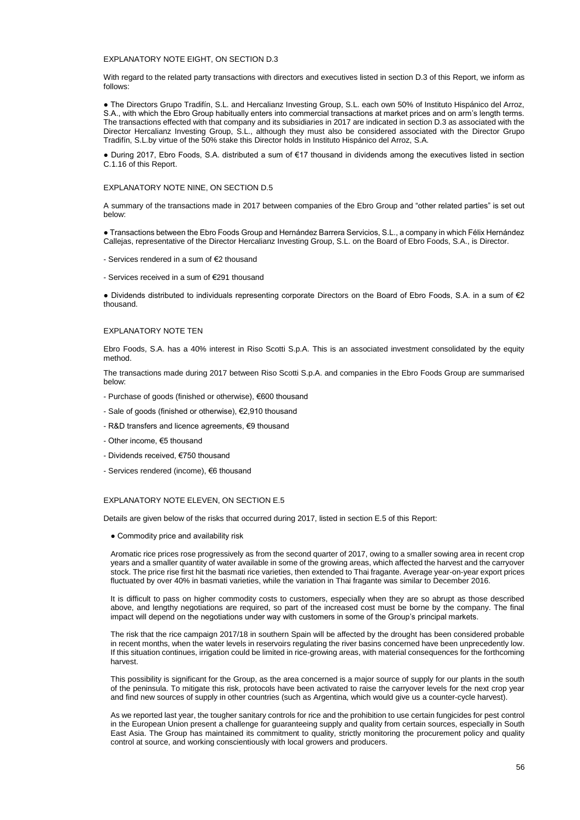#### EXPLANATORY NOTE EIGHT, ON SECTION D.3

With regard to the related party transactions with directors and executives listed in section D.3 of this Report, we inform as follows:

• The Directors Grupo Tradifín, S.L. and Hercalianz Investing Group, S.L. each own 50% of Instituto Hispánico del Arroz, S.A., with which the Ebro Group habitually enters into commercial transactions at market prices and on arm's length terms. The transactions effected with that company and its subsidiaries in 2017 are indicated in section D.3 as associated with the Director Hercalianz Investing Group, S.L., although they must also be considered associated with the Director Grupo Tradifín, S.L.by virtue of the 50% stake this Director holds in Instituto Hispánico del Arroz, S.A.

● During 2017, Ebro Foods, S.A. distributed a sum of €17 thousand in dividends among the executives listed in section C.1.16 of this Report.

#### EXPLANATORY NOTE NINE, ON SECTION D.5

A summary of the transactions made in 2017 between companies of the Ebro Group and "other related parties" is set out below:

● Transactions between the Ebro Foods Group and Hernández Barrera Servicios, S.L., a company in which Félix Hernández Callejas, representative of the Director Hercalianz Investing Group, S.L. on the Board of Ebro Foods, S.A., is Director.

- Services rendered in a sum of €2 thousand
- Services received in a sum of €291 thousand

● Dividends distributed to individuals representing corporate Directors on the Board of Ebro Foods, S.A. in a sum of €2 thousand.

#### EXPLANATORY NOTE TEN

Ebro Foods, S.A. has a 40% interest in Riso Scotti S.p.A. This is an associated investment consolidated by the equity method.

The transactions made during 2017 between Riso Scotti S.p.A. and companies in the Ebro Foods Group are summarised below:

- Purchase of goods (finished or otherwise), €600 thousand
- Sale of goods (finished or otherwise), €2,910 thousand
- R&D transfers and licence agreements, €9 thousand
- Other income, €5 thousand
- Dividends received, €750 thousand
- Services rendered (income), €6 thousand

#### EXPLANATORY NOTE ELEVEN, ON SECTION E.5

Details are given below of the risks that occurred during 2017, listed in section E.5 of this Report:

• Commodity price and availability risk

Aromatic rice prices rose progressively as from the second quarter of 2017, owing to a smaller sowing area in recent crop years and a smaller quantity of water available in some of the growing areas, which affected the harvest and the carryover stock. The price rise first hit the basmati rice varieties, then extended to Thai fragante. Average year-on-year export prices fluctuated by over 40% in basmati varieties, while the variation in Thai fragante was similar to December 2016.

It is difficult to pass on higher commodity costs to customers, especially when they are so abrupt as those described above, and lengthy negotiations are required, so part of the increased cost must be borne by the company. The final impact will depend on the negotiations under way with customers in some of the Group's principal markets.

The risk that the rice campaign 2017/18 in southern Spain will be affected by the drought has been considered probable in recent months, when the water levels in reservoirs regulating the river basins concerned have been unprecedently low. If this situation continues, irrigation could be limited in rice-growing areas, with material consequences for the forthcoming harvest.

This possibility is significant for the Group, as the area concerned is a major source of supply for our plants in the south of the peninsula. To mitigate this risk, protocols have been activated to raise the carryover levels for the next crop year and find new sources of supply in other countries (such as Argentina, which would give us a counter-cycle harvest).

As we reported last year, the tougher sanitary controls for rice and the prohibition to use certain fungicides for pest control in the European Union present a challenge for guaranteeing supply and quality from certain sources, especially in South East Asia. The Group has maintained its commitment to quality, strictly monitoring the procurement policy and quality control at source, and working conscientiously with local growers and producers.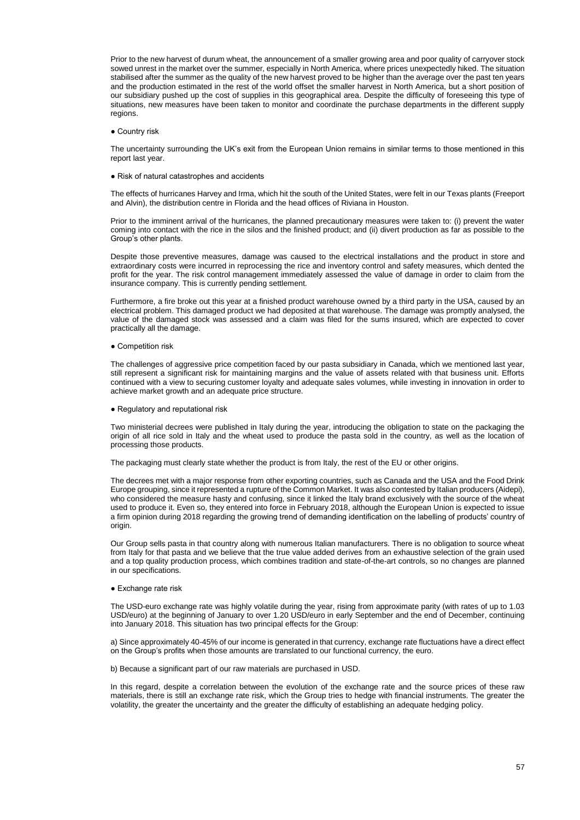Prior to the new harvest of durum wheat, the announcement of a smaller growing area and poor quality of carryover stock sowed unrest in the market over the summer, especially in North America, where prices unexpectedly hiked. The situation stabilised after the summer as the quality of the new harvest proved to be higher than the average over the past ten years and the production estimated in the rest of the world offset the smaller harvest in North America, but a short position of our subsidiary pushed up the cost of supplies in this geographical area. Despite the difficulty of foreseeing this type of situations, new measures have been taken to monitor and coordinate the purchase departments in the different supply regions.

● Country risk

The uncertainty surrounding the UK's exit from the European Union remains in similar terms to those mentioned in this report last year.

● Risk of natural catastrophes and accidents

The effects of hurricanes Harvey and Irma, which hit the south of the United States, were felt in our Texas plants (Freeport and Alvin), the distribution centre in Florida and the head offices of Riviana in Houston.

Prior to the imminent arrival of the hurricanes, the planned precautionary measures were taken to: (i) prevent the water coming into contact with the rice in the silos and the finished product; and (ii) divert production as far as possible to the Group's other plants.

Despite those preventive measures, damage was caused to the electrical installations and the product in store and extraordinary costs were incurred in reprocessing the rice and inventory control and safety measures, which dented the profit for the year. The risk control management immediately assessed the value of damage in order to claim from the insurance company. This is currently pending settlement.

Furthermore, a fire broke out this year at a finished product warehouse owned by a third party in the USA, caused by an electrical problem. This damaged product we had deposited at that warehouse. The damage was promptly analysed, the value of the damaged stock was assessed and a claim was filed for the sums insured, which are expected to cover practically all the damage.

• Competition risk

The challenges of aggressive price competition faced by our pasta subsidiary in Canada, which we mentioned last year, still represent a significant risk for maintaining margins and the value of assets related with that business unit. Efforts continued with a view to securing customer loyalty and adequate sales volumes, while investing in innovation in order to achieve market growth and an adequate price structure.

● Regulatory and reputational risk

Two ministerial decrees were published in Italy during the year, introducing the obligation to state on the packaging the origin of all rice sold in Italy and the wheat used to produce the pasta sold in the country, as well as the location of processing those products.

The packaging must clearly state whether the product is from Italy, the rest of the EU or other origins.

The decrees met with a major response from other exporting countries, such as Canada and the USA and the Food Drink Europe grouping, since it represented a rupture of the Common Market. It was also contested by Italian producers (Aidepi), who considered the measure hasty and confusing, since it linked the Italy brand exclusively with the source of the wheat used to produce it. Even so, they entered into force in February 2018, although the European Union is expected to issue a firm opinion during 2018 regarding the growing trend of demanding identification on the labelling of products' country of origin.

Our Group sells pasta in that country along with numerous Italian manufacturers. There is no obligation to source wheat from Italy for that pasta and we believe that the true value added derives from an exhaustive selection of the grain used and a top quality production process, which combines tradition and state-of-the-art controls, so no changes are planned in our specifications.

#### ● Exchange rate risk

The USD-euro exchange rate was highly volatile during the year, rising from approximate parity (with rates of up to 1.03 USD/euro) at the beginning of January to over 1.20 USD/euro in early September and the end of December, continuing into January 2018. This situation has two principal effects for the Group:

a) Since approximately 40-45% of our income is generated in that currency, exchange rate fluctuations have a direct effect on the Group's profits when those amounts are translated to our functional currency, the euro.

b) Because a significant part of our raw materials are purchased in USD.

In this regard, despite a correlation between the evolution of the exchange rate and the source prices of these raw materials, there is still an exchange rate risk, which the Group tries to hedge with financial instruments. The greater the volatility, the greater the uncertainty and the greater the difficulty of establishing an adequate hedging policy.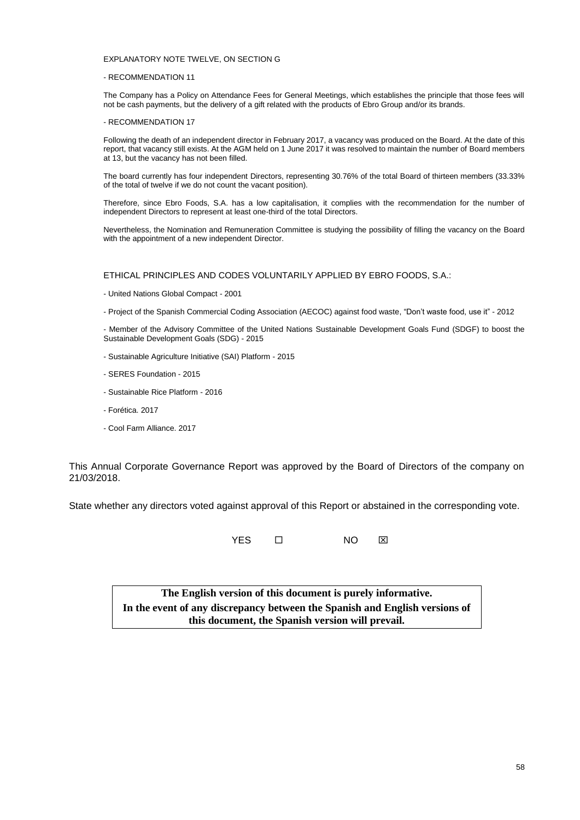### EXPLANATORY NOTE TWELVE, ON SECTION G

#### - RECOMMENDATION 11

The Company has a Policy on Attendance Fees for General Meetings, which establishes the principle that those fees will not be cash payments, but the delivery of a gift related with the products of Ebro Group and/or its brands.

#### - RECOMMENDATION 17

Following the death of an independent director in February 2017, a vacancy was produced on the Board. At the date of this report, that vacancy still exists. At the AGM held on 1 June 2017 it was resolved to maintain the number of Board members at 13, but the vacancy has not been filled.

The board currently has four independent Directors, representing 30.76% of the total Board of thirteen members (33.33% of the total of twelve if we do not count the vacant position).

Therefore, since Ebro Foods, S.A. has a low capitalisation, it complies with the recommendation for the number of independent Directors to represent at least one-third of the total Directors.

Nevertheless, the Nomination and Remuneration Committee is studying the possibility of filling the vacancy on the Board with the appointment of a new independent Director.

ETHICAL PRINCIPLES AND CODES VOLUNTARILY APPLIED BY EBRO FOODS, S.A.:

- United Nations Global Compact - 2001

- Project of the Spanish Commercial Coding Association (AECOC) against food waste, "Don't waste food, use it" - 2012

- Member of the Advisory Committee of the United Nations Sustainable Development Goals Fund (SDGF) to boost the Sustainable Development Goals (SDG) - 2015

- Sustainable Agriculture Initiative (SAI) Platform 2015
- SERES Foundation 2015
- Sustainable Rice Platform 2016
- Forética. 2017
- Cool Farm Alliance. 2017

This Annual Corporate Governance Report was approved by the Board of Directors of the company on 21/03/2018.

State whether any directors voted against approval of this Report or abstained in the corresponding vote.

YES ロ NO ⊠

**The English version of this document is purely informative. In the event of any discrepancy between the Spanish and English versions of this document, the Spanish version will prevail.**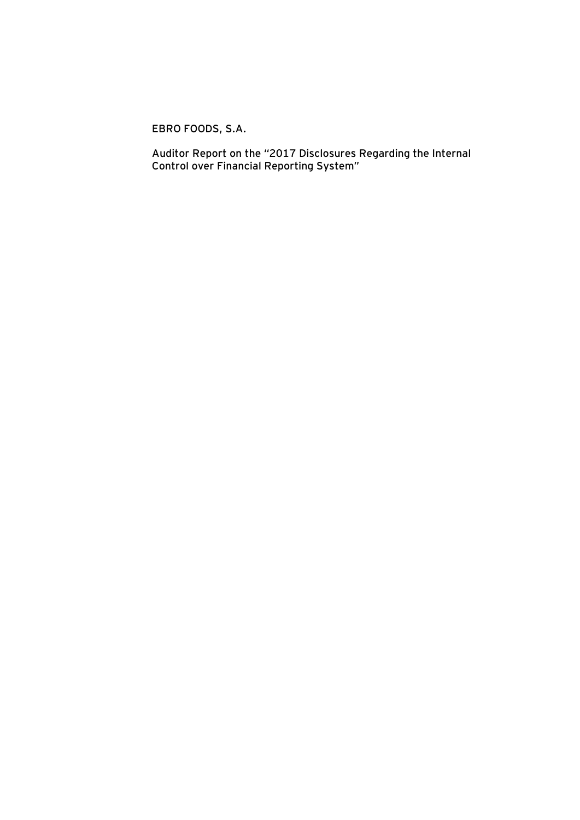**EBRO FOODS, S.A.**

**Auditor Report on the "2017 Disclosures Regarding the Internal Control over Financial Reporting System"**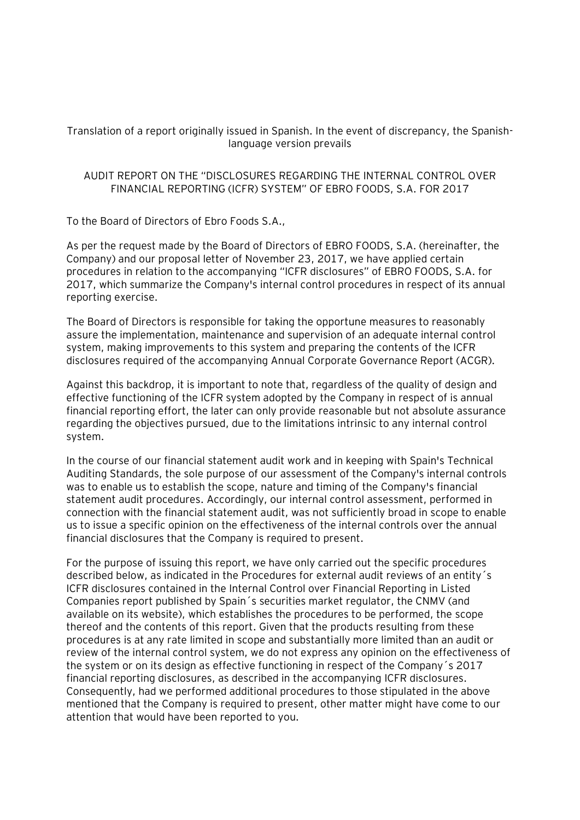Translation of a report originally issued in Spanish. In the event of discrepancy, the Spanishlanguage version prevails

# AUDIT REPORT ON THE "DISCLOSURES REGARDING THE INTERNAL CONTROL OVER FINANCIAL REPORTING (ICFR) SYSTEM" OF EBRO FOODS, S.A. FOR 2017

To the Board of Directors of Ebro Foods S.A.,

As per the request made by the Board of Directors of EBRO FOODS, S.A. (hereinafter, the Company) and our proposal letter of November 23, 2017, we have applied certain procedures in relation to the accompanying "ICFR disclosures" of EBRO FOODS, S.A. for 2017, which summarize the Company's internal control procedures in respect of its annual reporting exercise.

The Board of Directors is responsible for taking the opportune measures to reasonably assure the implementation, maintenance and supervision of an adequate internal control system, making improvements to this system and preparing the contents of the ICFR disclosures required of the accompanying Annual Corporate Governance Report (ACGR).

Against this backdrop, it is important to note that, regardless of the quality of design and effective functioning of the ICFR system adopted by the Company in respect of is annual financial reporting effort, the later can only provide reasonable but not absolute assurance regarding the objectives pursued, due to the limitations intrinsic to any internal control system.

In the course of our financial statement audit work and in keeping with Spain's Technical Auditing Standards, the sole purpose of our assessment of the Company's internal controls was to enable us to establish the scope, nature and timing of the Company's financial statement audit procedures. Accordingly, our internal control assessment, performed in connection with the financial statement audit, was not sufficiently broad in scope to enable us to issue a specific opinion on the effectiveness of the internal controls over the annual financial disclosures that the Company is required to present.

For the purpose of issuing this report, we have only carried out the specific procedures described below, as indicated in the Procedures for external audit reviews of an entity´s ICFR disclosures contained in the Internal Control over Financial Reporting in Listed Companies report published by Spain´s securities market regulator, the CNMV (and available on its website), which establishes the procedures to be performed, the scope thereof and the contents of this report. Given that the products resulting from these procedures is at any rate limited in scope and substantially more limited than an audit or review of the internal control system, we do not express any opinion on the effectiveness of the system or on its design as effective functioning in respect of the Company´s 2017 financial reporting disclosures, as described in the accompanying ICFR disclosures. Consequently, had we performed additional procedures to those stipulated in the above mentioned that the Company is required to present, other matter might have come to our attention that would have been reported to you.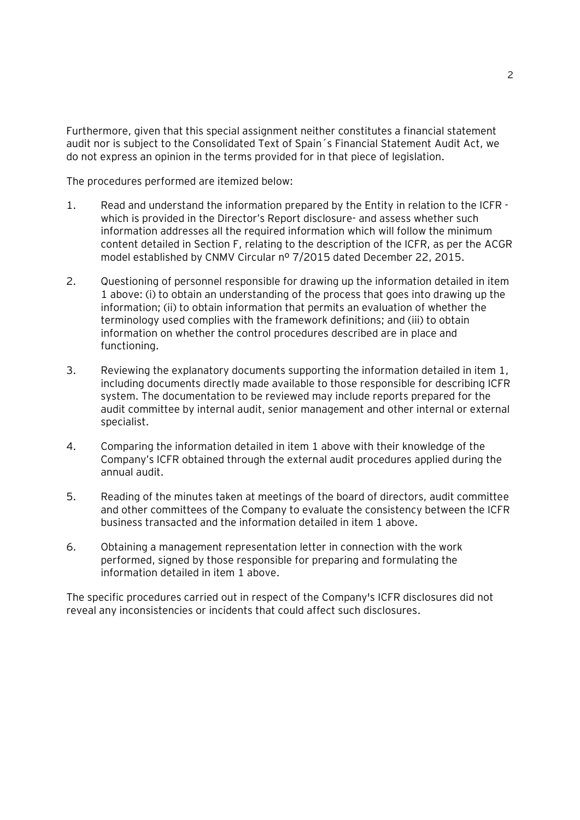Furthermore, given that this special assignment neither constitutes a financial statement audit nor is subject to the Consolidated Text of Spain´s Financial Statement Audit Act, we do not express an opinion in the terms provided for in that piece of legislation.

The procedures performed are itemized below:

- 1. Read and understand the information prepared by the Entity in relation to the ICFR which is provided in the Director's Report disclosure- and assess whether such information addresses all the required information which will follow the minimum content detailed in Section F, relating to the description of the ICFR, as per the ACGR model established by CNMV Circular nº 7/2015 dated December 22, 2015.
- 2. Questioning of personnel responsible for drawing up the information detailed in item 1 above: (i) to obtain an understanding of the process that goes into drawing up the information; (ii) to obtain information that permits an evaluation of whether the terminology used complies with the framework definitions; and (iii) to obtain information on whether the control procedures described are in place and functioning.
- 3. Reviewing the explanatory documents supporting the information detailed in item 1, including documents directly made available to those responsible for describing ICFR system. The documentation to be reviewed may include reports prepared for the audit committee by internal audit, senior management and other internal or external specialist.
- 4. Comparing the information detailed in item 1 above with their knowledge of the Company's ICFR obtained through the external audit procedures applied during the annual audit.
- 5. Reading of the minutes taken at meetings of the board of directors, audit committee and other committees of the Company to evaluate the consistency between the ICFR business transacted and the information detailed in item 1 above.
- 6. Obtaining a management representation letter in connection with the work performed, signed by those responsible for preparing and formulating the information detailed in item 1 above.

The specific procedures carried out in respect of the Company's ICFR disclosures did not reveal any inconsistencies or incidents that could affect such disclosures.